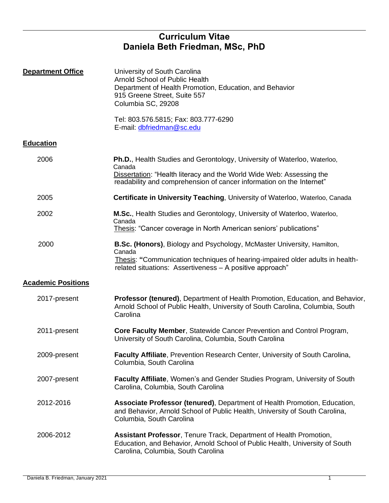# **Curriculum Vitae Daniela Beth Friedman, MSc, PhD**

| <b>Department Office</b>  | University of South Carolina<br>Arnold School of Public Health<br>Department of Health Promotion, Education, and Behavior<br>915 Greene Street, Suite 557<br>Columbia SC, 29208<br>Tel: 803.576.5815; Fax: 803.777-6290<br>E-mail: dbfriedman@sc.edu |
|---------------------------|------------------------------------------------------------------------------------------------------------------------------------------------------------------------------------------------------------------------------------------------------|
| <b>Education</b>          |                                                                                                                                                                                                                                                      |
| 2006                      | <b>Ph.D., Health Studies and Gerontology, University of Waterloo, Waterloo,</b><br>Canada<br>Dissertation: "Health literacy and the World Wide Web: Assessing the<br>readability and comprehension of cancer information on the Internet"            |
| 2005                      | Certificate in University Teaching, University of Waterloo, Waterloo, Canada                                                                                                                                                                         |
| 2002                      | M.Sc., Health Studies and Gerontology, University of Waterloo, Waterloo,<br>Canada<br>Thesis: "Cancer coverage in North American seniors' publications"                                                                                              |
| 2000                      | B.Sc. (Honors), Biology and Psychology, McMaster University, Hamilton,<br>Canada<br>Thesis: "Communication techniques of hearing-impaired older adults in health-<br>related situations: Assertiveness - A positive approach"                        |
| <b>Academic Positions</b> |                                                                                                                                                                                                                                                      |
| 2017-present              | Professor (tenured), Department of Health Promotion, Education, and Behavior,<br>Arnold School of Public Health, University of South Carolina, Columbia, South<br>Carolina                                                                           |
| 2011-present              | Core Faculty Member, Statewide Cancer Prevention and Control Program,<br>University of South Carolina, Columbia, South Carolina                                                                                                                      |
| 2009-present              | Faculty Affiliate, Prevention Research Center, University of South Carolina,<br>Columbia, South Carolina                                                                                                                                             |
| 2007-present              | Faculty Affiliate, Women's and Gender Studies Program, University of South<br>Carolina, Columbia, South Carolina                                                                                                                                     |
| 2012-2016                 | Associate Professor (tenured), Department of Health Promotion, Education,<br>and Behavior, Arnold School of Public Health, University of South Carolina,<br>Columbia, South Carolina                                                                 |
| 2006-2012                 | Assistant Professor, Tenure Track, Department of Health Promotion,<br>Education, and Behavior, Arnold School of Public Health, University of South<br>Carolina, Columbia, South Carolina                                                             |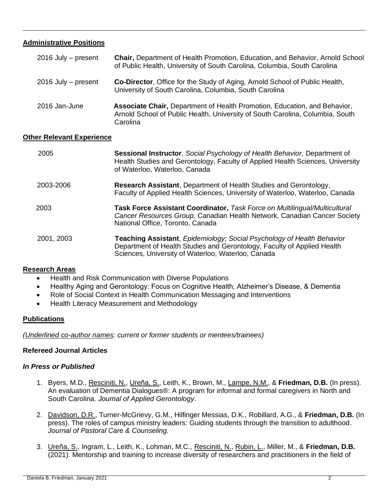# **Administrative Positions**

| $2016$ July – present   | Chair, Department of Health Promotion, Education, and Behavior, Arnold School<br>of Public Health, University of South Carolina, Columbia, South Carolina              |
|-------------------------|------------------------------------------------------------------------------------------------------------------------------------------------------------------------|
| $2016$ July $-$ present | <b>Co-Director, Office for the Study of Aging, Arnold School of Public Health,</b><br>University of South Carolina, Columbia, South Carolina                           |
| 2016 Jan-June           | Associate Chair, Department of Health Promotion, Education, and Behavior,<br>Arnold School of Public Health, University of South Carolina, Columbia, South<br>Carolina |

### **Other Relevant Experience**

| 2005       | Sessional Instructor, Social Psychology of Health Behavior, Department of<br>Health Studies and Gerontology, Faculty of Applied Health Sciences, University<br>of Waterloo, Waterloo, Canada            |
|------------|---------------------------------------------------------------------------------------------------------------------------------------------------------------------------------------------------------|
| 2003-2006  | Research Assistant, Department of Health Studies and Gerontology,<br>Faculty of Applied Health Sciences, University of Waterloo, Waterloo, Canada                                                       |
| 2003       | <b>Task Force Assistant Coordinator, Task Force on Multilingual/Multicultural</b><br>Cancer Resources Group, Canadian Health Network, Canadian Cancer Society<br>National Office, Toronto, Canada       |
| 2001, 2003 | Teaching Assistant, Epidemiology; Social Psychology of Health Behavior<br>Department of Health Studies and Gerontology, Faculty of Applied Health<br>Sciences, University of Waterloo, Waterloo, Canada |

## **Research Areas**

- Health and Risk Communication with Diverse Populations
- Healthy Aging and Gerontology: Focus on Cognitive Health, Alzheimer's Disease, & Dementia
- Role of Social Context in Health Communication Messaging and Interventions
- Health Literacy Measurement and Methodology

## **Publications**

*(Underlined co-author names: current or former students or mentees/trainees)*

## **Refereed Journal Articles**

### *In Press or Published*

- 1. Byers, M.D., Resciniti, N., Ureña, S., Leith, K., Brown, M., Lampe, N.M., & **Friedman, D.B.** (In press). An evaluation of Dementia Dialogues®: A program for informal and formal caregivers in North and South Carolina. *Journal of Applied Gerontology*.
- 2. Davidson, D.R., Turner-McGrievy, G.M., Hilfinger Messias, D.K., Robillard, A.G., & **Friedman, D.B.** (In press). The roles of campus ministry leaders: Guiding students through the transition to adulthood. *Journal of Pastoral Care & Counseling.*
- 3. Ureña, S., Ingram, L., Leith, K., Lohman, M.C., Resciniti, N., Rubin, L., Miller, M., & **Friedman, D.B.**  (2021). Mentorship and training to increase diversity of researchers and practitioners in the field of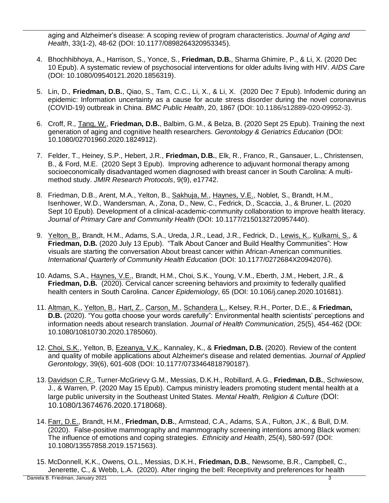aging and Alzheimer's disease: A scoping review of program characteristics. *Journal of Aging and Health*, 33(1-2), 48-62 (DOI: 10.1177/0898264320953345).

- 4. Bhochhibhoya, A., Harrison, S., Yonce, S., **Friedman, D.B.**, Sharma Ghimire, P., & Li, X. (2020 Dec 10 Epub). A systematic review of psychosocial interventions for older adults living with HIV. *AIDS Care* (DOI: 10.1080/09540121.2020.1856319).
- 5. Lin, D., **Friedman, D.B.**, Qiao, S., Tam, C.C., Li, X., & Li, X. (2020 Dec 7 Epub). Infodemic during an epidemic: Information uncertainty as a cause for acute stress disorder during the novel coronavirus (COVID-19) outbreak in China. *BMC Public Health*, 20, 1867 (DOI: 10.1186/s12889-020-09952-3).
- 6. Croff, R., Tang, W., **Friedman, D.B.**, Balbim, G.M., & Belza, B. (2020 Sept 25 Epub). Training the next generation of aging and cognitive health researchers. *Gerontology & Geriatrics Education* (DOI: 10.1080/02701960.2020.1824912).
- 7. Felder, T., Heiney, S.P., Hebert, J.R., **Friedman, D.B.**, Elk, R., Franco, R., Gansauer, L., Christensen, B., & Ford, M.E. (2020 Sept 3 Epub). Improving adherence to adjuvant hormonal therapy among socioeconomically disadvantaged women diagnosed with breast cancer in South Carolina: A multimethod study. *JMIR Research Protocols*, 9(9), e17742.
- 8. Friedman, D.B., Arent, M.A., Yelton, B., Sakhuja, M., Haynes, V.E., Noblet, S., Brandt, H.M., Isenhower, W.D., Wandersman, A., Zona, D., New, C., Fedrick, D., Scaccia, J., & Bruner, L. (2020 Sept 10 Epub). Development of a clinical-academic-community collaboration to improve health literacy. *Journal of Primary Care and Community Health* (DOI: 10.1177/2150132720957440).
- 9. Yelton, B., Brandt, H.M., Adams, S.A., Ureda, J.R., Lead, J.R., Fedrick, D., Lewis, K., Kulkarni, S., & **Friedman, D.B.** (2020 July 13 Epub). "Talk About Cancer and Build Healthy Communities": How visuals are starting the conversation About breast cancer within African-American communities. *International Quarterly of Community Health Education* (DOI: 10.1177/0272684X20942076).
- 10. Adams, S.A., Haynes, V.E., Brandt, H.M., Choi, S.K., Young, V.M., Eberth, J.M., Hebert, J.R., & **Friedman, D.B.** (2020). Cervical cancer screening behaviors and proximity to federally qualified health centers in South Carolina. *Cancer Epidemiology*, 65 (DOI: 10.106/j.canep.2020.101681).
- 11. Altman, K., Yelton, B., Hart, Z., Carson, M., Schandera L., Kelsey, R.H., Porter, D.E., & **Friedman, D.B.** (2020). "You gotta choose your words carefully": Environmental health scientists' perceptions and information needs about research translation. *Journal of Health Communication*, 25(5), 454-462 (DOI: 10.1080/10810730.2020.1785060).
- 12. Choi, S.K., Yelton, B, Ezeanya, V.K., Kannaley, K., & **Friedman, D.B.** (2020). Review of the content and quality of mobile applications about Alzheimer's disease and related dementias. *Journal of Applied Gerontology*, 39(6), 601-608 (DOI: 10.1177/0733464818790187).
- 13. Davidson C.R., Turner-McGrievy G.M., Messias, D.K.H., Robillard, A.G., **Friedman, D.B.**, Schwiesow, J., & Warren, P. (2020 May 15 Epub). Campus ministry leaders promoting student mental health at a large public university in the Southeast United States. *Mental Health, Religion & Culture* (DOI: 10.1080/13674676.2020.1718068).
- 14. Farr, D.E., Brandt, H.M., **Friedman, D.B.**, Armstead, C.A., Adams, S.A., Fulton, J.K., & Bull, D.M. (2020). False-positive mammography and mammography screening intentions among Black women: The influence of emotions and coping strategies. *Ethnicity and Health*, 25(4), 580-597 (DOI: 10.1080/13557858.2019.1571563).
- Daniela B. Friedman, January 2021 3 15. McDonnell, K.K., Owens, O.L., Messias, D.K.H., **Friedman, D.B.**, Newsome, B.R., Campbell, C., Jenerette, C., & Webb, L.A. (2020). After ringing the bell: Receptivity and preferences for health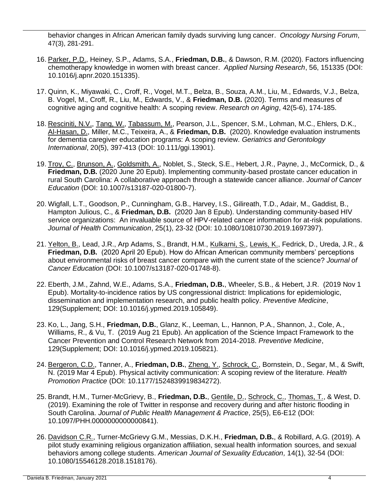behavior changes in African American family dyads surviving lung cancer. *Oncology Nursing Forum*, 47(3), 281-291.

- 16. Parker, P.D., Heiney, S.P., Adams, S.A., **Friedman, D.B.**, & Dawson, R.M. (2020). Factors influencing chemotherapy knowledge in women with breast cancer. *Applied Nursing Research*, 56, 151335 (DOI: 10.1016/j.apnr.2020.151335).
- 17. Quinn, K., Miyawaki, C., Croff, R., Vogel, M.T., Belza, B., Souza, A.M., Liu, M., Edwards, V.J., Belza, B. Vogel, M., Croff, R., Liu, M., Edwards, V., & **Friedman, D.B.** (2020). Terms and measures of cognitive aging and cognitive health: A scoping review. *Research on Aging*, 42(5-6), 174-185.
- 18. Resciniti, N.V., Tang, W., Tabassum, M., Pearson, J.L., Spencer, S.M., Lohman, M.C., Ehlers, D.K., Al-Hasan, D., Miller, M.C., Teixeira, A., & **Friedman, D.B.** (2020). Knowledge evaluation instruments for dementia caregiver education programs: A scoping review. *Geriatrics and Gerontology International*, 20(5), 397-413 (DOI: 10.111/ggi.13901).
- 19. Troy, C., Brunson, A., Goldsmith, A., Noblet, S., Steck, S.E., Hebert, J.R., Payne, J., McCormick, D., & **Friedman, D.B.** (2020 June 20 Epub). Implementing community-based prostate cancer education in rural South Carolina: A collaborative approach through a statewide cancer alliance. *Journal of Cancer Education* (DOI: 10.1007/s13187-020-01800-7).
- 20. Wigfall, L.T., Goodson, P., Cunningham, G.B., Harvey, I.S., Gilireath, T.D., Adair, M., Gaddist, B., Hampton Julious, C., & **Friedman, D.B.** (2020 Jan 8 Epub). Understanding community-based HIV service organizations: An invaluable source of HPV-related cancer information for at-risk populations. *Journal of Health Communication*, 25(1), 23-32 (DOI: 10.1080/10810730.2019.1697397).
- 21. Yelton, B., Lead, J.R., Arp Adams, S., Brandt, H.M., Kulkarni, S., Lewis, K., Fedrick, D., Ureda, J.R., & **Friedman, D.B.** (2020 April 20 Epub). How do African American community members' perceptions about environmental risks of breast cancer compare with the current state of the science? *Journal of Cancer Education* (DOI: 10.1007/s13187-020-01748-8).
- 22. Eberth, J.M., Zahnd, W.E., Adams, S.A., **Friedman, D.B.**, Wheeler, S.B., & Hebert, J.R. (2019 Nov 1 Epub). Mortality-to-incidence ratios by US congressional district: Implications for epidemiologic, dissemination and implementation research, and public health policy. *Preventive Medicine*, 129(Supplement; DOI: 10.1016/j.ypmed.2019.105849).
- 23. Ko, L., Jang, S.H., **Friedman, D.B.**, Glanz, K., Leeman, L., Hannon, P.A., Shannon, J., Cole, A., Williams, R., & Vu, T. (2019 Aug 21 Epub). An application of the Science Impact Framework to the Cancer Prevention and Control Research Network from 2014-2018. *Preventive Medicine*, 129(Supplement; DOI: 10.1016/j.ypmed.2019.105821).
- 24. Bergeron, C.D., Tanner, A., **Friedman, D.B.**, Zheng, Y., Schrock, C., Bornstein, D., Segar, M., & Swift, N. (2019 Mar 4 Epub). Physical activity communication: A scoping review of the literature. *Health Promotion Practice* (DOI: 10.1177/1524839919834272).
- 25. Brandt, H.M., Turner-McGrievy, B., **Friedman, D.B.**, Gentile, D., Schrock, C., Thomas, T., & West, D. (2019). Examining the role of Twitter in response and recovery during and after historic flooding in South Carolina. *Journal of Public Health Management & Practice*, 25(5), E6-E12 (DOI: 10.1097/PHH.0000000000000841).
- 26. Davidson C.R., Turner-McGrievy G.M., Messias, D.K.H., **Friedman, D.B.**, & Robillard, A.G. (2019). A pilot study examining religious organization affiliation, sexual health information sources, and sexual behaviors among college students. *American Journal of Sexuality Education,* 14(1), 32-54 (DOI: 10.1080/15546128.2018.1518176).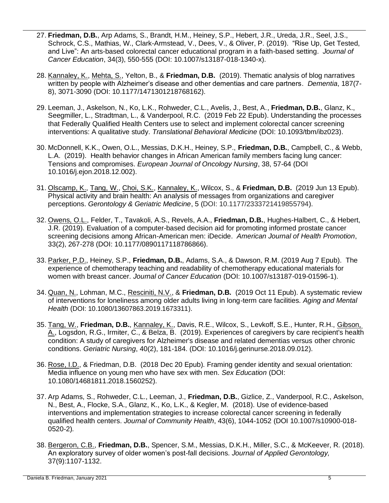- 27. **Friedman, D.B.**, Arp Adams, S., Brandt, H.M., Heiney, S.P., Hebert, J.R., Ureda, J.R., Seel, J.S., Schrock, C.S., Mathias, W., Clark-Armstead, V., Dees, V., & Oliver, P. (2019). "Rise Up, Get Tested, and Live": An arts-based colorectal cancer educational program in a faith-based setting. *Journal of Cancer Education*, 34(3), 550-555 (DOI: 10.1007/s13187-018-1340-x).
- 28. Kannaley, K., Mehta, S., Yelton, B., & **Friedman, D.B.** (2019). Thematic analysis of blog narratives written by people with Alzheimer's disease and other dementias and care partners. *Dementia*, 187(7- 8), 3071-3090 (DOI: 10.1177/1471301218768162).
- 29. Leeman, J., Askelson, N., Ko, L.K., Rohweder, C.L., Avelis, J., Best, A., **Friedman, D.B.**, Glanz, K., Seegmiller, L., Stradtman, L., & Vanderpool, R.C. (2019 Feb 22 Epub). Understanding the processes that Federally Qualified Health Centers use to select and implement colorectal cancer screening interventions: A qualitative study. *Translational Behavioral Medicine* (DOI: 10.1093/tbm/ibz023).
- 30. McDonnell, K.K., Owen, O.L., Messias, D.K.H., Heiney, S.P., **Friedman, D.B.**, Campbell, C., & Webb, L.A. (2019). Health behavior changes in African American family members facing lung cancer: Tensions and compromises. *European Journal of Oncology Nursing*, 38, 57-64 (DOI 10.1016/j.ejon.2018.12.002).
- 31. Olscamp, K., Tang, W., Choi, S.K., Kannaley, K., Wilcox, S., & **Friedman, D.B.** (2019 Jun 13 Epub). Physical activity and brain health: An analysis of messages from organizations and caregiver perceptions. *Gerontology & Geriatric Medicine*, 5 (DOI: 10.1177/2333721419855794).
- 32. Owens, O.L., Felder, T., Tavakoli, A.S., Revels, A.A., **Friedman, D.B.**, Hughes-Halbert, C., & Hebert, J.R. (2019). Evaluation of a computer-based decision aid for promoting informed prostate cancer screening decisions among African-American men: iDecide. *American Journal of Health Promotion*, 33(2), 267-278 (DOI: 10.1177/0890117118786866).
- 33. Parker, P.D., Heiney, S.P., **Friedman, D.B.**, Adams, S.A., & Dawson, R.M. (2019 Aug 7 Epub). The experience of chemotherapy teaching and readability of chemotherapy educational materials for women with breast cancer. *Journal of Cancer Education* (DOI: 10.1007/s13187-019-01596-1).
- 34. Quan, N., Lohman, M.C., Resciniti, N.V., & **Friedman, D.B.** (2019 Oct 11 Epub). A systematic review of interventions for loneliness among older adults living in long-term care facilities. *Aging and Mental Health* (DOI: 10.1080/13607863.2019.1673311).
- 35. Tang, W., **Friedman, D.B.**, Kannaley, K., Davis, R.E., Wilcox, S., Levkoff, S.E., Hunter, R.H., Gibson, A., Logsdon, R.G., Irmiter, C., & Belza, B. (2019). Experiences of caregivers by care recipient's health condition: A study of caregivers for Alzheimer's disease and related dementias versus other chronic conditions. *Geriatric Nursing*, 40(2), 181-184. (DOI: 10.1016/j.gerinurse.2018.09.012).
- 36. Rose, I.D., & Friedman, D.B. (2018 Dec 20 Epub). Framing gender identity and sexual orientation: Media influence on young men who have sex with men. *Sex Education* (DOI: 10.1080/14681811.2018.1560252).
- 37. Arp Adams, S., Rohweder, C.L., Leeman, J., **Friedman, D.B.**, Gizlice, Z., Vanderpool, R.C., Askelson, N., Best, A., Flocke, S.A., Glanz, K., Ko, L.K., & Kegler, M. (2018). Use of evidence-based interventions and implementation strategies to increase colorectal cancer screening in federally qualified health centers. *Journal of Community Health*, 43(6), 1044-1052 (DOI 10.1007/s10900-018- 0520-2)*.*
- 38. Bergeron, C.B., **Friedman, D.B.**, Spencer, S.M., Messias, D.K.H., Miller, S.C., & McKeever, R. (2018). An exploratory survey of older women's post-fall decisions. *Journal of Applied Gerontology,*  37(9):1107-1132.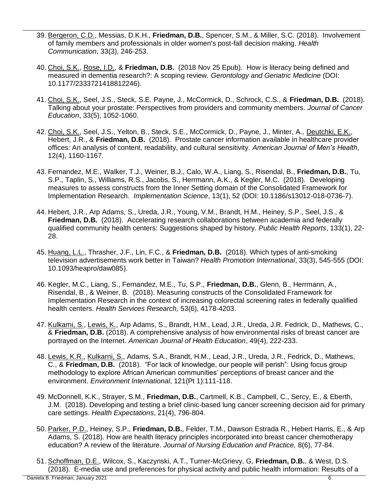- 39. Bergeron, C.D., Messias, D.K.H., **Friedman, D.B.**, Spencer, S.M., & Miller, S.C. (2018). Involvement of family members and professionals in older women's post-fall decision making. *Health Communication*, 33(3), 246-253.
- 40. Choi, S.K., Rose, I.D., & **Friedman, D.B.** (2018 Nov 25 Epub). How is literacy being defined and measured in dementia research?: A scoping review. *Gerontology and Geriatric Medicine* (DOI: 10.1177/2333721418812246).
- 41. Choi, S.K., Seel, J.S., Steck, S.E. Payne, J., McCormick, D., Schrock, C.S., & **Friedman, D.B.** (2018). Talking about your prostate: Perspectives from providers and community members. *Journal of Cancer Education*, 33(5), 1052-1060.
- 42. Choi, S.K., Seel, J.S., Yelton, B., Steck, S.E., McCormick, D., Payne, J., Minter, A., Deutchki, E.K., Hebert, J.R., & **Friedman, D.B.** (2018). Prostate cancer information available in healthcare provider offices: An analysis of content, readability, and cultural sensitivity. *American Journal of Men's Health*, 12(4), 1160-1167.
- 43. Fernandez, M.E., Walker, T.J., Weiner, B.J., Calo, W.A., Liang, S., Risendal, B., **Friedman, D.B.**, Tu, S.P., Taplin, S., Williams, R.S., Jacobs, S., Herrmann, A.K., & Kegler, M.C. (2018). Developing measures to assess constructs from the Inner Setting domain of the Consolidated Framework for Implementation Research. *Implementation Science*, 13(1), 52 (DOI: 10.1186/s13012-018-0736-7).
- 44. Hebert, J.R., Arp Adams, S., Ureda, J.R., Young, V.M., Brandt, H.M., Heiney, S.P., Seel, J.S., & **Friedman, D.B.** (2018). Accelerating research collaborations between academia and federally qualified community health centers: Suggestions shaped by history. *Public Health Reports*, 133(1), 22- 28.
- 45. Huang, L.L., Thrasher, J.F., Lin, F.C., & **Friedman, D.B.** (2018). Which types of anti-smoking television advertisements work better in Taiwan? *Health Promotion International*, 33(3), 545-555 (DOI: 10.1093/heapro/daw085).
- 46. Kegler, M.C., Liang, S., Fernandez, M.E., Tu, S.P., **Friedman, D.B.**, Glenn, B., Herrmann, A., Risendal, B., & Weiner, B. (2018). Measuring constructs of the Consolidated Framework for Implementation Research in the context of increasing colorectal screening rates in federally qualified health centers. *Health Services Research,* 53(6), 4178-4203.
- 47. Kulkarni, S., Lewis, K., Arp Adams, S., Brandt, H.M., Lead, J.R., Ureda, J.R. Fedrick, D., Mathews, C., & **Friedman, D.B.** (2018). A comprehensive analysis of how environmental risks of breast cancer are portrayed on the Internet. *American Journal of Health Education*, 49(4), 222-233.
- 48. Lewis, K.R., Kulkarni, S., Adams, S.A., Brandt, H.M., Lead, J.R., Ureda, J.R., Fedrick, D., Mathews, C., & **Friedman, D.B.** (2018). "For lack of knowledge, our people will perish": Using focus group methodology to explore African American communities' perceptions of breast cancer and the environment. *Environment International*, 121(Pt 1):111-118.
- 49. McDonnell, K.K., Strayer, S.M., **Friedman, D.B.**, Cartmell, K.B., Campbell, C., Sercy, E., & Eberth, J.M. (2018). Developing and testing a brief clinic-based lung cancer screening decision aid for primary care settings. *Health Expectations*, 21(4), 796-804.
- 50. Parker, P.D., Heiney, S.P., **Friedman, D.B.**, Felder, T.M., Dawson Estrada R., Hebert Harris, E., & Arp Adams, S. (2018). How are health literacy principles incorporated into breast cancer chemotherapy education? A review of the literature. *Journal of Nursing Education and Practice,* 8(6), 77-84.
- 51. Schoffman, D.E., Wilcox, S., Kaczynski, A.T., Turner-McGrievy, G, **Friedman, D.B.**, & West, D.S. (2018). E-media use and preferences for physical activity and public health information: Results of a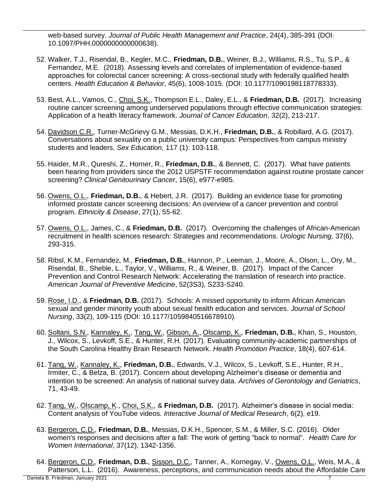web-based survey. *Journal of Public Health Management and Practice*, 24(4), 385-391 (DOI: 10.1097/PHH.0000000000000638).

- 52. Walker, T.J., Risendal, B., Kegler, M.C., **Friedman, D.B.**, Weiner, B.J., Williams, R.S., Tu, S.P., & Fernandez, M.E. (2018). Assessing levels and correlates of implementation of evidence-based approaches for colorectal cancer screening: A cross-sectional study with federally qualified health centers. *Health Education & Behavior*, 45(6), 1008-1015. (DOI: 10.1177/1090198118778333).
- 53. Best, A.L., Vamos, C., Choi, S.K., Thompson E.L., Daley, E.L., & **Friedman, D.B.** (2017). Increasing routine cancer screening among underserved populations through effective communication strategies: Application of a health literacy framework. *Journal of Cancer Education*, 32(2), 213-217.
- 54. Davidson C.R., Turner-McGrievy G.M., Messias, D.K.H., **Friedman, D.B.**, & Robillard, A.G. (2017). Conversations about sexuality on a public university campus: Perspectives from campus ministry students and leaders. *Sex Education,* 117 (1): 103-118.
- 55. Haider, M.R., Qureshi, Z., Horner, R., **Friedman, D.B.**, & Bennett, C. (2017). What have patients been hearing from providers since the 2012 USPSTF recommendation against routine prostate cancer screening? *Clinical Genitourinary Cancer*, 15(6), e977-e985.
- 56. Owens, O.L., **Friedman, D.B.**, & Hebert, J.R. (2017). Building an evidence base for promoting informed prostate cancer screening decisions: An overview of a cancer prevention and control program. *Ethnicity & Disease*, 27(1), 55-62.
- 57. Owens, O.L., James, C., & **Friedman, D.B.** (2017). Overcoming the challenges of African-American recruitment in health sciences research: Strategies and recommendations. *Urologic Nursing,* 37(6), 293-315.
- 58. Ribsl, K.M., Fernandez, M., **Friedman, D.B.**, Hannon, P., Leeman, J., Moore, A., Olson, L., Ory, M., Risendal, B., Sheble, L., Taylor, V., Williams, R., & Weiner, B. (2017). Impact of the Cancer Prevention and Control Research Network: Accelerating the translation of research into practice. *American Journal of Preventive Medicine*, 52(3S3), S233-S240.
- 59. Rose, I.D., & **Friedman, D.B.** (2017). Schools: A missed opportunity to inform African American sexual and gender minority youth about sexual health education and services. *Journal of School Nursing*, 33(2), 109-115 (DOI: 10.1177/1059840516678910)*.*
- 60. Soltani, S.N., Kannaley, K., Tang, W., Gibson, A., Olscamp, K., **Friedman, D.B.**, Khan, S., Houston, J., Wilcox, S., Levkoff, S.E., & Hunter, R.H. (2017). Evaluating community-academic partnerships of the South Carolina Healthy Brain Research Network. *Health Promotion Practice*, 18(4), 607-614.
- 61. Tang, W., Kannaley, K., **Friedman, D.B.**, Edwards, V.J., Wilcox, S., Levkoff, S.E., Hunter, R.H., Irmiter, C., & Belza, B. (2017). Concern about developing Alzheimer's disease or dementia and intention to be screened: An analysis of national survey data. *Archives of Gerontology and Geriatrics*, 71, 43-49.
- 62. Tang, W., Olscamp, K., Choi, S.K., & **Friedman, D.B.** (2017). Alzheimer's disease in social media: Content analysis of YouTube videos. *Interactive Journal of Medical Research*, 6(2), e19.
- 63. Bergeron, C.D., **Friedman, D.B.**, Messias, D.K.H., Spencer, S.M., & Miller, S.C. (2016). Older women's responses and decisions after a fall: The work of getting "back to normal". *Health Care for Women International*, 37(12), 1342-1356.
- 64. Bergeron, C.D., **Friedman, D.B.**, Sisson, D.C., Tanner, A., Kornegay, V., Owens, O.L., Weis, M.A., & Patterson, L.L. (2016). Awareness, perceptions, and communication needs about the Affordable Care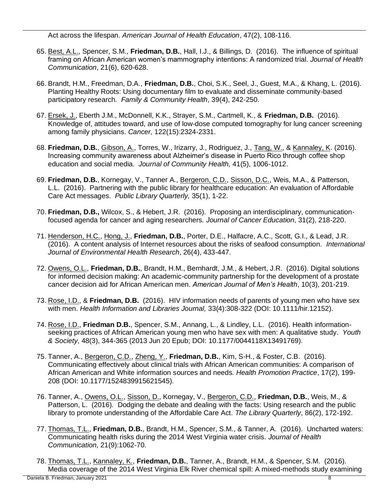Act across the lifespan. *American Journal of Health Education*, 47(2), 108-116*.*

- 65. Best, A.L., Spencer, S.M., **Friedman, D.B.**, Hall, I.J., & Billings, D. (2016). The influence of spiritual framing on African American women's mammography intentions: A randomized trial. *Journal of Health Communication*, 21(6), 620-628.
- 66. Brandt, H.M., Freedman, D.A., **Friedman, D.B.**, Choi, S.K., Seel, J., Guest, M.A., & Khang, L. (2016). Planting Healthy Roots: Using documentary film to evaluate and disseminate community-based participatory research. *Family & Community Health*, 39(4), 242-250.
- 67. Ersek, J., Eberth J.M., McDonnell, K.K., Strayer, S.M., Cartmell, K., & **Friedman, D.B.** (2016). Knowledge of, attitudes toward, and use of low-dose computed tomography for lung cancer screening among family physicians. *Cancer,* 122(15):2324-2331.
- 68. **Friedman, D.B.**, Gibson, A., Torres, W., Irizarry, J., Rodriguez, J., Tang, W., & Kannaley, K. (2016). Increasing community awareness about Alzheimer's disease in Puerto Rico through coffee shop education and social media. *Journal of Community Health,* 41(5), 1006-1012.
- 69. **Friedman, D.B.**, Kornegay, V., Tanner A., Bergeron, C.D., Sisson, D.C., Weis, M.A., & Patterson, L.L. (2016). Partnering with the public library for healthcare education: An evaluation of Affordable Care Act messages. *Public Library Quarterly,* 35(1), 1-22.
- 70. **Friedman, D.B.,** Wilcox, S., & Hebert, J.R. (2016). Proposing an interdisciplinary, communicationfocused agenda for cancer and aging researchers. *Journal of Cancer Education*, 31(2), 218-220.
- 71. Henderson, H.C., Hong, J., **Friedman, D.B.**, Porter, D.E., Halfacre, A.C., Scott, G.I., & Lead, J.R. (2016). A content analysis of Internet resources about the risks of seafood consumption. *International Journal of Environmental Health Research*, 26(4), 433-447.
- 72. Owens, O.L., **Friedman, D.B.**, Brandt, H.M., Bernhardt, J.M., & Hebert, J.R. (2016). Digital solutions for informed decision making: An academic-community partnership for the development of a prostate cancer decision aid for African American men. *American Journal of Men's Health*, 10(3), 201-219.
- 73. Rose, I.D., & **Friedman, D.B.** (2016). HIV information needs of parents of young men who have sex with men. *Health Information and Libraries Journal,* 33(4):308-322 (DOI: 10.1111/hir.12152).
- 74. Rose, I.D., **Friedman D.B.**, Spencer, S.M., Annang, L., & Lindley, L.L. (2016). Health informationseeking practices of African American young men who have sex with men: A qualitative study. *Youth & Society*, 48(3), 344-365 (2013 Jun 20 Epub; DOI: 10.1177/0044118X13491769).
- 75. Tanner, A., Bergeron, C.D., Zheng, Y., **Friedman, D.B.**, Kim, S-H., & Foster, C.B. (2016). Communicating effectively about clinical trials with African American communities: A comparison of African American and White information sources and needs. *Health Promotion Practice*, 17(2), 199- 208 (DOI: 10.1177/1524839915621545)*.*
- 76. Tanner, A., Owens, O.L., Sisson, D., Kornegay, V., Bergeron, C.D., **Friedman, D.B.**, Weis, M., & Patterson, L. (2016). Dodging the debate and dealing with the facts: Using research and the public library to promote understanding of the Affordable Care Act. *The Library Quarterly*, 86(2), 172-192.
- 77. Thomas, T.L., **Friedman, D.B.**, Brandt, H.M., Spencer, S.M., & Tanner, A. (2016). Uncharted waters: Communicating health risks during the 2014 West Virginia water crisis. *Journal of Health Communication,* 21(9):1062-70.
- 78. Thomas, T.L., Kannaley, K., **Friedman, D.B.**, Tanner, A., Brandt, H.M., & Spencer, S.M. (2016). Media coverage of the 2014 West Virginia Elk River chemical spill: A mixed-methods study examining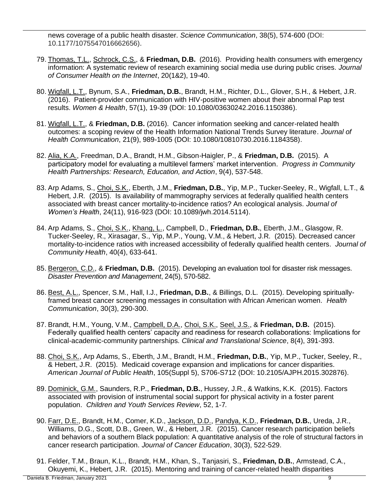news coverage of a public health disaster. *Science Communication*, 38(5), 574-600 (DOI: 10.1177/1075547016662656).

- 79. Thomas, T.L., Schrock, C.S., & **Friedman, D.B.** (2016). Providing health consumers with emergency information: A systematic review of research examining social media use during public crises. *Journal of Consumer Health on the Internet*, 20(1&2), 19-40.
- 80. Wigfall, L.T., Bynum, S.A., **Friedman, D.B.**, Brandt, H.M., Richter, D.L., Glover, S.H., & Hebert, J.R. (2016). Patient-provider communication with HIV-positive women about their abnormal Pap test results. *Women & Health*, 57(1), 19-39 (DOI: 10.1080/03630242.2016.1150386).
- 81. Wigfall, L.T., & **Friedman, D.B.** (2016). Cancer information seeking and cancer-related health outcomes: a scoping review of the Health Information National Trends Survey literature. *Journal of Health Communication*, 21(9), 989-1005 (DOI: 10.1080/10810730.2016.1184358).
- 82. Alia, K.A., Freedman, D.A., Brandt, H.M., Gibson-Haigler, P., & **Friedman, D.B.** (2015). A participatory model for evaluating a multilevel farmers' market intervention. *Progress in Community Health Partnerships: Research, Education, and Action*, 9(4), 537-548.
- 83. Arp Adams, S., Choi, S.K., Eberth, J.M., **Friedman, D.B.**, Yip, M.P., Tucker-Seeley, R., Wigfall, L.T., & Hebert, J.R. (2015). Is availability of mammography services at federally qualified health centers associated with breast cancer mortality-to-incidence ratios? An ecological analysis. *Journal of Women's Health*, 24(11), 916-923 (DOI: 10.1089/jwh.2014.5114).
- 84. Arp Adams, S., Choi, S.K., Khang, L., Campbell, D., **Friedman, D.B.**, Eberth, J.M., Glasgow, R. Tucker-Seeley, R., Xirasagar, S., Yip, M.P., Young, V.M., & Hebert, J.R. (2015). Decreased cancer mortality-to-incidence ratios with increased accessibility of federally qualified health centers. *Journal of Community Health*, 40(4), 633-641.
- 85. Bergeron, C.D., & **Friedman, D.B.** (2015). Developing an evaluation tool for disaster risk messages. *Disaster Prevention and Management*, 24(5), 570-582.
- 86. Best, A.L., Spencer, S.M., Hall, I.J., **Friedman, D.B.**, & Billings, D.L. (2015). Developing spirituallyframed breast cancer screening messages in consultation with African American women. *Health Communication*, 30(3), 290-300.
- 87. Brandt, H.M., Young, V.M., Campbell, D.A., Choi, S.K., Seel, J.S., & **Friedman, D.B.** (2015). Federally qualified health centers' capacity and readiness for research collaborations: Implications for clinical-academic-community partnerships. *Clinical and Translational Science*, 8(4), 391-393.
- 88. Choi, S.K., Arp Adams, S., Eberth, J.M., Brandt, H.M., **Friedman, D.B.**, Yip, M.P., Tucker, Seeley, R., & Hebert, J.R. (2015). Medicaid coverage expansion and implications for cancer disparities. *American Journal of Public Health*, 105(Suppl 5), S706-S712 (DOI: 10.2105/AJPH.2015.302876).
- 89. Dominick, G.M., Saunders, R.P., **Friedman, D.B.**, Hussey, J.R., & Watkins, K.K. (2015). Factors associated with provision of instrumental social support for physical activity in a foster parent population. *Children and Youth Services Review*, 52, 1-7*.*
- 90. Farr, D.E., Brandt, H.M., Comer, K.D., Jackson, D.D., Pandya, K.D., **Friedman, D.B.**, Ureda, J.R., Williams, D.G., Scott, D.B., Green, W., & Hebert, J.R. (2015). Cancer research participation beliefs and behaviors of a southern Black population: A quantitative analysis of the role of structural factors in cancer research participation. *Journal of Cancer Education*, 30(3), 522-529.
- 91. Felder, T.M., Braun, K.L., Brandt, H.M., Khan, S., Tanjasiri, S., **Friedman, D.B.**, Armstead, C.A., Okuyemi, K., Hebert, J.R. (2015). Mentoring and training of cancer-related health disparities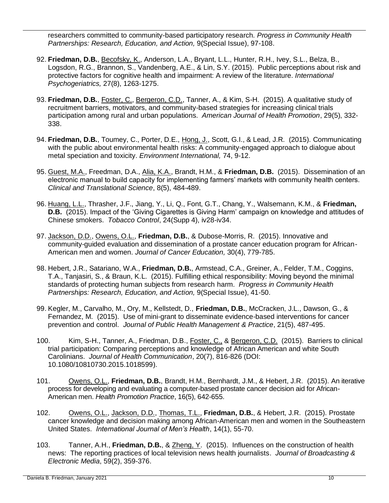researchers committed to community-based participatory research. *Progress in Community Health Partnerships: Research, Education, and Action,* 9(Special Issue), 97-108.

- 92. **Friedman, D.B.**, Becofsky, K., Anderson, L.A., Bryant, L.L., Hunter, R.H., Ivey, S.L., Belza, B., Logsdon, R.G., Brannon, S., Vandenberg, A.E., & Lin, S.Y. (2015). Public perceptions about risk and protective factors for cognitive health and impairment: A review of the literature. *International Psychogeriatrics,* 27(8), 1263-1275.
- 93. **Friedman, D.B.**, Foster, C., Bergeron, C.D., Tanner, A., & Kim, S-H. (2015). A qualitative study of recruitment barriers, motivators, and community-based strategies for increasing clinical trials participation among rural and urban populations. *American Journal of Health Promotion*, 29(5), 332- 338.
- 94. **Friedman, D.B.**, Toumey, C., Porter, D.E., Hong, J., Scott, G.I., & Lead, J.R. (2015). Communicating with the public about environmental health risks: A community-engaged approach to dialogue about metal speciation and toxicity. *Environment International,* 74, 9-12.
- 95. Guest, M.A., Freedman, D.A., Alia, K.A., Brandt, H.M., & **Friedman, D.B.** (2015). Dissemination of an electronic manual to build capacity for implementing farmers' markets with community health centers. *Clinical and Translational Science*, 8(5), 484-489.
- 96. Huang, L.L., Thrasher, J.F., Jiang, Y., Li, Q., Font, G.T., Chang, Y., Walsemann, K.M., & **Friedman, D.B.** (2015). Impact of the 'Giving Cigarettes is Giving Harm' campaign on knowledge and attitudes of Chinese smokers. *Tobacco Control*, 24(Supp 4), iv28-iv34.
- 97. Jackson, D.D., Owens, O.L., **Friedman, D.B.**, & Dubose-Morris, R. (2015). Innovative and community-guided evaluation and dissemination of a prostate cancer education program for African-American men and women. *Journal of Cancer Education,* 30(4), 779-785.
- 98. Hebert, J.R., Satariano, W.A., **Friedman, D.B.**, Armstead, C.A., Greiner, A., Felder, T.M., Coggins, T.A., Tanjasiri, S., & Braun, K.L. (2015). Fulfilling ethical responsibility: Moving beyond the minimal standards of protecting human subjects from research harm. *Progress in Community Health Partnerships: Research, Education, and Action,* 9(Special Issue), 41-50.
- 99. Kegler, M., Carvalho, M., Ory, M., Kellstedt, D., **Friedman, D.B.**, McCracken, J.L., Dawson, G., & Fernandez, M. (2015). Use of mini-grant to disseminate evidence-based interventions for cancer prevention and control. *Journal of Public Health Management & Practice*, 21(5), 487-495.
- 100. Kim, S-H., Tanner, A., Friedman, D.B., Foster, C., & Bergeron, C.D. (2015). Barriers to clinical trial participation: Comparing perceptions and knowledge of African American and white South Carolinians. *Journal of Health Communication*, 20(7), 816-826 (DOI: 10.1080/10810730.2015.1018599).
- 101. Owens, O.L., **Friedman, D.B.**, Brandt, H.M., Bernhardt, J.M., & Hebert, J.R. (2015). An iterative process for developing and evaluating a computer-based prostate cancer decision aid for African-American men. *Health Promotion Practice*, 16(5), 642-655.
- 102. Owens, O.L., Jackson, D.D., Thomas, T.L., **Friedman, D.B.**, & Hebert, J.R. (2015). Prostate cancer knowledge and decision making among African-American men and women in the Southeastern United States.*International Journal of Men's Health*, 14(1), 55-70.
- 103. Tanner, A.H., **Friedman, D.B.**, & Zheng, Y. (2015). Influences on the construction of health news: The reporting practices of local television news health journalists. *Journal of Broadcasting & Electronic Media*, 59(2), 359-376.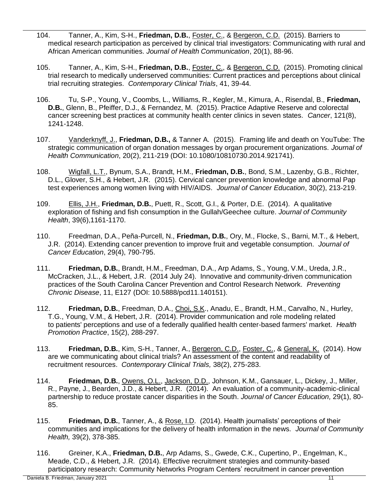- 104. Tanner, A., Kim, S-H., **Friedman, D.B.**, Foster, C., & Bergeron, C.D. (2015). Barriers to medical research participation as perceived by clinical trial investigators: Communicating with rural and African American communities. *Journal of Health Communication*, 20(1), 88-96.
- 105. Tanner, A., Kim, S-H., **Friedman, D.B.**, Foster, C., & Bergeron, C.D. (2015). Promoting clinical trial research to medically underserved communities: Current practices and perceptions about clinical trial recruiting strategies. *Contemporary Clinical Trials*, 41, 39-44*.*
- 106. Tu, S-P., Young, V., Coombs, L., Williams, R., Kegler, M., Kimura, A., Risendal, B., **Friedman, D.B.**, Glenn, B., Pfeiffer, D.J., & Fernandez, M. (2015). Practice Adaptive Reserve and colorectal cancer screening best practices at community health center clinics in seven states. *Cancer*, 121(8), 1241-1248.
- 107. Vanderknyff, J., **Friedman, D.B.,** & Tanner A. (2015). Framing life and death on YouTube: The strategic communication of organ donation messages by organ procurement organizations. *Journal of Health Communication*, 20(2), 211-219 (DOI: 10.1080/10810730.2014.921741).
- 108. Wigfall, L.T., Bynum, S.A., Brandt, H.M., **Friedman, D.B.**, Bond, S.M., Lazenby, G.B., Richter, D.L., Glover, S.H., & Hebert, J.R. (2015). Cervical cancer prevention knowledge and abnormal Pap test experiences among women living with HIV/AIDS. *Journal of Cancer Education*, 30(2), 213-219.
- 109. Ellis, J.H., **Friedman, D.B.**, Puett, R., Scott, G.I., & Porter, D.E. (2014). A qualitative exploration of fishing and fish consumption in the Gullah/Geechee culture. *Journal of Community Health*, 39(6),1161-1170.
- 110. Freedman, D.A., Peña-Purcell, N., **Friedman, D.B.**, Ory, M., Flocke, S., Barni, M.T., & Hebert, J.R. (2014). Extending cancer prevention to improve fruit and vegetable consumption. *Journal of Cancer Education*, 29(4), 790-795.
- 111. **Friedman, D.B.**, Brandt, H.M., Freedman, D.A., Arp Adams, S., Young, V.M., Ureda, J.R., McCracken, J.L., & Hebert, J.R. (2014 July 24). Innovative and community-driven communication practices of the South Carolina Cancer Prevention and Control Research Network. *Preventing Chronic Disease*, 11, E127 (DOI: 10.5888/pcd11.140151).
- 112. **Friedman, D.B.**, Freedman, D.A., Choi, S.K., Anadu, E., Brandt, H.M., Carvalho, N., Hurley, T.G., Young, V.M., & Hebert, J.R. (2014). Provider communication and role modeling related to patients' perceptions and use of a federally qualified health center-based farmers' market. *Health Promotion Practice*, 15(2), 288-297.
- 113. **Friedman, D.B.**, Kim, S-H., Tanner, A., Bergeron, C.D., Foster, C., & General, K. (2014). How are we communicating about clinical trials? An assessment of the content and readability of recruitment resources. *Contemporary Clinical Trials,* 38(2), 275-283.
- 114. **Friedman, D.B.**, Owens, O.L., Jackson, D.D., Johnson, K.M., Gansauer, L., Dickey, J., Miller, R., Payne, J., Bearden, J.D., & Hebert, J.R. (2014). An evaluation of a community-academic-clinical partnership to reduce prostate cancer disparities in the South. *Journal of Cancer Education,* 29(1), 80- 85.
- 115. **Friedman, D.B.**, Tanner, A., & Rose, I.D. (2014). Health journalists' perceptions of their communities and implications for the delivery of health information in the news. *Journal of Community Health,* 39(2), 378-385.
- 116. Greiner, K.A., **Friedman, D.B.**, Arp Adams, S., Gwede, C.K., Cupertino, P., Engelman, K., Meade, C.D., & Hebert, J.R. (2014). Effective recruitment strategies and community-based participatory research: Community Networks Program Centers' recruitment in cancer prevention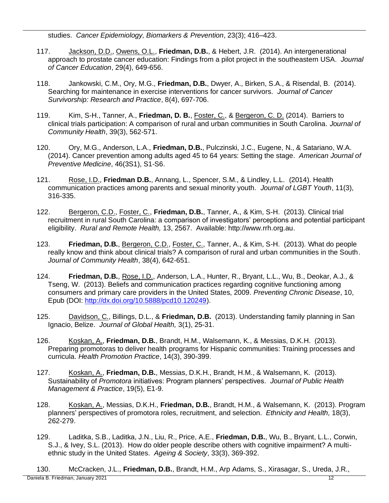studies. *Cancer Epidemiology, Biomarkers & Prevention*, 23(3); 416–423.

- 117. Jackson, D.D., Owens, O.L., **Friedman, D.B.**, & Hebert, J.R. (2014). An intergenerational approach to prostate cancer education: Findings from a pilot project in the southeastern USA. *Journal of Cancer Education*, 29(4), 649-656.
- 118. Jankowski, C.M., Ory, M.G., **Friedman, D.B.**, Dwyer, A., Birken, S.A., & Risendal, B. (2014). Searching for maintenance in exercise interventions for cancer survivors. *Journal of Cancer Survivorship: Research and Practice*, 8(4), 697-706.
- 119. Kim, S-H., Tanner, A., **Friedman, D. B.**, Foster, C., & Bergeron, C. D. (2014). Barriers to clinical trials participation: A comparison of rural and urban communities in South Carolina. *Journal of Community Health*, 39(3), 562-571.
- 120. Ory, M.G., Anderson, L.A., **Friedman, D.B.**, Pulczinski, J.C., Eugene, N., & Satariano, W.A. (2014). Cancer prevention among adults aged 45 to 64 years: Setting the stage. *American Journal of Preventive Medicine*, 46(3S1), S1-S6.
- 121. Rose, I.D., **Friedman D.B.**, Annang, L., Spencer, S.M., & Lindley, L.L. (2014). Health communication practices among parents and sexual minority youth. *Journal of LGBT Youth*, 11(3), 316-335.
- 122. Bergeron, C.D., Foster, C., **Friedman, D.B.**, Tanner, A., & Kim, S-H. (2013). Clinical trial recruitment in rural South Carolina: a comparison of investigators' perceptions and potential participant eligibility. *Rural and Remote Health,* 13, 2567. Available: http://www.rrh.org.au.
- 123. **Friedman, D.B.**, Bergeron, C.D., Foster, C., Tanner, A., & Kim, S-H. (2013). What do people really know and think about clinical trials? A comparison of rural and urban communities in the South. *Journal of Community Health*, 38(4), 642-651.
- 124. **Friedman, D.B.**, Rose, I.D., Anderson, L.A., Hunter, R., Bryant, L.L., Wu, B., Deokar, A.J., & Tseng, W. (2013). Beliefs and communication practices regarding cognitive functioning among consumers and primary care providers in the United States, 2009. *Preventing Chronic Disease*, 10, Epub (DOI: [http://dx.doi.org/10.5888/pcd10.120249\)](http://dx.doi.org/10.5888/pcd10.120249).
- 125. Davidson, C., Billings, D.L., & **Friedman, D.B.** (2013). Understanding family planning in San Ignacio, Belize. *Journal of Global Health,* 3(1), 25-31.
- 126. Koskan, A., **Friedman, D.B.**, Brandt, H.M., Walsemann, K., & Messias, D.K.H. (2013). Preparing promotoras to deliver health programs for Hispanic communities: Training processes and curricula. *Health Promotion Practice*, 14(3), 390-399.
- 127. Koskan, A., **Friedman, D.B.**, Messias, D.K.H., Brandt, H.M., & Walsemann, K. (2013). Sustainability of *Promotora* initiatives: Program planners' perspectives. *Journal of Public Health Management & Practice*, 19(5), E1-9.
- 128. Koskan, A., Messias, D.K.H., **Friedman, D.B.**, Brandt, H.M., & Walsemann, K. (2013). Program planners' perspectives of promotora roles, recruitment, and selection. *Ethnicity and Health,* 18(3), 262-279.
- 129. Laditka, S.B., Laditka, J.N., Liu, R., Price, A.E., **Friedman, D.B.**, Wu, B., Bryant, L.L., Corwin, S.J., & Ivey, S.L. (2013). How do older people describe others with cognitive impairment? A multiethnic study in the United States. *Ageing & Society*, 33(3), 369-392.
- Daniela B. Friedman, January 2021 12 130. McCracken, J.L., **Friedman, D.B.**, Brandt, H.M., Arp Adams, S., Xirasagar, S., Ureda, J.R.,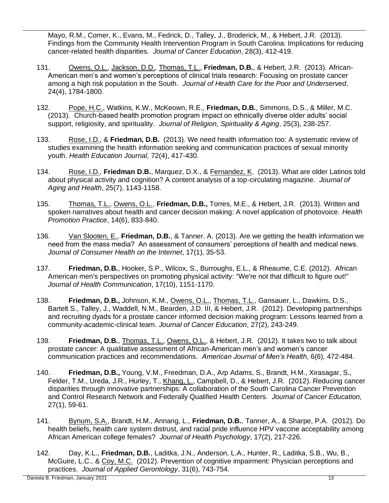Mayo, R.M., Comer, K., Evans, M., Fedrick, D., Talley, J., Broderick, M., & Hebert, J.R. (2013). Findings from the Community Health Intervention Program in South Carolina: Implications for reducing cancer-related health disparities. *Journal of Cancer Education*, 28(3), 412-419.

- 131. Owens, O.L., Jackson, D.D., Thomas, T.L., **Friedman, D.B.**, & Hebert, J.R. (2013). African-American men's and women's perceptions of clinical trials research: Focusing on prostate cancer among a high risk population in the South. *Journal of Health Care for the Poor and Underserved*, 24(4), 1784-1800.
- 132. Pope, H.C., Watkins, K.W., McKeown, R.E., **Friedman, D.B.**, Simmons, D.S., & Miller, M.C. (2013). Church-based health promotion program impact on ethnically diverse older adults' social support, religiosity, and spirituality. *Journal of Religion, Spirituality & Aging*, 25(3), 238-257.
- 133. Rose, I.D., & **Friedman, D.B.** (2013). We need health information too: A systematic review of studies examining the health information seeking and communication practices of sexual minority youth. *Health Education Journal,* 72(4), 417-430.
- 134. Rose, I.D., **Friedman D.B.**, Marquez, D.X., & Fernandez, K. (2013). What are older Latinos told about physical activity and cognition? A content analysis of a top-circulating magazine. *Journal of Aging and Health*, 25(7), 1143-1158.
- 135. Thomas, T.L., Owens, O.L., **Friedman, D.B.,** Torres, M.E., & Hebert, J.R. (2013). Written and spoken narratives about health and cancer decision making: A novel application of photovoice. *Health Promotion Practice*, 14(6), 833-840.
- 136. Van Slooten, E., **Friedman, D.B.**, & Tanner. A. (2013). Are we getting the health information we need from the mass media? An assessment of consumers' perceptions of health and medical news. *Journal of Consumer Health on the Internet*, 17(1), 35-53.
- 137. **Friedman, D.B.**, Hooker, S.P., Wilcox, S., Burroughs, E.L., & Rheaume, C.E. (2012). African American men's perspectives on promoting physical activity: "We're not that difficult to figure out!" *Journal of Health Communication*, 17(10), 1151-1170.
- 138. **Friedman, D.B.,** Johnson, K.M., Owens, O.L., Thomas, T.L., Gansauer, L., Dawkins, D.S., Bartelt S., Talley, J., Waddell, N.M., Bearden, J.D. III, & Hebert, J.R. (2012). Developing partnerships and recruiting dyads for a prostate cancer informed decision making program: Lessons learned from a community-academic-clinical team. *Journal of Cancer Education*, 27(2), 243-249.
- 139. **Friedman, D.B.**, Thomas, T.L., Owens, O.L., & Hebert, J.R. (2012). It takes two to talk about prostate cancer: A qualitative assessment of African-American men's and women's cancer communication practices and recommendations. *American Journal of Men's Health*, 6(6), 472-484.
- 140. **Friedman, D.B.,** Young, V.M., Freedman, D.A., Arp Adams, S., Brandt, H.M., Xirasagar, S., Felder, T.M., Ureda, J.R., Hurley, T., Khang, L., Campbell, D., & Hebert, J.R. (2012). Reducing cancer disparities through innovative partnerships: A collaboration of the South Carolina Cancer Prevention and Control Research Network and Federally Qualified Health Centers. *Journal of Cancer Education,*  27(1), 59-61.
- 141. Bynum, S.A., Brandt, H.M., Annang, L., **Friedman, D.B.**, Tanner, A., & Sharpe, P.A. (2012). Do health beliefs, health care system distrust, and racial pride influence HPV vaccine acceptability among African American college females? *Journal of Health Psychology*, 17(2), 217-226*.*
- 142. Day, K.L., **Friedman, D.B.**, Laditka, J.N., Anderson, L.A., Hunter, R., Laditka, S.B., Wu, B., McGuire, L.C., & Coy, M.C. (2012). Prevention of cognitive impairment: Physician perceptions and practices. *Journal of Applied Gerontology*, 31(6), 743-754*.*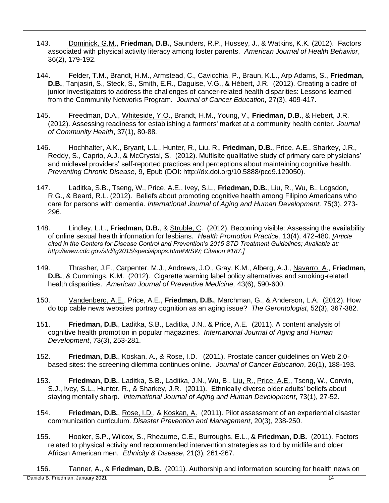- 143. Dominick, G.M., **Friedman, D.B.**, Saunders, R.P., Hussey, J., & Watkins, K.K. (2012). Factors associated with physical activity literacy among foster parents. *American Journal of Health Behavior*, 36(2), 179-192.
- 144. Felder, T.M., Brandt, H.M., Armstead, C., Cavicchia, P., Braun, K.L., Arp Adams, S., **Friedman, D.B.**, Tanjasiri, S., Steck, S., Smith, E.R., Daguise, V.G., & Hébert, J.R. (2012). Creating a cadre of junior investigators to address the challenges of cancer-related health disparities: Lessons learned from the Community Networks Program. *Journal of Cancer Education,* 27(3), 409-417.
- 145. Freedman, D.A., Whiteside, Y.O., Brandt, H.M., Young, V., **Friedman, D.B.**, & Hebert, J.R. (2012). Assessing readiness for establishing a farmers' market at a community health center. *Journal of Community Health*, 37(1), 80-88*.*
- 146. Hochhalter, A.K., Bryant, L.L., Hunter, R., Liu, R., **Friedman, D.B.**, Price, A.E., Sharkey, J.R., Reddy, S., Caprio, A.J., & McCrystal, S. (2012). Multisite qualitative study of primary care physicians' and midlevel providers' self-reported practices and perceptions about maintaining cognitive health. *Preventing Chronic Disease,* 9, Epub (DOI: http://dx.doi.org/10.5888/pcd9.120050).
- 147. Laditka, S.B., Tseng, W., Price, A.E., Ivey, S.L., **Friedman, D.B.**, Liu, R., Wu, B., Logsdon, R.G., & Beard, R.L. (2012). Beliefs about promoting cognitive health among Filipino Americans who care for persons with dementia. *International Journal of Aging and Human Development,* 75(3), 273- 296.
- 148. Lindley, L.L., **Friedman, D.B.**, & Struble, C. (2012). Becoming visible: Assessing the availability of online sexual health information for lesbians. *Health Promotion Practice*, 13(4), 472-480. *[Article cited in the Centers for Disease Control and Prevention's 2015 STD Treatment Guidelines; Available at: http://www.cdc.gov/std/tg2015/specialpops.htm#WSW; Citation #187.]*
- 149. Thrasher, J.F., Carpenter, M.J., Andrews, J.O., Gray, K.M., Alberg, A.J., Navarro, A., **Friedman, D.B.**, & Cummings, K.M. (2012). Cigarette warning label policy alternatives and smoking-related health disparities. *American Journal of Preventive Medicine,* 43(6), 590-600.
- 150. Vandenberg, A.E., Price, A.E., **Friedman, D.B.**, Marchman, G., & Anderson, L.A. (2012). How do top cable news websites portray cognition as an aging issue? *The Gerontologist*, 52(3), 367-382.
- 151. **Friedman, D.B.**, Laditka, S.B., Laditka, J.N., & Price, A.E. (2011). A content analysis of cognitive health promotion in popular magazines. *International Journal of Aging and Human Development*, 73(3), 253-281.
- 152. **Friedman, D.B.**, Koskan, A., & Rose, I.D. (2011). Prostate cancer guidelines on Web 2.0 based sites: the screening dilemma continues online. *Journal of Cancer Education*, 26(1), 188-193.
- 153. **Friedman, D.B.**, Laditka, S.B., Laditka, J.N., Wu, B., Liu, R., Price, A.E., Tseng, W., Corwin, S.J., Ivey, S.L., Hunter, R., & Sharkey, J.R. (2011). Ethnically diverse older adults' beliefs about staying mentally sharp. *International Journal of Aging and Human Development*, 73(1), 27-52.
- 154. **Friedman, D.B.**, Rose, I.D., & Koskan, A. (2011). Pilot assessment of an experiential disaster communication curriculum. *Disaster Prevention and Management*, 20(3), 238-250.
- 155. Hooker, S.P., Wilcox, S., Rheaume, C.E., Burroughs, E.L., & **Friedman, D.B.** (2011). Factors related to physical activity and recommended intervention strategies as told by midlife and older African American men. *Ethnicity & Disease*, 21(3), 261-267.

Daniela B. Friedman, January 2021 14 156. Tanner, A., & **Friedman, D.B.** (2011). Authorship and information sourcing for health news on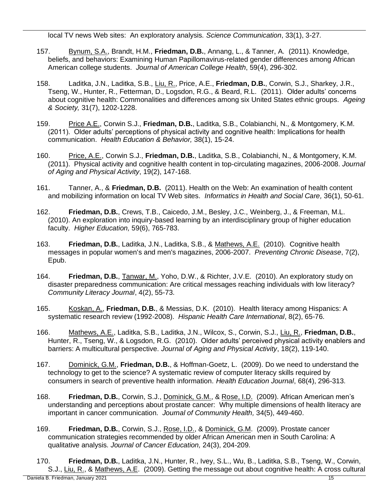local TV news Web sites: An exploratory analysis. *Science Communication*, 33(1), 3-27*.* 

- 157. Bynum, S.A., Brandt, H.M., **Friedman, D.B.**, Annang, L., & Tanner, A. (2011). Knowledge, beliefs, and behaviors: Examining Human Papillomavirus-related gender differences among African American college students. *Journal of American College Health*, 59(4), 296-302.
- 158. Laditka, J.N., Laditka, S.B., Liu, R., Price, A.E., **Friedman, D.B.**, Corwin, S.J., Sharkey, J.R., Tseng, W., Hunter, R., Fetterman, D., Logsdon, R.G., & Beard, R.L. (2011). Older adults' concerns about cognitive health: Commonalities and differences among six United States ethnic groups. *Ageing & Society,* 31(7), 1202-1228.
- 159. Price A.E., Corwin S.J., **Friedman, D.B.**, Laditka, S.B., Colabianchi, N., & Montgomery, K.M. (2011). Older adults' perceptions of physical activity and cognitive health: Implications for health communication. *Health Education & Behavior,* 38(1), 15-24.
- 160. Price, A.E., Corwin S.J., **Friedman, D.B.**, Laditka, S.B., Colabianchi, N., & Montgomery, K.M. (2011). Physical activity and cognitive health content in top-circulating magazines, 2006-2008. *Journal of Aging and Physical Activity*, 19(2), 147-168.
- 161. Tanner, A., & **Friedman, D.B.** (2011). Health on the Web: An examination of health content and mobilizing information on local TV Web sites. *Informatics in Health and Social Care,* 36(1), 50-61.
- 162. **Friedman, D.B.**, Crews, T.B., Caicedo, J.M., Besley, J.C., Weinberg, J., & Freeman, M.L. (2010). An exploration into inquiry-based learning by an interdisciplinary group of higher education faculty. *Higher Education,* 59(6), 765-783.
- 163. **Friedman, D.B.**, Laditka, J.N., Laditka, S.B., & Mathews, A.E. (2010). Cognitive health messages in popular women's and men's magazines, 2006-2007. *Preventing Chronic Disease*, 7(2), Epub.
- 164. **Friedman, D.B.**, Tanwar, M., Yoho, D.W., & Richter, J.V.E. (2010). An exploratory study on disaster preparedness communication: Are critical messages reaching individuals with low literacy? *Community Literacy Journal*, 4(2), 55-73.
- 165. Koskan, A., **Friedman, D.B.**, & Messias, D.K. (2010). Health literacy among Hispanics: A systematic research review (1992-2008). *Hispanic Health Care International*, 8(2), 65-76.
- 166. Mathews, A.E., Laditka, S.B., Laditka, J.N., Wilcox, S., Corwin, S.J., Liu, R., **Friedman, D.B.**, Hunter, R., Tseng, W., & Logsdon, R.G. (2010). Older adults' perceived physical activity enablers and barriers: A multicultural perspective. *Journal of Aging and Physical Activity*, 18(2), 119-140.
- 167. Dominick, G.M., **Friedman, D.B.**, & Hoffman-Goetz, L. (2009). Do we need to understand the technology to get to the science? A systematic review of computer literacy skills required by consumers in search of preventive health information. *Health Education Journal*, 68(4), 296-313.
- 168. **Friedman, D.B.**, Corwin, S.J., Dominick, G.M., & Rose, I.D. (2009). African American men's understanding and perceptions about prostate cancer: Why multiple dimensions of health literacy are important in cancer communication. *Journal of Community Health,* 34(5), 449-460.
- 169. **Friedman, D.B.**, Corwin, S.J., Rose, I.D., & Dominick, G.M. (2009). Prostate cancer communication strategies recommended by older African American men in South Carolina: A qualitative analysis. *Journal of Cancer Education,* 24(3), 204-209.
- 170. **Friedman, D.B.**, Laditka, J.N., Hunter, R., Ivey, S.L., Wu, B., Laditka, S.B., Tseng, W., Corwin, S.J., Liu, R., & Mathews, A.E. (2009). Getting the message out about cognitive health: A cross cultural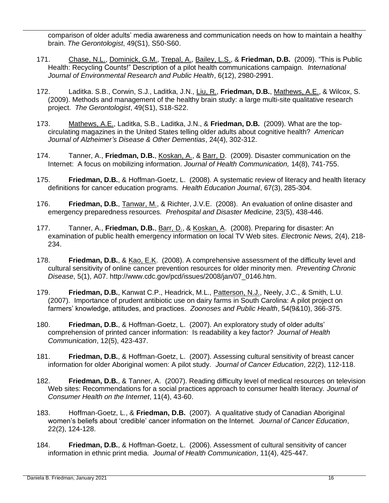comparison of older adults' media awareness and communication needs on how to maintain a healthy brain. *The Gerontologist*, 49(S1), S50-S60.

- 171. Chase, N.L., Dominick, G.M., Trepal, A., Bailey, L.S., & **Friedman, D.B.** (2009). "This is Public Health: Recycling Counts!" Description of a pilot health communications campaign. *International Journal of Environmental Research and Public Health*, 6(12), 2980-2991.
- 172. Laditka. S.B., Corwin, S.J., Laditka, J.N., Liu, R., **Friedman, D.B.**, Mathews, A.E., & Wilcox, S. (2009). Methods and management of the healthy brain study: a large multi-site qualitative research project. *The Gerontologist*, 49(S1), S18-S22.
- 173. Mathews, A.E., Laditka, S.B., Laditka, J.N., & **Friedman, D.B.** (2009). What are the topcirculating magazines in the United States telling older adults about cognitive health? *American Journal of Alzheimer's Disease & Other Dementias*, 24(4), 302-312.
- 174. Tanner, A., **Friedman, D.B.**, Koskan, A., & Barr, D. (2009). Disaster communication on the Internet: A focus on mobilizing information. *Journal of Health Communication,* 14(8), 741-755.
- 175. **Friedman, D.B.**, & Hoffman-Goetz, L. (2008). A systematic review of literacy and health literacy definitions for cancer education programs. *Health Education Journal*, 67(3), 285-304.
- 176. **Friedman, D.B.**, Tanwar, M., & Richter, J.V.E. (2008). An evaluation of online disaster and emergency preparedness resources. *Prehospital and Disaster Medicine,* 23(5), 438-446.
- 177. Tanner, A., **Friedman, D.B.**, Barr, D., & Koskan, A. (2008). Preparing for disaster: An examination of public health emergency information on local TV Web sites. *Electronic News,* 2(4), 218- 234.
- 178. **Friedman, D.B.**, & Kao, E.K. (2008). A comprehensive assessment of the difficulty level and cultural sensitivity of online cancer prevention resources for older minority men. *Preventing Chronic Disease*, 5(1), A07. http://www.cdc.gov/pcd/issues/2008/jan/07\_0146.htm.
- 179. **Friedman, D.B.**, Kanwat C.P., Headrick, M.L., Patterson, N.J., Neely, J.C., & Smith, L.U. (2007). Importance of prudent antibiotic use on dairy farms in South Carolina: A pilot project on farmers' knowledge, attitudes, and practices. *Zoonoses and Public Health*, 54(9&10), 366-375.
- 180. **Friedman, D.B.**, & Hoffman-Goetz, L. (2007). An exploratory study of older adults' comprehension of printed cancer information: Is readability a key factor? *Journal of Health Communication*, 12(5), 423-437.
- 181. **Friedman, D.B.**, & Hoffman-Goetz, L. (2007). Assessing cultural sensitivity of breast cancer information for older Aboriginal women: A pilot study. *Journal of Cancer Education*, 22(2), 112-118.
- 182. **Friedman, D.B.**, & Tanner, A. (2007). Reading difficulty level of medical resources on television Web sites: Recommendations for a social practices approach to consumer health literacy. *Journal of Consumer Health on the Internet*, 11(4), 43-60.
- 183. Hoffman-Goetz, L., & **Friedman, D.B.** (2007). A qualitative study of Canadian Aboriginal women's beliefs about 'credible' cancer information on the Internet. *Journal of Cancer Education*, 22(2), 124-128.
- 184. **Friedman, D.B.**, & Hoffman-Goetz, L. (2006). Assessment of cultural sensitivity of cancer information in ethnic print media. *Journal of Health Communication*, 11(4), 425-447.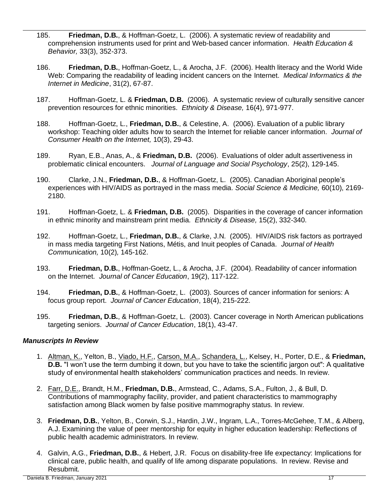- 185. **Friedman, D.B.**, & Hoffman-Goetz, L. (2006). A systematic review of readability and comprehension instruments used for print and Web-based cancer information. *Health Education & Behavior,* 33(3), 352-373.
- 186. **Friedman, D.B.**, Hoffman-Goetz, L., & Arocha, J.F. (2006). Health literacy and the World Wide Web: Comparing the readability of leading incident cancers on the Internet. *Medical Informatics & the Internet in Medicine*, 31(2), 67-87.
- 187. Hoffman-Goetz, L. & **Friedman, D.B.** (2006). A systematic review of culturally sensitive cancer prevention resources for ethnic minorities. *Ethnicity & Disease,* 16(4), 971-977.
- 188. Hoffman-Goetz, L., **Friedman, D.B.**, & Celestine, A. (2006). Evaluation of a public library workshop: Teaching older adults how to search the Internet for reliable cancer information. *Journal of Consumer Health on the Internet,* 10(3), 29-43.
- 189. Ryan, E.B., Anas, A., & **Friedman, D.B.** (2006). Evaluations of older adult assertiveness in problematic clinical encounters. *Journal of Language and Social Psychology*, 25(2), 129-145.
- 190. Clarke, J.N., **Friedman, D.B.**, & Hoffman-Goetz, L. (2005). Canadian Aboriginal people's experiences with HIV/AIDS as portrayed in the mass media. *Social Science & Medicine,* 60(10), 2169- 2180.
- 191. Hoffman-Goetz, L. & **Friedman, D.B.** (2005). Disparities in the coverage of cancer information in ethnic minority and mainstream print media. *Ethnicity & Disease,* 15(2), 332-340.
- 192. Hoffman-Goetz, L., **Friedman, D.B.**, & Clarke, J.N. (2005). HIV/AIDS risk factors as portrayed in mass media targeting First Nations, Métis, and Inuit peoples of Canada. *Journal of Health Communication,* 10(2)*,* 145-162.
- 193. **Friedman, D.B.**, Hoffman-Goetz, L., & Arocha, J.F. (2004). Readability of cancer information on the Internet. *Journal of Cancer Education*, 19(2), 117-122.
- 194. **Friedman, D.B.**, & Hoffman-Goetz, L. (2003). Sources of cancer information for seniors: A focus group report. *Journal of Cancer Education*, 18(4), 215-222.
- 195. **Friedman, D.B.**, & Hoffman-Goetz, L. (2003). Cancer coverage in North American publications targeting seniors. *Journal of Cancer Education*, 18(1), 43-47.

## *Manuscripts In Review*

- 1. Altman, K., Yelton, B., Viado, H.F., Carson, M.A., Schandera, L., Kelsey, H., Porter, D.E., & **Friedman, D.B.** "I won't use the term dumbing it down, but you have to take the scientific jargon out": A qualitative study of environmental health stakeholders' communication practices and needs. In review.
- 2. Farr, D.E., Brandt, H.M., **Friedman, D.B.**, Armstead, C., Adams, S.A., Fulton, J., & Bull, D. Contributions of mammography facility, provider, and patient characteristics to mammography satisfaction among Black women by false positive mammography status. In review.
- 3. **Friedman, D.B.**, Yelton, B., Corwin, S.J., Hardin, J.W., Ingram, L.A., Torres-McGehee, T.M., & Alberg, A.J. Examining the value of peer mentorship for equity in higher education leadership: Reflections of public health academic administrators. In review.
- 4. Galvin, A.G., **Friedman, D.B.**, & Hebert, J.R. Focus on disability-free life expectancy: Implications for clinical care, public health, and qualify of life among disparate populations. In review. Revise and Resubmit.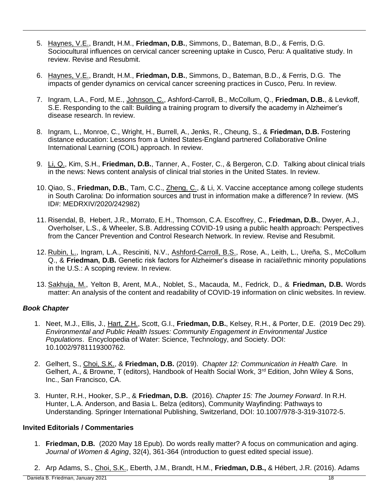- 5. Haynes, V.E., Brandt, H.M., **Friedman, D.B.**, Simmons, D., Bateman, B.D., & Ferris, D.G. Sociocultural influences on cervical cancer screening uptake in Cusco, Peru: A qualitative study. In review. Revise and Resubmit.
- 6. Haynes, V.E., Brandt, H.M., **Friedman, D.B.**, Simmons, D., Bateman, B.D., & Ferris, D.G. The impacts of gender dynamics on cervical cancer screening practices in Cusco, Peru. In review.
- 7. Ingram, L.A., Ford, M.E., Johnson, C., Ashford-Carroll, B., McCollum, Q., **Friedman, D.B.**, & Levkoff, S.E. Responding to the call: Building a training program to diversify the academy in Alzheimer's disease research. In review.
- 8. Ingram, L., Monroe, C., Wright, H., Burrell, A., Jenks, R., Cheung, S., & **Friedman, D.B.** Fostering distance education: Lessons from a United States-England partnered Collaborative Online International Learning (COIL) approach. In review.
- 9. Li, Q., Kim, S.H., **Friedman, D.B.**, Tanner, A., Foster, C., & Bergeron, C.D. Talking about clinical trials in the news: News content analysis of clinical trial stories in the United States. In review.
- 10. Qiao, S., **Friedman, D.B.**, Tam, C.C., Zheng, C., & Li, X. Vaccine acceptance among college students in South Carolina: Do information sources and trust in information make a difference? In review. (MS ID#: MEDRXIV/2020/242982)
- 11. Risendal, B, Hebert, J.R., Morrato, E.H., Thomson, C.A. Escoffrey, C., **Friedman, D.B.**, Dwyer, A.J., Overholser, L.S., & Wheeler, S.B. Addressing COVID-19 using a public health approach: Perspectives from the Cancer Prevention and Control Research Network. In review. Revise and Resubmit.
- 12. Rubin, L., Ingram, L.A., Resciniti, N.V., Ashford-Carroll, B.S., Rose, A., Leith, L., Ureña, S., McCollum Q., & **Friedman, D.B.** Genetic risk factors for Alzheimer's disease in racial/ethnic minority populations in the U.S.: A scoping review. In review.
- 13. Sakhuja, M., Yelton B, Arent, M.A., Noblet, S., Macauda, M., Fedrick, D., & **Friedman, D.B.** Words matter: An analysis of the content and readability of COVID-19 information on clinic websites. In review.

## *Book Chapter*

- 1. Neet, M.J., Ellis, J., Hart, Z.H., Scott, G.I., **Friedman, D.B.**, Kelsey, R.H., & Porter, D.E. (2019 Dec 29). *Environmental and Public Health Issues: Community Engagement in Environmental Justice Populations*. Encyclopedia of Water: Science, Technology, and Society. DOI: 10.1002/9781119300762.
- 2. Gelhert, S., Choi, S.K., & **Friedman, D.B.** (2019). *Chapter 12: Communication in Health Care.* In Gelhert, A., & Browne, T (editors), Handbook of Health Social Work, 3<sup>rd</sup> Edition, John Wiley & Sons, Inc., San Francisco, CA.
- 3. Hunter, R.H., Hooker, S.P., & **Friedman, D.B.** (2016). *Chapter 15: The Journey Forward*. In R.H. Hunter, L.A. Anderson, and Basia L. Belza (editors), Community Wayfinding: Pathways to Understanding*.* Springer International Publishing, Switzerland, DOI: 10.1007/978-3-319-31072-5.

## **Invited Editorials / Commentaries**

- 1. **Friedman, D.B.** (2020 May 18 Epub). Do words really matter? A focus on communication and aging. *Journal of Women & Aging*, 32(4), 361-364 (introduction to guest edited special issue).
- 2. Arp Adams, S., Choi, S.K., Eberth, J.M., Brandt, H.M., **Friedman, D.B.,** & Hébert, J.R. (2016). Adams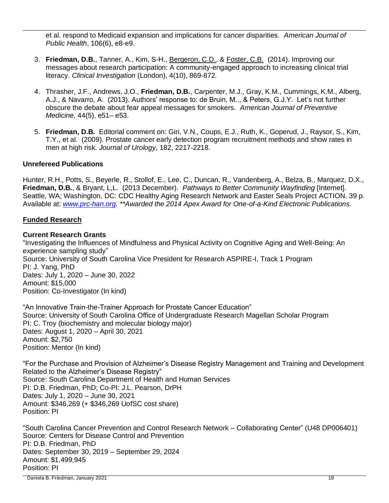et al. respond to Medicaid expansion and implications for cancer disparities. *American Journal of Public Health*, 106(6), e8-e9.

- 3. **Friedman, D.B.**, Tanner, A., Kim, S-H., Bergeron, C.D., & Foster, C.B. (2014). Improving our messages about research participation: A community-engaged approach to increasing clinical trial literacy. *Clinical Investigation* (London), 4(10), 869-872*.*
- 4. Thrasher, J.F., Andrews, J.O., **Friedman, D.B.**, Carpenter, M.J., Gray, K.M., Cummings, K.M., Alberg, A.J., & Navarro, A. (2013). Authors' response to: de Bruin, M.., & Peters, G.J.Y. Let's not further obscure the debate about fear appeal messages for smokers. *American Journal of Preventive Medicine,* 44(5), e51– e53.
- 5. **Friedman, D.B.** Editorial comment on: Giri, V.N., Coups, E.J., Ruth, K., Goperud, J., Raysor, S., Kim, T.Y., et al. (2009). Prostate cancer early detection program recruitment methods and show rates in men at high risk. *Journal of Urology*, 182, 2217-2218.

# **Unrefereed Publications**

Hunter, R.H., Potts, S., Beyerle, R., Stollof, E., Lee, C., Duncan, R., Vandenberg, A., Belza, B., Marquez, D.X., **Friedman, D.B.**, & Bryant, L,L. (2013 December). *Pathways to Better Community Wayfinding* [Internet]. Seattle, WA; Washington, DC: CDC Healthy Aging Research Network and Easter Seals Project ACTION. 39 p. Available at: *[www.prc-han.org.](http://www.prc-han.org/) \*\*Awarded the 2014 Apex Award for One-of-a-Kind Electronic Publications.*

## **Funded Research**

## **Current Research Grants**

"Investigating the Influences of Mindfulness and Physical Activity on Cognitive Aging and Well-Being: An experience sampling study" Source: University of South Carolina Vice President for Research ASPIRE-I, Track 1 Program PI: J. Yang, PhD Dates: July 1, 2020 – June 30, 2022 Amount: \$15,000 Position: Co-Investigator (In kind)

"An Innovative Train-the-Trainer Approach for Prostate Cancer Education" Source: University of South Carolina Office of Undergraduate Research Magellan Scholar Program PI: C. Troy (biochemistry and molecular biology major) Dates: August 1, 2020 – April 30, 2021 Amount: \$2,750 Position: Mentor (In kind)

"For the Purchase and Provision of Alzheimer's Disease Registry Management and Training and Development Related to the Alzheimer's Disease Registry" Source: South Carolina Department of Health and Human Services PI: D.B. Friedman, PhD; Co-PI: J.L. Pearson, DrPH Dates: July 1, 2020 – June 30, 2021 Amount: \$346,269 (+ \$346,269 UofSC cost share) Position: PI

"South Carolina Cancer Prevention and Control Research Network – Collaborating Center" (U48 DP006401) Source: Centers for Disease Control and Prevention PI: D.B. Friedman, PhD Dates: September 30, 2019 – September 29, 2024 Amount: \$1,499,945 Position: PI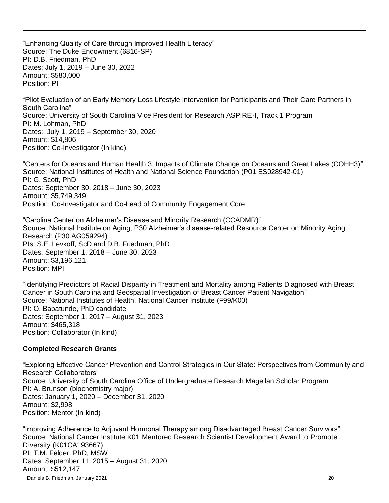"Enhancing Quality of Care through Improved Health Literacy" Source: The Duke Endowment (6816-SP) PI: D.B. Friedman, PhD Dates: July 1, 2019 – June 30, 2022 Amount: \$580,000 Position: PI

"Pilot Evaluation of an Early Memory Loss Lifestyle Intervention for Participants and Their Care Partners in South Carolina" Source: University of South Carolina Vice President for Research ASPIRE-I, Track 1 Program PI: M. Lohman, PhD Dates: July 1, 2019 – September 30, 2020 Amount: \$14,806 Position: Co-Investigator (In kind)

"Centers for Oceans and Human Health 3: Impacts of Climate Change on Oceans and Great Lakes (COHH3)" Source: National Institutes of Health and National Science Foundation (P01 ES028942-01) PI: G. Scott, PhD Dates: September 30, 2018 – June 30, 2023 Amount: \$5,749,349 Position: Co-Investigator and Co-Lead of Community Engagement Core

"Carolina Center on Alzheimer's Disease and Minority Research (CCADMR)" Source: National Institute on Aging, P30 Alzheimer's disease-related Resource Center on Minority Aging Research (P30 AG059294) PIs: S.E. Levkoff, ScD and D.B. Friedman, PhD Dates: September 1, 2018 – June 30, 2023 Amount: \$3,196,121 Position: MPI

"Identifying Predictors of Racial Disparity in Treatment and Mortality among Patients Diagnosed with Breast Cancer in South Carolina and Geospatial Investigation of Breast Cancer Patient Navigation" Source: National Institutes of Health, National Cancer Institute (F99/K00) PI: O. Babatunde, PhD candidate Dates: September 1, 2017 – August 31, 2023 Amount: \$465,318 Position: Collaborator (In kind)

## **Completed Research Grants**

"Exploring Effective Cancer Prevention and Control Strategies in Our State: Perspectives from Community and Research Collaborators" Source: University of South Carolina Office of Undergraduate Research Magellan Scholar Program PI: A. Brunson (biochemistry major) Dates: January 1, 2020 – December 31, 2020 Amount: \$2,998 Position: Mentor (In kind)

 Daniela B. Friedman, January 2021 20 "Improving Adherence to Adjuvant Hormonal Therapy among Disadvantaged Breast Cancer Survivors" Source: National Cancer Institute K01 Mentored Research Scientist Development Award to Promote Diversity (K01CA193667) PI: T.M. Felder, PhD, MSW Dates: September 11, 2015 – August 31, 2020 Amount: \$512,147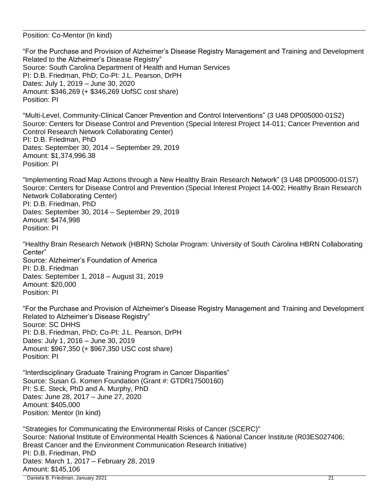Position: Co-Mentor (In kind)

"For the Purchase and Provision of Alzheimer's Disease Registry Management and Training and Development Related to the Alzheimer's Disease Registry" Source: South Carolina Department of Health and Human Services PI: D.B. Friedman, PhD; Co-PI: J.L. Pearson, DrPH Dates: July 1, 2019 – June 30, 2020 Amount: \$346,269 (+ \$346,269 UofSC cost share) Position: PI

"Multi-Level, Community-Clinical Cancer Prevention and Control Interventions" (3 U48 DP005000-01S2) Source: Centers for Disease Control and Prevention (Special Interest Project 14-011; Cancer Prevention and Control Research Network Collaborating Center) PI: D.B. Friedman, PhD Dates: September 30, 2014 – September 29, 2019 Amount: \$1,374,996.38 Position: PI

"Implementing Road Map Actions through a New Healthy Brain Research Network" (3 U48 DP005000-01S7) Source: Centers for Disease Control and Prevention (Special Interest Project 14-002; Healthy Brain Research Network Collaborating Center) PI: D.B. Friedman, PhD Dates: September 30, 2014 – September 29, 2019 Amount: \$474,998 Position: PI

"Healthy Brain Research Network (HBRN) Scholar Program: University of South Carolina HBRN Collaborating Center" Source: Alzheimer's Foundation of America PI: D.B. Friedman Dates: September 1, 2018 – August 31, 2019 Amount: \$20,000 Position: PI

"For the Purchase and Provision of Alzheimer's Disease Registry Management and Training and Development Related to Alzheimer's Disease Registry" Source: SC DHHS PI: D.B. Friedman, PhD; Co-PI: J.L. Pearson, DrPH Dates: July 1, 2016 – June 30, 2019 Amount: \$967,350 (+ \$967,350 USC cost share) Position: PI

"Interdisciplinary Graduate Training Program in Cancer Disparities" Source: Susan G. Komen Foundation (Grant #: GTDR17500160) PI: S.E. Steck, PhD and A. Murphy, PhD Dates: June 28, 2017 – June 27, 2020 Amount: \$405,000 Position: Mentor (In kind)

 Daniela B. Friedman, January 2021 21 "Strategies for Communicating the Environmental Risks of Cancer (SCERC)" Source: National Institute of Environmental Health Sciences & National Cancer Institute (R03ES027406; Breast Cancer and the Environment Communication Research Initiative) PI: D.B. Friedman, PhD Dates: March 1, 2017 – February 28, 2019 Amount: \$145,106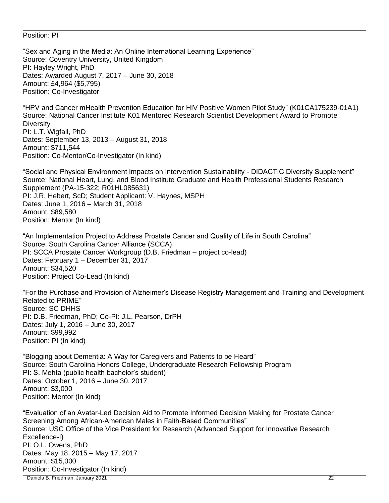#### Position: PI

"Sex and Aging in the Media: An Online International Learning Experience" Source: Coventry University, United Kingdom PI: Hayley Wright, PhD Dates: Awarded August 7, 2017 – June 30, 2018 Amount: £4,964 (\$5,795) Position: Co-Investigator

"HPV and Cancer mHealth Prevention Education for HIV Positive Women Pilot Study" (K01CA175239-01A1) Source: National Cancer Institute K01 Mentored Research Scientist Development Award to Promote **Diversity** PI: L.T. Wigfall, PhD Dates: September 13, 2013 – August 31, 2018 Amount: \$711,544 Position: Co-Mentor/Co-Investigator (In kind)

"Social and Physical Environment Impacts on Intervention Sustainability - DIDACTIC Diversity Supplement" Source: National Heart, Lung, and Blood Institute Graduate and Health Professional Students Research Supplement (PA-15-322; R01HL085631) PI: J.R. Hebert, ScD; Student Applicant: V. Haynes, MSPH Dates: June 1, 2016 – March 31, 2018 Amount: \$89,580 Position: Mentor (In kind)

"An Implementation Project to Address Prostate Cancer and Quality of Life in South Carolina" Source: South Carolina Cancer Alliance (SCCA) PI: SCCA Prostate Cancer Workgroup (D.B. Friedman – project co-lead) Dates: February 1 – December 31, 2017 Amount: \$34,520 Position: Project Co-Lead (In kind)

"For the Purchase and Provision of Alzheimer's Disease Registry Management and Training and Development Related to PRIME" Source: SC DHHS PI: D.B. Friedman, PhD; Co-PI: J.L. Pearson, DrPH Dates: July 1, 2016 – June 30, 2017 Amount: \$99,992 Position: PI (In kind)

"Blogging about Dementia: A Way for Caregivers and Patients to be Heard" Source: South Carolina Honors College, Undergraduate Research Fellowship Program PI: S. Mehta (public health bachelor's student) Dates: October 1, 2016 – June 30, 2017 Amount: \$3,000 Position: Mentor (In kind)

"Evaluation of an Avatar-Led Decision Aid to Promote Informed Decision Making for Prostate Cancer Screening Among African-American Males in Faith-Based Communities" Source: USC Office of the Vice President for Research (Advanced Support for Innovative Research Excellence-I) PI: O.L. Owens, PhD Dates: May 18, 2015 – May 17, 2017 Amount: \$15,000 Position: Co-Investigator (In kind)

Daniela B. Friedman, January 2021 22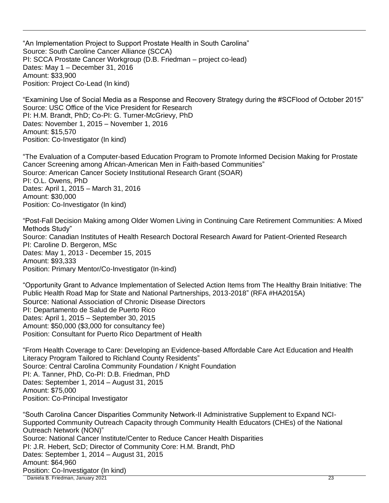"An Implementation Project to Support Prostate Health in South Carolina" Source: South Caroline Cancer Alliance (SCCA) PI: SCCA Prostate Cancer Workgroup (D.B. Friedman – project co-lead) Dates: May 1 – December 31, 2016 Amount: \$33,900 Position: Project Co-Lead (In kind)

"Examining Use of Social Media as a Response and Recovery Strategy during the #SCFlood of October 2015" Source: USC Office of the Vice President for Research PI: H.M. Brandt, PhD; Co-PI: G. Turner-McGrievy, PhD Dates: November 1, 2015 – November 1, 2016 Amount: \$15,570 Position: Co-Investigator (In kind)

"The Evaluation of a Computer-based Education Program to Promote Informed Decision Making for Prostate Cancer Screening among African-American Men in Faith-based Communities" Source: American Cancer Society Institutional Research Grant (SOAR) PI: O.L. Owens, PhD Dates: April 1, 2015 – March 31, 2016 Amount: \$30,000 Position: Co-Investigator (In kind)

"Post-Fall Decision Making among Older Women Living in Continuing Care Retirement Communities: A Mixed Methods Study" Source: Canadian Institutes of Health Research Doctoral Research Award for Patient-Oriented Research PI: Caroline D. Bergeron, MSc Dates: May 1, 2013 - December 15, 2015 Amount: \$93,333 Position: Primary Mentor/Co-Investigator (In-kind)

"Opportunity Grant to Advance Implementation of Selected Action Items from The Healthy Brain Initiative: The Public Health Road Map for State and National Partnerships, 2013-2018" (RFA #HA2015A) Source: National Association of Chronic Disease Directors PI: Departamento de Salud de Puerto Rico Dates: April 1, 2015 – September 30, 2015 Amount: \$50,000 (\$3,000 for consultancy fee) Position: Consultant for Puerto Rico Department of Health

"From Health Coverage to Care: Developing an Evidence-based Affordable Care Act Education and Health Literacy Program Tailored to Richland County Residents" Source: Central Carolina Community Foundation / Knight Foundation PI: A. Tanner, PhD, Co-PI: D.B. Friedman, PhD Dates: September 1, 2014 – August 31, 2015 Amount: \$75,000 Position: Co-Principal Investigator

 Daniela B. Friedman, January 2021 23 "South Carolina Cancer Disparities Community Network-II Administrative Supplement to Expand NCI-Supported Community Outreach Capacity through Community Health Educators (CHEs) of the National Outreach Network (NON)" Source: National Cancer Institute/Center to Reduce Cancer Health Disparities PI: J.R. Hebert, ScD; Director of Community Core: H.M. Brandt, PhD Dates: September 1, 2014 – August 31, 2015 Amount: \$64,960 Position: Co-Investigator (In kind)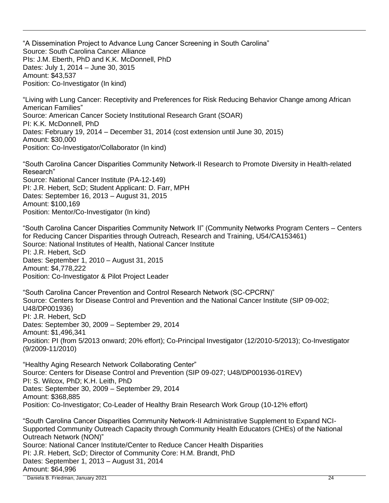"A Dissemination Project to Advance Lung Cancer Screening in South Carolina" Source: South Carolina Cancer Alliance PIs: J.M. Eberth, PhD and K.K. McDonnell, PhD Dates: July 1, 2014 – June 30, 3015 Amount: \$43,537 Position: Co-Investigator (In kind)

"Living with Lung Cancer: Receptivity and Preferences for Risk Reducing Behavior Change among African American Families" Source: American Cancer Society Institutional Research Grant (SOAR) PI: K.K. McDonnell, PhD Dates: February 19, 2014 – December 31, 2014 (cost extension until June 30, 2015) Amount: \$30,000 Position: Co-Investigator/Collaborator (In kind)

"South Carolina Cancer Disparities Community Network-II Research to Promote Diversity in Health-related Research" Source: National Cancer Institute (PA-12-149) PI: J.R. Hebert, ScD; Student Applicant: D. Farr, MPH Dates: September 16, 2013 – August 31, 2015 Amount: \$100,169 Position: Mentor/Co-Investigator (In kind)

"South Carolina Cancer Disparities Community Network II" (Community Networks Program Centers – Centers for Reducing Cancer Disparities through Outreach, Research and Training, U54/CA153461) Source: National Institutes of Health, National Cancer Institute PI: J.R. Hebert, ScD Dates: September 1, 2010 – August 31, 2015 Amount: \$4,778,222 Position: Co-Investigator & Pilot Project Leader

"South Carolina Cancer Prevention and Control Research Network (SC-CPCRN)" Source: Centers for Disease Control and Prevention and the National Cancer Institute (SIP 09-002; U48/DP001936) PI: J.R. Hebert, ScD Dates: September 30, 2009 – September 29, 2014 Amount: \$1,496,341 Position: PI (from 5/2013 onward; 20% effort); Co-Principal Investigator (12/2010-5/2013); Co-Investigator (9/2009-11/2010)

"Healthy Aging Research Network Collaborating Center" Source: Centers for Disease Control and Prevention (SIP 09-027; U48/DP001936-01REV) PI: S. Wilcox, PhD; K.H. Leith, PhD Dates: September 30, 2009 – September 29, 2014 Amount: \$368,885 Position: Co-Investigator; Co-Leader of Healthy Brain Research Work Group (10-12% effort)

 Daniela B. Friedman, January 2021 24 "South Carolina Cancer Disparities Community Network-II Administrative Supplement to Expand NCI-Supported Community Outreach Capacity through Community Health Educators (CHEs) of the National Outreach Network (NON)" Source: National Cancer Institute/Center to Reduce Cancer Health Disparities PI: J.R. Hebert, ScD; Director of Community Core: H.M. Brandt, PhD Dates: September 1, 2013 – August 31, 2014 Amount: \$64,996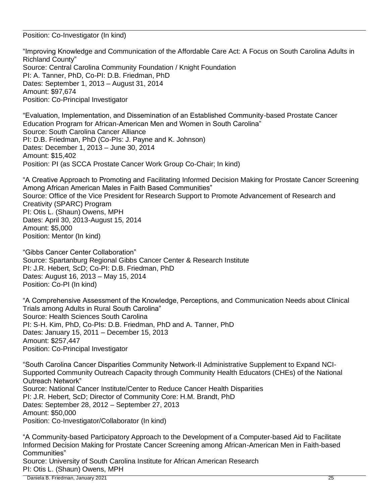Position: Co-Investigator (In kind)

"Improving Knowledge and Communication of the Affordable Care Act: A Focus on South Carolina Adults in Richland County" Source: Central Carolina Community Foundation / Knight Foundation PI: A. Tanner, PhD, Co-PI: D.B. Friedman, PhD Dates: September 1, 2013 – August 31, 2014 Amount: \$97,674 Position: Co-Principal Investigator

"Evaluation, Implementation, and Dissemination of an Established Community-based Prostate Cancer Education Program for African-American Men and Women in South Carolina" Source: South Carolina Cancer Alliance PI: D.B. Friedman, PhD (Co-PIs: J. Payne and K. Johnson) Dates: December 1, 2013 – June 30, 2014 Amount: \$15,402 Position: PI (as SCCA Prostate Cancer Work Group Co-Chair; In kind)

"A Creative Approach to Promoting and Facilitating Informed Decision Making for Prostate Cancer Screening Among African American Males in Faith Based Communities" Source: Office of the Vice President for Research Support to Promote Advancement of Research and Creativity (SPARC) Program PI: Otis L. (Shaun) Owens, MPH Dates: April 30, 2013-August 15, 2014 Amount: \$5,000 Position: Mentor (In kind)

"Gibbs Cancer Center Collaboration" Source: Spartanburg Regional Gibbs Cancer Center & Research Institute PI: J.R. Hebert, ScD; Co-PI: D.B. Friedman, PhD Dates: August 16, 2013 – May 15, 2014 Position: Co-PI (In kind)

"A Comprehensive Assessment of the Knowledge, Perceptions, and Communication Needs about Clinical Trials among Adults in Rural South Carolina" Source: Health Sciences South Carolina PI: S-H. Kim, PhD, Co-PIs: D.B. Friedman, PhD and A. Tanner, PhD Dates: January 15, 2011 – December 15, 2013 Amount: \$257,447 Position: Co-Principal Investigator

"South Carolina Cancer Disparities Community Network-II Administrative Supplement to Expand NCI-Supported Community Outreach Capacity through Community Health Educators (CHEs) of the National Outreach Network" Source: National Cancer Institute/Center to Reduce Cancer Health Disparities PI: J.R. Hebert, ScD; Director of Community Core: H.M. Brandt, PhD Dates: September 28, 2012 – September 27, 2013 Amount: \$50,000 Position: Co-Investigator/Collaborator (In kind)

"A Community-based Participatory Approach to the Development of a Computer-based Aid to Facilitate Informed Decision Making for Prostate Cancer Screening among African-American Men in Faith-based Communities" Source: University of South Carolina Institute for African American Research PI: Otis L. (Shaun) Owens, MPH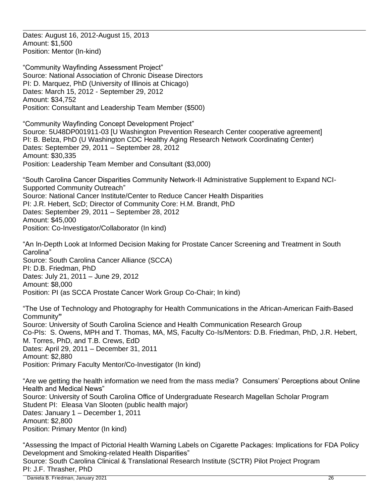Dates: August 16, 2012-August 15, 2013 Amount: \$1,500 Position: Mentor (In-kind)

"Community Wayfinding Assessment Project" Source: National Association of Chronic Disease Directors PI: D. Marquez, PhD (University of Illinois at Chicago) Dates: March 15, 2012 - September 29, 2012 Amount: \$34,752 Position: Consultant and Leadership Team Member (\$500)

"Community Wayfinding Concept Development Project" Source: 5U48DP001911-03 [U Washington Prevention Research Center cooperative agreement] PI: B. Belza, PhD (U Washington CDC Healthy Aging Research Network Coordinating Center) Dates: September 29, 2011 – September 28, 2012 Amount: \$30,335 Position: Leadership Team Member and Consultant (\$3,000)

"South Carolina Cancer Disparities Community Network-II Administrative Supplement to Expand NCI-Supported Community Outreach" Source: National Cancer Institute/Center to Reduce Cancer Health Disparities PI: J.R. Hebert, ScD; Director of Community Core: H.M. Brandt, PhD Dates: September 29, 2011 – September 28, 2012 Amount: \$45,000 Position: Co-Investigator/Collaborator (In kind)

"An In-Depth Look at Informed Decision Making for Prostate Cancer Screening and Treatment in South Carolina" Source: South Carolina Cancer Alliance (SCCA) PI: D.B. Friedman, PhD Dates: July 21, 2011 – June 29, 2012 Amount: \$8,000 Position: PI (as SCCA Prostate Cancer Work Group Co-Chair; In kind)

"The Use of Technology and Photography for Health Communications in the African-American Faith-Based Community**"** Source: University of South Carolina Science and Health Communication Research Group Co-PIs: S. Owens, MPH and T. Thomas, MA, MS, Faculty Co-Is/Mentors: D.B. Friedman, PhD, J.R. Hebert, M. Torres, PhD, and T.B. Crews, EdD Dates: April 29, 2011 – December 31, 2011 Amount: \$2,880 Position: Primary Faculty Mentor/Co-Investigator (In kind)

"Are we getting the health information we need from the mass media? Consumers' Perceptions about Online Health and Medical News" Source: University of South Carolina Office of Undergraduate Research Magellan Scholar Program Student PI: Eleasa Van Slooten (public health major) Dates: January 1 – December 1, 2011 Amount: \$2,800 Position: Primary Mentor (In kind)

 Daniela B. Friedman, January 2021 26 "Assessing the Impact of Pictorial Health Warning Labels on Cigarette Packages: Implications for FDA Policy Development and Smoking-related Health Disparities" Source: South Carolina Clinical & Translational Research Institute (SCTR) Pilot Project Program PI: J.F. Thrasher, PhD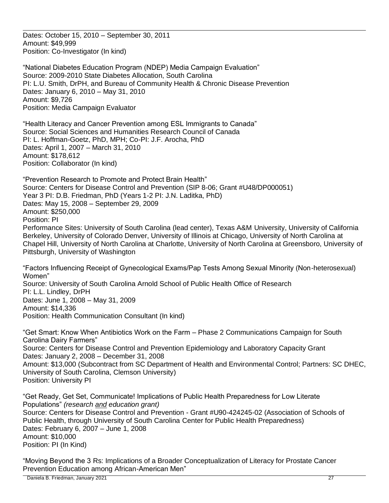Dates: October 15, 2010 – September 30, 2011 Amount: \$49,999 Position: Co-Investigator (In kind)

"National Diabetes Education Program (NDEP) Media Campaign Evaluation" Source: 2009-2010 State Diabetes Allocation, South Carolina PI: L.U. Smith, DrPH, and Bureau of Community Health & Chronic Disease Prevention Dates: January 6, 2010 – May 31, 2010 Amount: \$9,726 Position: Media Campaign Evaluator

"Health Literacy and Cancer Prevention among ESL Immigrants to Canada" Source: Social Sciences and Humanities Research Council of Canada PI: L. Hoffman-Goetz, PhD, MPH; Co-PI: J.F. Arocha, PhD Dates: April 1, 2007 – March 31, 2010 Amount: \$178,612 Position: Collaborator (In kind)

"Prevention Research to Promote and Protect Brain Health" Source: Centers for Disease Control and Prevention (SIP 8-06; Grant #U48/DP000051) Year 3 PI: D.B. Friedman, PhD (Years 1-2 PI: J.N. Laditka, PhD) Dates: May 15, 2008 – September 29, 2009 Amount: \$250,000 Position: PI Performance Sites: University of South Carolina (lead center), Texas A&M University, University of California Berkeley, University of Colorado Denver, University of Illinois at Chicago, University of North Carolina at Chapel Hill, University of North Carolina at Charlotte, University of North Carolina at Greensboro, University of Pittsburgh, University of Washington

"Factors Influencing Receipt of Gynecological Exams/Pap Tests Among Sexual Minority (Non-heterosexual) Women" Source: University of South Carolina Arnold School of Public Health Office of Research PI: L.L. Lindley, DrPH Dates: June 1, 2008 – May 31, 2009 Amount: \$14,336 Position: Health Communication Consultant (In kind)

"Get Smart: Know When Antibiotics Work on the Farm – Phase 2 Communications Campaign for South Carolina Dairy Farmers" Source: Centers for Disease Control and Prevention Epidemiology and Laboratory Capacity Grant Dates: January 2, 2008 – December 31, 2008 Amount: \$13,000 (Subcontract from SC Department of Health and Environmental Control; Partners: SC DHEC, University of South Carolina, Clemson University) Position: University PI

"Get Ready, Get Set, Communicate! Implications of Public Health Preparedness for Low Literate Populations" *(research and education grant)* Source: Centers for Disease Control and Prevention - Grant #U90-424245-02 (Association of Schools of Public Health, through University of South Carolina Center for Public Health Preparedness) Dates: February 6, 2007 – June 1, 2008 Amount: \$10,000 Position: PI (In Kind)

"Moving Beyond the 3 Rs: Implications of a Broader Conceptualization of Literacy for Prostate Cancer Prevention Education among African-American Men"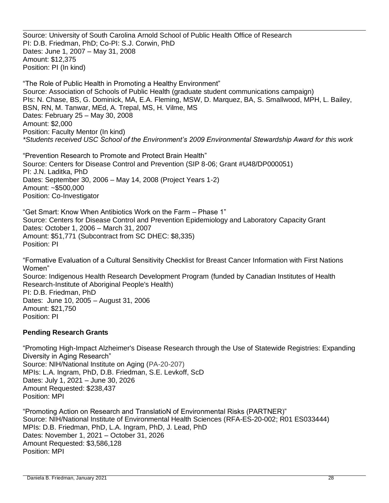Source: University of South Carolina Arnold School of Public Health Office of Research PI: D.B. Friedman, PhD; Co-PI: S.J. Corwin, PhD Dates: June 1, 2007 – May 31, 2008 Amount: \$12,375 Position: PI (In kind)

"The Role of Public Health in Promoting a Healthy Environment" Source: Association of Schools of Public Health (graduate student communications campaign) PIs: N. Chase, BS, G. Dominick, MA, E.A. Fleming, MSW, D. Marquez, BA, S. Smallwood, MPH, L. Bailey, BSN, RN, M. Tanwar, MEd, A. Trepal, MS, H. Vilme, MS Dates: February 25 – May 30, 2008 Amount: \$2,000 Position: Faculty Mentor (In kind) *\*Students received USC School of the Environment's 2009 Environmental Stewardship Award for this work*

"Prevention Research to Promote and Protect Brain Health" Source: Centers for Disease Control and Prevention (SIP 8-06; Grant #U48/DP000051) PI: J.N. Laditka, PhD Dates: September 30, 2006 – May 14, 2008 (Project Years 1-2) Amount: ~\$500,000 Position: Co-Investigator

"Get Smart: Know When Antibiotics Work on the Farm – Phase 1" Source: Centers for Disease Control and Prevention Epidemiology and Laboratory Capacity Grant Dates: October 1, 2006 – March 31, 2007 Amount: \$51,771 (Subcontract from SC DHEC: \$8,335) Position: PI

"Formative Evaluation of a Cultural Sensitivity Checklist for Breast Cancer Information with First Nations Women" Source: Indigenous Health Research Development Program (funded by Canadian Institutes of Health Research-Institute of Aboriginal People's Health) PI: D.B. Friedman, PhD Dates: June 10, 2005 – August 31, 2006 Amount: \$21,750 Position: PI

## **Pending Research Grants**

"Promoting High-Impact Alzheimer's Disease Research through the Use of Statewide Registries: Expanding Diversity in Aging Research" Source: NIH/National Institute on Aging (PA-20-207) MPIs: L.A. Ingram, PhD, D.B. Friedman, S.E. Levkoff, ScD Dates: July 1, 2021 – June 30, 2026 Amount Requested: \$238,437 Position: MPI

"Promoting Action on Research and TranslatioN of Environmental Risks (PARTNER)" Source: NIH/National Institute of Environmental Health Sciences (RFA-ES-20-002; R01 ES033444) MPIs: D.B. Friedman, PhD, L.A. Ingram, PhD, J. Lead, PhD Dates: November 1, 2021 – October 31, 2026 Amount Requested: \$3,586,128 Position: MPI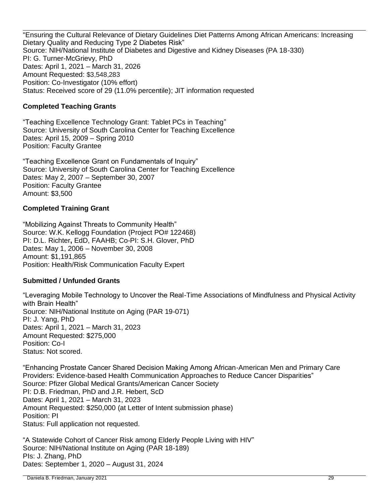"Ensuring the Cultural Relevance of Dietary Guidelines Diet Patterns Among African Americans: Increasing Dietary Quality and Reducing Type 2 Diabetes Risk" Source: NIH/National Institute of Diabetes and Digestive and Kidney Diseases (PA 18-330) PI: G. Turner-McGrievy, PhD Dates: April 1, 2021 – March 31, 2026 Amount Requested: \$3,548,283 Position: Co-Investigator (10% effort) Status: Received score of 29 (11.0% percentile); JIT information requested

# **Completed Teaching Grants**

"Teaching Excellence Technology Grant: Tablet PCs in Teaching" Source: University of South Carolina Center for Teaching Excellence Dates: April 15, 2009 – Spring 2010 Position: Faculty Grantee

"Teaching Excellence Grant on Fundamentals of Inquiry" Source: University of South Carolina Center for Teaching Excellence Dates: May 2, 2007 – September 30, 2007 Position: Faculty Grantee Amount: \$3,500

## **Completed Training Grant**

"Mobilizing Against Threats to Community Health" Source: W.K. Kellogg Foundation (Project PO# 122468) PI: D.L. Richter**,** EdD, FAAHB; Co-PI: S.H. Glover, PhD Dates: May 1, 2006 – November 30, 2008 Amount: \$1,191,865 Position: Health/Risk Communication Faculty Expert

## **Submitted / Unfunded Grants**

"Leveraging Mobile Technology to Uncover the Real-Time Associations of Mindfulness and Physical Activity with Brain Health" Source: NIH/National Institute on Aging (PAR 19-071) PI: J. Yang, PhD Dates: April 1, 2021 – March 31, 2023 Amount Requested: \$275,000 Position: Co-I Status: Not scored.

"Enhancing Prostate Cancer Shared Decision Making Among African-American Men and Primary Care Providers: Evidence-based Health Communication Approaches to Reduce Cancer Disparities" Source: Pfizer Global Medical Grants/American Cancer Society PI: D.B. Friedman, PhD and J.R. Hebert, ScD Dates: April 1, 2021 – March 31, 2023 Amount Requested: \$250,000 (at Letter of Intent submission phase) Position: PI Status: Full application not requested.

"A Statewide Cohort of Cancer Risk among Elderly People Living with HIV" Source: NIH/National Institute on Aging (PAR 18-189) PIs: J. Zhang, PhD Dates: September 1, 2020 – August 31, 2024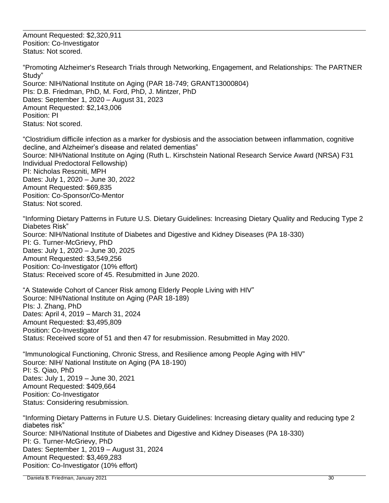Amount Requested: \$2,320,911 Position: Co-Investigator Status: Not scored.

"Promoting Alzheimer's Research Trials through Networking, Engagement, and Relationships: The PARTNER Study" Source: NIH/National Institute on Aging (PAR 18-749; GRANT13000804) PIs: D.B. Friedman, PhD, M. Ford, PhD, J. Mintzer, PhD Dates: September 1, 2020 – August 31, 2023 Amount Requested: \$2,143,006 Position: PI Status: Not scored.

"Clostridium difficile infection as a marker for dysbiosis and the association between inflammation, cognitive decline, and Alzheimer's disease and related dementias" Source: NIH/National Institute on Aging (Ruth L. Kirschstein National Research Service Award (NRSA) F31 Individual Predoctoral Fellowship) PI: Nicholas Rescniti, MPH Dates: July 1, 2020 – June 30, 2022 Amount Requested: \$69,835 Position: Co-Sponsor/Co-Mentor Status: Not scored.

"Informing Dietary Patterns in Future U.S. Dietary Guidelines: Increasing Dietary Quality and Reducing Type 2 Diabetes Risk" Source: NIH/National Institute of Diabetes and Digestive and Kidney Diseases (PA 18-330) PI: G. Turner-McGrievy, PhD Dates: July 1, 2020 – June 30, 2025 Amount Requested: \$3,549,256 Position: Co-Investigator (10% effort) Status: Received score of 45. Resubmitted in June 2020.

"A Statewide Cohort of Cancer Risk among Elderly People Living with HIV" Source: NIH/National Institute on Aging (PAR 18-189) PIs: J. Zhang, PhD Dates: April 4, 2019 – March 31, 2024 Amount Requested: \$3,495,809 Position: Co-Investigator Status: Received score of 51 and then 47 for resubmission. Resubmitted in May 2020.

"Immunological Functioning, Chronic Stress, and Resilience among People Aging with HIV" Source: NIH/ National Institute on Aging (PA 18-190) PI: S. Qiao, PhD Dates: July 1, 2019 – June 30, 2021 Amount Requested: \$409,664 Position: Co-Investigator Status: Considering resubmission.

"Informing Dietary Patterns in Future U.S. Dietary Guidelines: Increasing dietary quality and reducing type 2 diabetes risk" Source: NIH/National Institute of Diabetes and Digestive and Kidney Diseases (PA 18-330) PI: G. Turner-McGrievy, PhD Dates: September 1, 2019 – August 31, 2024 Amount Requested: \$3,469,283 Position: Co-Investigator (10% effort)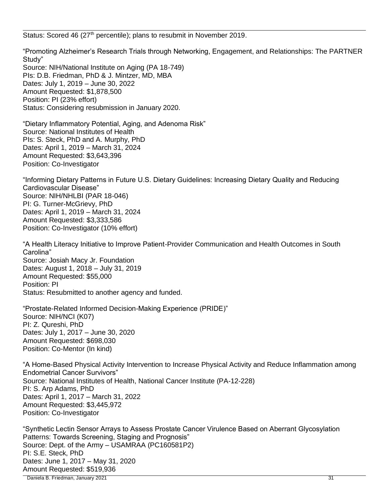Status: Scored 46 (27<sup>th</sup> percentile); plans to resubmit in November 2019.

"Promoting Alzheimer's Research Trials through Networking, Engagement, and Relationships: The PARTNER Study" Source: NIH/National Institute on Aging (PA 18-749) PIs: D.B. Friedman, PhD & J. Mintzer, MD, MBA Dates: July 1, 2019 – June 30, 2022 Amount Requested: \$1,878,500 Position: PI (23% effort) Status: Considering resubmission in January 2020.

"Dietary Inflammatory Potential, Aging, and Adenoma Risk" Source: National Institutes of Health PIs: S. Steck, PhD and A. Murphy, PhD Dates: April 1, 2019 – March 31, 2024 Amount Requested: \$3,643,396 Position: Co-Investigator

"Informing Dietary Patterns in Future U.S. Dietary Guidelines: Increasing Dietary Quality and Reducing Cardiovascular Disease" Source: NIH/NHLBI (PAR 18-046) PI: G. Turner-McGrievy, PhD Dates: April 1, 2019 – March 31, 2024 Amount Requested: \$3,333,586 Position: Co-Investigator (10% effort)

"A Health Literacy Initiative to Improve Patient-Provider Communication and Health Outcomes in South Carolina" Source: Josiah Macy Jr. Foundation Dates: August 1, 2018 – July 31, 2019 Amount Requested: \$55,000 Position: PI Status: Resubmitted to another agency and funded.

"Prostate-Related Informed Decision-Making Experience (PRIDE)" Source: NIH/NCI (K07) PI: Z. Qureshi, PhD Dates: July 1, 2017 – June 30, 2020 Amount Requested: \$698,030 Position: Co-Mentor (In kind)

"A Home-Based Physical Activity Intervention to Increase Physical Activity and Reduce Inflammation among Endometrial Cancer Survivors" Source: National Institutes of Health, National Cancer Institute (PA-12-228) PI: S. Arp Adams, PhD Dates: April 1, 2017 – March 31, 2022 Amount Requested: \$3,445,972 Position: Co-Investigator

 Daniela B. Friedman, January 2021 31 "Synthetic Lectin Sensor Arrays to Assess Prostate Cancer Virulence Based on Aberrant Glycosylation Patterns: Towards Screening, Staging and Prognosis" Source: Dept. of the Army – USAMRAA (PC160581P2) PI: S.E. Steck, PhD Dates: June 1, 2017 – May 31, 2020 Amount Requested: \$519,936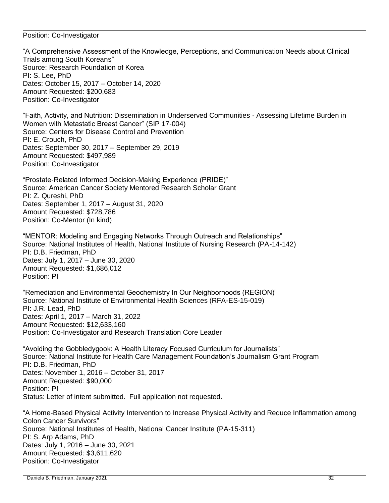### Position: Co-Investigator

"A Comprehensive Assessment of the Knowledge, Perceptions, and Communication Needs about Clinical Trials among South Koreans" Source: Research Foundation of Korea PI: S. Lee, PhD Dates: October 15, 2017 – October 14, 2020 Amount Requested: \$200,683 Position: Co-Investigator

"Faith, Activity, and Nutrition: Dissemination in Underserved Communities - Assessing Lifetime Burden in Women with Metastatic Breast Cancer" (SIP 17-004) Source: Centers for Disease Control and Prevention PI: E. Crouch, PhD Dates: September 30, 2017 – September 29, 2019 Amount Requested: \$497,989 Position: Co-Investigator

"Prostate-Related Informed Decision-Making Experience (PRIDE)" Source: American Cancer Society Mentored Research Scholar Grant PI: Z. Qureshi, PhD Dates: September 1, 2017 – August 31, 2020 Amount Requested: \$728,786 Position: Co-Mentor (In kind)

"MENTOR: Modeling and Engaging Networks Through Outreach and Relationships" Source: National Institutes of Health, National Institute of Nursing Research (PA-14-142) PI: D.B. Friedman, PhD Dates: July 1, 2017 – June 30, 2020 Amount Requested: \$1,686,012 Position: PI

"Remediation and Environmental Geochemistry In Our Neighborhoods (REGION)" Source: National Institute of Environmental Health Sciences (RFA-ES-15-019) PI: J.R. Lead, PhD Dates: April 1, 2017 – March 31, 2022 Amount Requested: \$12,633,160 Position: Co-Investigator and Research Translation Core Leader

"Avoiding the Gobbledygook: A Health Literacy Focused Curriculum for Journalists" Source: National Institute for Health Care Management Foundation's Journalism Grant Program PI: D.B. Friedman, PhD Dates: November 1, 2016 – October 31, 2017 Amount Requested: \$90,000 Position: PI Status: Letter of intent submitted. Full application not requested.

"A Home-Based Physical Activity Intervention to Increase Physical Activity and Reduce Inflammation among Colon Cancer Survivors" Source: National Institutes of Health, National Cancer Institute (PA-15-311) PI: S. Arp Adams, PhD Dates: July 1, 2016 – June 30, 2021 Amount Requested: \$3,611,620 Position: Co-Investigator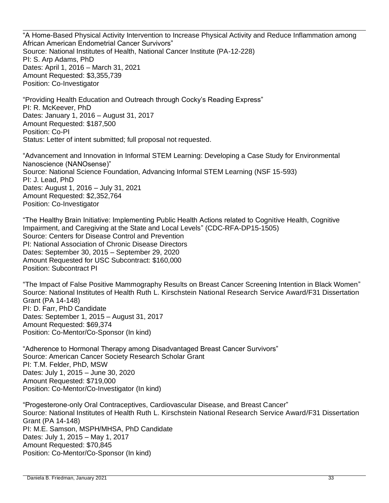"A Home-Based Physical Activity Intervention to Increase Physical Activity and Reduce Inflammation among African American Endometrial Cancer Survivors" Source: National Institutes of Health, National Cancer Institute (PA-12-228) PI: S. Arp Adams, PhD Dates: April 1, 2016 – March 31, 2021 Amount Requested: \$3,355,739 Position: Co-Investigator

"Providing Health Education and Outreach through Cocky's Reading Express" PI: R. McKeever, PhD Dates: January 1, 2016 – August 31, 2017 Amount Requested: \$187,500 Position: Co-PI Status: Letter of intent submitted; full proposal not requested.

"Advancement and Innovation in Informal STEM Learning: Developing a Case Study for Environmental Nanoscience (NANOsense)" Source: National Science Foundation, Advancing Informal STEM Learning (NSF 15-593) PI: J. Lead, PhD Dates: August 1, 2016 – July 31, 2021 Amount Requested: \$2,352,764 Position: Co-Investigator

"The Healthy Brain Initiative: Implementing Public Health Actions related to Cognitive Health, Cognitive Impairment, and Caregiving at the State and Local Levels" (CDC-RFA-DP15-1505) Source: Centers for Disease Control and Prevention PI: National Association of Chronic Disease Directors Dates: September 30, 2015 – September 29, 2020 Amount Requested for USC Subcontract: \$160,000 Position: Subcontract PI

"The Impact of False Positive Mammography Results on Breast Cancer Screening Intention in Black Women" Source: National Institutes of Health Ruth L. Kirschstein National Research Service Award/F31 Dissertation Grant (PA 14-148) PI: D. Farr, PhD Candidate Dates: September 1, 2015 – August 31, 2017 Amount Requested: \$69,374 Position: Co-Mentor/Co-Sponsor (In kind)

"Adherence to Hormonal Therapy among Disadvantaged Breast Cancer Survivors" Source: American Cancer Society Research Scholar Grant PI: T.M. Felder, PhD, MSW Dates: July 1, 2015 – June 30, 2020 Amount Requested: \$719,000 Position: Co-Mentor/Co-Investigator (In kind)

"Progesterone-only Oral Contraceptives, Cardiovascular Disease, and Breast Cancer" Source: National Institutes of Health Ruth L. Kirschstein National Research Service Award/F31 Dissertation Grant (PA 14-148) PI: M.E. Samson, MSPH/MHSA, PhD Candidate Dates: July 1, 2015 – May 1, 2017 Amount Requested: \$70,845 Position: Co-Mentor/Co-Sponsor (In kind)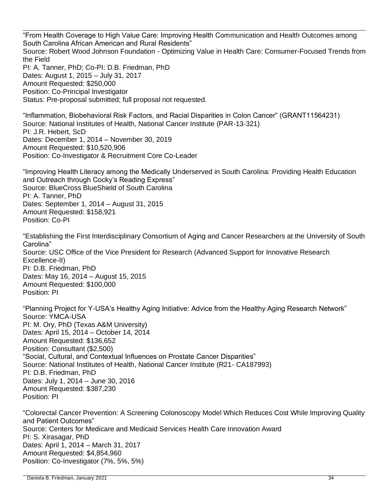"From Health Coverage to High Value Care: Improving Health Communication and Health Outcomes among South Carolina African American and Rural Residents" Source: Robert Wood Johnson Foundation - Optimizing Value in Health Care: Consumer-Focused Trends from the Field PI: A. Tanner, PhD; Co-PI: D.B. Friedman, PhD Dates: August 1, 2015 – July 31, 2017 Amount Requested: \$250,000 Position: Co-Principal Investigator Status: Pre-proposal submitted; full proposal not requested.

"Inflammation, Biobehavioral Risk Factors, and Racial Disparities in Colon Cancer" (GRANT11564231) Source: National Institutes of Health, National Cancer Institute (PAR-13-321) PI: J.R. Hebert, ScD Dates: December 1, 2014 – November 30, 2019 Amount Requested: \$10,520,906 Position: Co-Investigator & Recruitment Core Co-Leader

"Improving Health Literacy among the Medically Underserved in South Carolina: Providing Health Education and Outreach through Cocky's Reading Express" Source: BlueCross BlueShield of South Carolina PI: A. Tanner, PhD Dates: September 1, 2014 – August 31, 2015 Amount Requested: \$158,921 Position: Co-PI

"Establishing the First Interdisciplinary Consortium of Aging and Cancer Researchers at the University of South Carolina" Source: USC Office of the Vice President for Research (Advanced Support for Innovative Research Excellence-II) PI: D.B. Friedman, PhD Dates: May 16, 2014 – August 15, 2015 Amount Requested: \$100,000 Position: PI

"Planning Project for Y-USA's Healthy Aging Initiative: Advice from the Healthy Aging Research Network" Source: YMCA-USA PI: M. Ory, PhD (Texas A&M University) Dates: April 15, 2014 – October 14, 2014 Amount Requested: \$136,652 Position: Consultant (\$2,500) "Social, Cultural, and Contextual Influences on Prostate Cancer Disparities" Source: National Institutes of Health, National Cancer Institute (R21- CA187993) PI: D.B. Friedman, PhD Dates: July 1, 2014 – June 30, 2016 Amount Requested: \$387,230 Position: PI

"Colorectal Cancer Prevention: A Screening Colonoscopy Model Which Reduces Cost While Improving Quality and Patient Outcomes" Source: Centers for Medicare and Medicaid Services Health Care Innovation Award PI: S. Xirasagar, PhD Dates: April 1, 2014 – March 31, 2017 Amount Requested: \$4,854,960 Position: Co-Investigator (7%, 5%, 5%)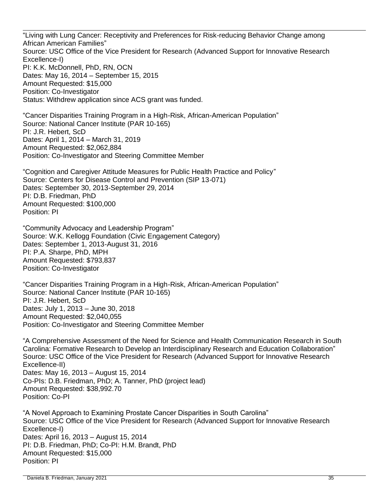"Living with Lung Cancer: Receptivity and Preferences for Risk-reducing Behavior Change among African American Families" Source: USC Office of the Vice President for Research (Advanced Support for Innovative Research Excellence-I) PI: K.K. McDonnell, PhD, RN, OCN Dates: May 16, 2014 – September 15, 2015 Amount Requested: \$15,000 Position: Co-Investigator Status: Withdrew application since ACS grant was funded.

"Cancer Disparities Training Program in a High-Risk, African-American Population" Source: National Cancer Institute (PAR 10-165) PI: J.R. Hebert, ScD Dates: April 1, 2014 – March 31, 2019 Amount Requested: \$2,062,884 Position: Co-Investigator and Steering Committee Member

"Cognition and Caregiver Attitude Measures for Public Health Practice and Policy" Source: Centers for Disease Control and Prevention (SIP 13-071) Dates: September 30, 2013-September 29, 2014 PI: D.B. Friedman, PhD Amount Requested: \$100,000 Position: PI

"Community Advocacy and Leadership Program" Source: W.K. Kellogg Foundation (Civic Engagement Category) Dates: September 1, 2013-August 31, 2016 PI: P.A. Sharpe, PhD, MPH Amount Requested: \$793,837 Position: Co-Investigator

"Cancer Disparities Training Program in a High-Risk, African-American Population" Source: National Cancer Institute (PAR 10-165) PI: J.R. Hebert, ScD Dates: July 1, 2013 – June 30, 2018 Amount Requested: \$2,040,055 Position: Co-Investigator and Steering Committee Member

"A Comprehensive Assessment of the Need for Science and Health Communication Research in South Carolina: Formative Research to Develop an Interdisciplinary Research and Education Collaboration" Source: USC Office of the Vice President for Research (Advanced Support for Innovative Research Excellence-II) Dates: May 16, 2013 – August 15, 2014 Co-PIs: D.B. Friedman, PhD; A. Tanner, PhD (project lead) Amount Requested: \$38,992.70 Position: Co-PI

"A Novel Approach to Examining Prostate Cancer Disparities in South Carolina" Source: USC Office of the Vice President for Research (Advanced Support for Innovative Research Excellence-I) Dates: April 16, 2013 – August 15, 2014 PI: D.B. Friedman, PhD; Co-PI: H.M. Brandt, PhD Amount Requested: \$15,000 Position: PI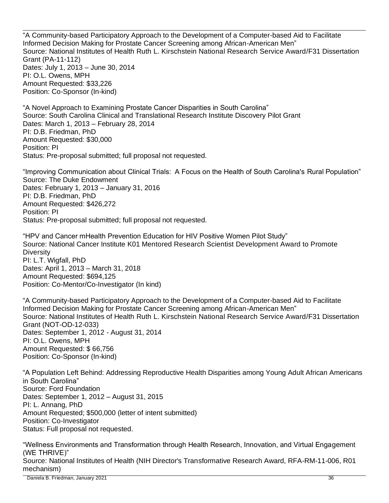"A Community-based Participatory Approach to the Development of a Computer-based Aid to Facilitate Informed Decision Making for Prostate Cancer Screening among African-American Men" Source: National Institutes of Health Ruth L. Kirschstein National Research Service Award/F31 Dissertation Grant (PA-11-112) Dates: July 1, 2013 – June 30, 2014 PI: O.L. Owens, MPH Amount Requested: \$33,226 Position: Co-Sponsor (In-kind)

"A Novel Approach to Examining Prostate Cancer Disparities in South Carolina" Source: South Carolina Clinical and Translational Research Institute Discovery Pilot Grant Dates: March 1, 2013 – February 28, 2014 PI: D.B. Friedman, PhD Amount Requested: \$30,000 Position: PI Status: Pre-proposal submitted; full proposal not requested.

"Improving Communication about Clinical Trials: A Focus on the Health of South Carolina's Rural Population" Source: The Duke Endowment Dates: February 1, 2013 – January 31, 2016 PI: D.B. Friedman, PhD Amount Requested: \$426,272 Position: PI Status: Pre-proposal submitted; full proposal not requested.

"HPV and Cancer mHealth Prevention Education for HIV Positive Women Pilot Study" Source: National Cancer Institute K01 Mentored Research Scientist Development Award to Promote **Diversity** PI: L.T. Wigfall, PhD Dates: April 1, 2013 – March 31, 2018 Amount Requested: \$694,125 Position: Co-Mentor/Co-Investigator (In kind)

"A Community-based Participatory Approach to the Development of a Computer-based Aid to Facilitate Informed Decision Making for Prostate Cancer Screening among African-American Men" Source: National Institutes of Health Ruth L. Kirschstein National Research Service Award/F31 Dissertation Grant (NOT-OD-12-033) Dates: September 1, 2012 - August 31, 2014 PI: O.L. Owens, MPH Amount Requested: \$ 66,756 Position: Co-Sponsor (In-kind)

"A Population Left Behind: Addressing Reproductive Health Disparities among Young Adult African Americans in South Carolina" Source: Ford Foundation Dates: September 1, 2012 – August 31, 2015 PI: L. Annang, PhD Amount Requested; \$500,000 (letter of intent submitted) Position: Co-Investigator Status: Full proposal not requested.

"Wellness Environments and Transformation through Health Research, Innovation, and Virtual Engagement (WE THRIVE)" Source: National Institutes of Health (NIH Director's Transformative Research Award, RFA-RM-11-006, R01 mechanism)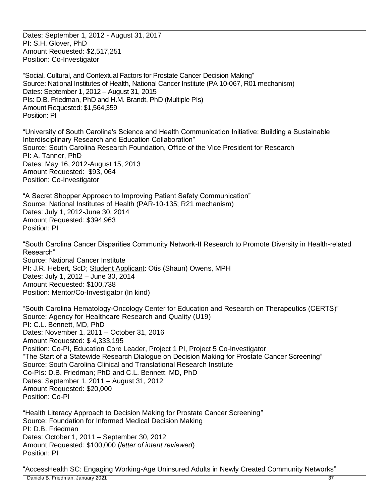Dates: September 1, 2012 - August 31, 2017 PI: S.H. Glover, PhD Amount Requested: \$2,517,251 Position: Co-Investigator

"Social, Cultural, and Contextual Factors for Prostate Cancer Decision Making" Source: National Institutes of Health, National Cancer Institute (PA 10-067, R01 mechanism) Dates: September 1, 2012 – August 31, 2015 PIs: D.B. Friedman, PhD and H.M. Brandt, PhD (Multiple PIs) Amount Requested: \$1,564,359 Position: PI

"University of South Carolina's Science and Health Communication Initiative: Building a Sustainable Interdisciplinary Research and Education Collaboration" Source: South Carolina Research Foundation, Office of the Vice President for Research PI: A. Tanner, PhD Dates: May 16, 2012-August 15, 2013 Amount Requested: \$93, 064 Position: Co-Investigator

"A Secret Shopper Approach to Improving Patient Safety Communication" Source: National Institutes of Health (PAR-10-135; R21 mechanism) Dates: July 1, 2012-June 30, 2014 Amount Requested: \$394,963 Position: PI

"South Carolina Cancer Disparities Community Network-II Research to Promote Diversity in Health-related Research" Source: National Cancer Institute PI: J.R. Hebert, ScD; Student Applicant: Otis (Shaun) Owens, MPH Dates: July 1, 2012 – June 30, 2014 Amount Requested: \$100,738 Position: Mentor/Co-Investigator (In kind)

"South Carolina Hematology-Oncology Center for Education and Research on Therapeutics (CERTS)" Source: Agency for Healthcare Research and Quality (U19) PI: C.L. Bennett, MD, PhD Dates: November 1, 2011 – October 31, 2016 Amount Requested: \$ 4,333,195 Position: Co-PI, Education Core Leader, Project 1 PI, Project 5 Co-Investigator "The Start of a Statewide Research Dialogue on Decision Making for Prostate Cancer Screening" Source: South Carolina Clinical and Translational Research Institute Co-PIs: D.B. Friedman; PhD and C.L. Bennett, MD, PhD Dates: September 1, 2011 – August 31, 2012 Amount Requested: \$20,000 Position: Co-PI

"Health Literacy Approach to Decision Making for Prostate Cancer Screening" Source: Foundation for Informed Medical Decision Making PI: D.B. Friedman Dates: October 1, 2011 – September 30, 2012 Amount Requested: \$100,000 (*letter of intent reviewed*) Position: PI

"AccessHealth SC: Engaging Working-Age Uninsured Adults in Newly Created Community Networks"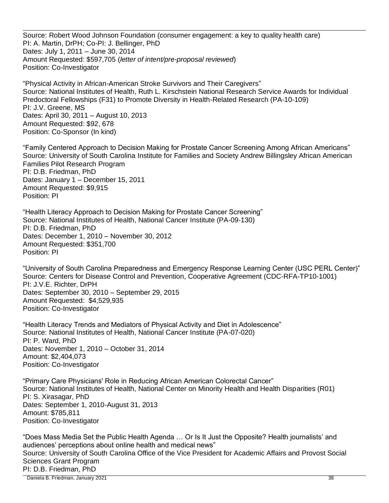Source: Robert Wood Johnson Foundation (consumer engagement: a key to quality health care) PI: A. Martin, DrPH; Co-PI: J. Bellinger, PhD Dates: July 1, 2011 – June 30, 2014 Amount Requested: \$597,705 (*letter of intent/pre-proposal reviewed*) Position: Co-Investigator

"Physical Activity in African-American Stroke Survivors and Their Caregivers" Source: National Institutes of Health, Ruth L. Kirschstein National Research Service Awards for Individual Predoctoral Fellowships (F31) to Promote Diversity in Health-Related Research (PA-10-109) PI: J.V. Greene, MS Dates: April 30, 2011 – August 10, 2013 Amount Requested: \$92, 678 Position: Co-Sponsor (In kind)

"Family Centered Approach to Decision Making for Prostate Cancer Screening Among African Americans" Source: University of South Carolina Institute for Families and Society Andrew Billingsley African American Families Pilot Research Program PI: D.B. Friedman, PhD Dates: January 1 – December 15, 2011 Amount Requested: \$9,915 Position: PI

"Health Literacy Approach to Decision Making for Prostate Cancer Screening" Source: National Institutes of Health, National Cancer Institute (PA-09-130) PI: D.B. Friedman, PhD Dates: December 1, 2010 – November 30, 2012 Amount Requested: \$351,700 Position: PI

"University of South Carolina Preparedness and Emergency Response Learning Center (USC PERL Center)" Source: Centers for Disease Control and Prevention, Cooperative Agreement (CDC-RFA-TP10-1001) PI: J.V.E. Richter, DrPH Dates: September 30, 2010 – September 29, 2015 Amount Requested: \$4,529,935 Position: Co-Investigator

"Health Literacy Trends and Mediators of Physical Activity and Diet in Adolescence" Source: National Institutes of Health, National Cancer Institute (PA-07-020) PI: P. Ward, PhD Dates: November 1, 2010 – October 31, 2014 Amount: \$2,404,073 Position: Co-Investigator

"Primary Care Physicians' Role in Reducing African American Colorectal Cancer" Source: National Institutes of Health, National Center on Minority Health and Health Disparities (R01) PI: S. Xirasagar, PhD Dates: September 1, 2010-August 31, 2013 Amount: \$785,811 Position: Co-Investigator

 Daniela B. Friedman, January 2021 38 "Does Mass Media Set the Public Health Agenda … Or Is It Just the Opposite? Health journalists' and audiences' perceptions about online health and medical news" Source: University of South Carolina Office of the Vice President for Academic Affairs and Provost Social Sciences Grant Program PI: D.B. Friedman, PhD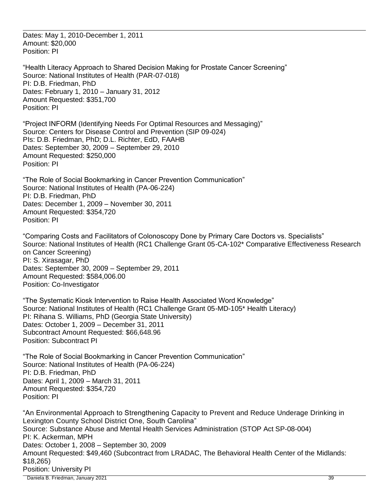Dates: May 1, 2010-December 1, 2011 Amount: \$20,000 Position: PI

"Health Literacy Approach to Shared Decision Making for Prostate Cancer Screening" Source: National Institutes of Health (PAR-07-018) PI: D.B. Friedman, PhD Dates: February 1, 2010 – January 31, 2012 Amount Requested: \$351,700 Position: PI

"Project INFORM (Identifying Needs For Optimal Resources and Messaging)" Source: Centers for Disease Control and Prevention (SIP 09-024) PIs: D.B. Friedman, PhD; D.L. Richter, EdD, FAAHB Dates: September 30, 2009 – September 29, 2010 Amount Requested: \$250,000 Position: PI

"The Role of Social Bookmarking in Cancer Prevention Communication" Source: National Institutes of Health (PA-06-224) PI: D.B. Friedman, PhD Dates: December 1, 2009 – November 30, 2011 Amount Requested: \$354,720 Position: PI

"Comparing Costs and Facilitators of Colonoscopy Done by Primary Care Doctors vs. Specialists" Source: National Institutes of Health (RC1 Challenge Grant 05-CA-102\* Comparative Effectiveness Research on Cancer Screening) PI: S. Xirasagar, PhD Dates: September 30, 2009 – September 29, 2011 Amount Requested: \$584,006.00 Position: Co-Investigator

"The Systematic Kiosk Intervention to Raise Health Associated Word Knowledge" Source: National Institutes of Health (RC1 Challenge Grant 05-MD-105\* Health Literacy) PI: Rihana S. Williams, PhD (Georgia State University) Dates: October 1, 2009 – December 31, 2011 Subcontract Amount Requested: \$66,648.96 Position: Subcontract PI

"The Role of Social Bookmarking in Cancer Prevention Communication" Source: National Institutes of Health (PA-06-224) PI: D.B. Friedman, PhD Dates: April 1, 2009 – March 31, 2011 Amount Requested: \$354,720 Position: PI

 Daniela B. Friedman, January 2021 39 "An Environmental Approach to Strengthening Capacity to Prevent and Reduce Underage Drinking in Lexington County School District One, South Carolina" Source: Substance Abuse and Mental Health Services Administration (STOP Act SP-08-004) PI: K. Ackerman, MPH Dates: October 1, 2008 – September 30, 2009 Amount Requested: \$49,460 (Subcontract from LRADAC, The Behavioral Health Center of the Midlands: \$18,265) Position: University PI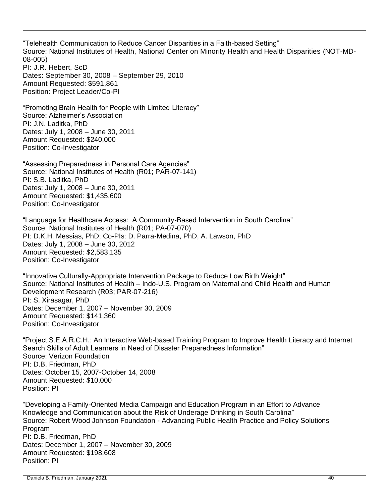"Telehealth Communication to Reduce Cancer Disparities in a Faith-based Setting" Source: National Institutes of Health, National Center on Minority Health and Health Disparities (NOT-MD-08-005) PI: J.R. Hebert, ScD Dates: September 30, 2008 – September 29, 2010

Amount Requested: \$591,861 Position: Project Leader/Co-PI

"Promoting Brain Health for People with Limited Literacy" Source: Alzheimer's Association PI: J.N. Laditka, PhD Dates: July 1, 2008 – June 30, 2011 Amount Requested: \$240,000 Position: Co-Investigator

"Assessing Preparedness in Personal Care Agencies" Source: National Institutes of Health (R01; PAR-07-141) PI: S.B. Laditka, PhD Dates: July 1, 2008 – June 30, 2011 Amount Requested: \$1,435,600 Position: Co-Investigator

"Language for Healthcare Access: A Community-Based Intervention in South Carolina" Source: National Institutes of Health (R01; PA-07-070) PI: D.K.H. Messias, PhD; Co-PIs: D. Parra-Medina, PhD, A. Lawson, PhD Dates: July 1, 2008 – June 30, 2012 Amount Requested: \$2,583,135 Position: Co-Investigator

"Innovative Culturally-Appropriate Intervention Package to Reduce Low Birth Weight" Source: National Institutes of Health – Indo-U.S. Program on Maternal and Child Health and Human Development Research (R03; PAR-07-216) PI: S. Xirasagar, PhD Dates: December 1, 2007 – November 30, 2009 Amount Requested: \$141,360 Position: Co-Investigator

"Project S.E.A.R.C.H.: An Interactive Web-based Training Program to Improve Health Literacy and Internet Search Skills of Adult Learners in Need of Disaster Preparedness Information" Source: Verizon Foundation PI: D.B. Friedman, PhD Dates: October 15, 2007-October 14, 2008 Amount Requested: \$10,000 Position: PI

"Developing a Family-Oriented Media Campaign and Education Program in an Effort to Advance Knowledge and Communication about the Risk of Underage Drinking in South Carolina" Source: Robert Wood Johnson Foundation - Advancing Public Health Practice and Policy Solutions Program PI: D.B. Friedman, PhD Dates: December 1, 2007 – November 30, 2009 Amount Requested: \$198,608 Position: PI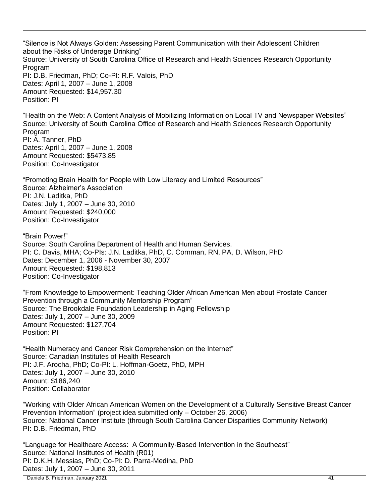"Silence is Not Always Golden: Assessing Parent Communication with their Adolescent Children about the Risks of Underage Drinking" Source: University of South Carolina Office of Research and Health Sciences Research Opportunity Program PI: D.B. Friedman, PhD; Co-PI: R.F. Valois, PhD Dates: April 1, 2007 – June 1, 2008 Amount Requested: \$14,957.30 Position: PI

"Health on the Web: A Content Analysis of Mobilizing Information on Local TV and Newspaper Websites" Source: University of South Carolina Office of Research and Health Sciences Research Opportunity Program PI: A. Tanner, PhD Dates: April 1, 2007 – June 1, 2008 Amount Requested: \$5473.85 Position: Co-Investigator

"Promoting Brain Health for People with Low Literacy and Limited Resources" Source: Alzheimer's Association PI: J.N. Laditka, PhD Dates: July 1, 2007 – June 30, 2010 Amount Requested: \$240,000 Position: Co-Investigator

"Brain Power!" Source: South Carolina Department of Health and Human Services. PI: C. Davis, MHA; Co-PIs: J.N. Laditka, PhD, C. Cornman, RN, PA, D. Wilson, PhD Dates: December 1, 2006 - November 30, 2007 Amount Requested: \$198,813 Position: Co-Investigator

"From Knowledge to Empowerment: Teaching Older African American Men about Prostate Cancer Prevention through a Community Mentorship Program" Source: The Brookdale Foundation Leadership in Aging Fellowship Dates: July 1, 2007 – June 30, 2009 Amount Requested: \$127,704 Position: PI

"Health Numeracy and Cancer Risk Comprehension on the Internet" Source: Canadian Institutes of Health Research PI: J.F. Arocha, PhD; Co-PI: L. Hoffman-Goetz, PhD, MPH Dates: July 1, 2007 – June 30, 2010 Amount: \$186,240 Position: Collaborator

"Working with Older African American Women on the Development of a Culturally Sensitive Breast Cancer Prevention Information" (project idea submitted only – October 26, 2006) Source: National Cancer Institute (through South Carolina Cancer Disparities Community Network) PI: D.B. Friedman, PhD

"Language for Healthcare Access: A Community-Based Intervention in the Southeast" Source: National Institutes of Health (R01) PI: D.K.H. Messias, PhD; Co-PI: D. Parra-Medina, PhD Dates: July 1, 2007 – June 30, 2011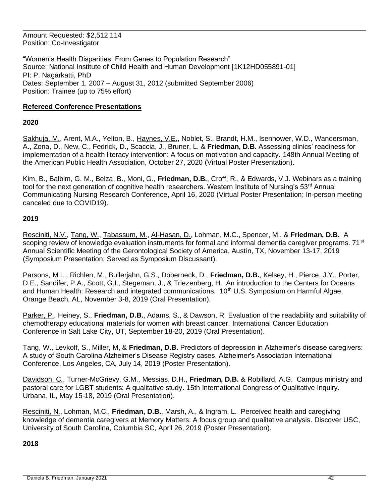Amount Requested: \$2,512,114 Position: Co-Investigator

"Women's Health Disparities: From Genes to Population Research" Source: National Institute of Child Health and Human Development [1K12HD055891-01] PI: P. Nagarkatti, PhD Dates: September 1, 2007 – August 31, 2012 (submitted September 2006) Position: Trainee (up to 75% effort)

# **Refereed Conference Presentations**

### **2020**

Sakhuja, M., Arent, M.A., Yelton, B., Haynes, V.E., Noblet, S., Brandt, H.M., Isenhower, W.D., Wandersman, A., Zona, D., New, C., Fedrick, D., Scaccia, J., Bruner, L. & **Friedman, D.B.** Assessing clinics' readiness for implementation of a health literacy intervention: A focus on motivation and capacity. 148th Annual Meeting of the American Public Health Association, October 27, 2020 (Virtual Poster Presentation).

Kim, B., Balbim, G. M., Belza, B., Moni, G., **Friedman, D.B.**, Croff, R., & Edwards, V.J. Webinars as a training tool for the next generation of cognitive health researchers. Western Institute of Nursing's  $53<sup>rd</sup>$  Annual Communicating Nursing Research Conference, April 16, 2020 (Virtual Poster Presentation; In-person meeting canceled due to COVID19).

### **2019**

Resciniti, N.V., Tang, W., Tabassum, M., Al-Hasan, D., Lohman, M.C., Spencer, M., & **Friedman, D.B.** A scoping review of knowledge evaluation instruments for formal and informal dementia caregiver programs. 71<sup>st</sup> Annual Scientific Meeting of the Gerontological Society of America, Austin, TX, November 13-17, 2019 (Symposium Presentation; Served as Symposium Discussant).

Parsons, M.L., Richlen, M., Bullerjahn, G.S., Doberneck, D., **Friedman, D.B.**, Kelsey, H., Pierce, J.Y., Porter, D.E., Sandifer, P.A., Scott, G.I., Stegeman, J., & Triezenberg, H. An introduction to the Centers for Oceans and Human Health: Research and integrated communications. 10<sup>th</sup> U.S. Symposium on Harmful Algae, Orange Beach, AL, November 3-8, 2019 (Oral Presentation).

Parker, P., Heiney, S., **Friedman, D.B.**, Adams, S., & Dawson, R. Evaluation of the readability and suitability of chemotherapy educational materials for women with breast cancer. International Cancer Education Conference in Salt Lake City, UT, September 18-20, 2019 (Oral Presentation).

Tang, W., Levkoff, S., Miller, M, & **Friedman, D.B.** Predictors of depression in Alzheimer's disease caregivers: A study of South Carolina Alzheimer's Disease Registry cases. Alzheimer's Association International Conference, Los Angeles, CA, July 14, 2019 (Poster Presentation).

Davidson, C., Turner-McGrievy, G.M., Messias, D.H., **Friedman, D.B.** & Robillard, A.G. Campus ministry and pastoral care for LGBT students: A qualitative study. 15th International Congress of Qualitative Inquiry. Urbana, IL, May 15-18, 2019 (Oral Presentation).

Resciniti, N., Lohman, M.C., **Friedman, D.B.**, Marsh, A., & Ingram. L. Perceived health and caregiving knowledge of dementia caregivers at Memory Matters: A focus group and qualitative analysis. Discover USC, University of South Carolina, Columbia SC, April 26, 2019 (Poster Presentation).

### **2018**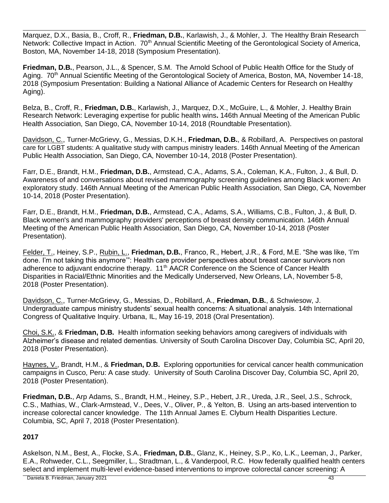Marquez, D.X., Basia, B., Croff, R., **Friedman, D.B.**, Karlawish, J., & Mohler, J. The Healthy Brain Research Network: Collective Impact in Action. 70<sup>th</sup> Annual Scientific Meeting of the Gerontological Society of America, Boston, MA, November 14-18, 2018 (Symposium Presentation).

**Friedman, D.B.**, Pearson, J.L., & Spencer, S.M. The Arnold School of Public Health Office for the Study of Aging. 70<sup>th</sup> Annual Scientific Meeting of the Gerontological Society of America, Boston, MA, November 14-18, 2018 (Symposium Presentation: Building a National Alliance of Academic Centers for Research on Healthy Aging).

Belza, B., Croff, R., **Friedman, D.B.**, Karlawish, J., Marquez, D.X., McGuire, L., & Mohler, J. Healthy Brain Research Network: Leveraging expertise for public health wins**.** 146th Annual Meeting of the American Public Health Association, San Diego, CA, November 10-14, 2018 (Roundtable Presentation).

Davidson, C., Turner-McGrievy, G., Messias, D.K.H., **Friedman, D.B.**, & Robillard, A. Perspectives on pastoral care for LGBT students: A qualitative study with campus ministry leaders. 146th Annual Meeting of the American Public Health Association, San Diego, CA, November 10-14, 2018 (Poster Presentation).

Farr, D.E., Brandt, H.M., **Friedman, D.B.**, Armstead, C.A., Adams, S.A., Coleman, K.A., Fulton, J., & Bull, D. Awareness of and conversations about revised mammography screening guidelines among Black women: An exploratory study. 146th Annual Meeting of the American Public Health Association, San Diego, CA, November 10-14, 2018 (Poster Presentation).

Farr, D.E., Brandt, H.M., **Friedman, D.B.**, Armstead, C.A., Adams, S.A., Williams, C.B., Fulton, J., & Bull, D. Black women's and mammography providers' perceptions of breast density communication. 146th Annual Meeting of the American Public Health Association, San Diego, CA, November 10-14, 2018 (Poster Presentation).

Felder, T., Heiney, S.P., Rubin, L., **Friedman, D.B.**, Franco, R., Hebert, J.R., & Ford, M.E. "She was like, 'I'm done. I'm not taking this anymore'": Health care provider perspectives about breast cancer survivors non adherence to adjuvant endocrine therapy. 11<sup>th</sup> AACR Conference on the Science of Cancer Health Disparities in Racial/Ethnic Minorities and the Medically Underserved, New Orleans, LA, November 5-8, 2018 (Poster Presentation).

Davidson, C., Turner-McGrievy, G., Messias, D., Robillard, A., **Friedman, D.B.**, & Schwiesow, J. Undergraduate campus ministry students' sexual health concerns: A situational analysis. 14th International Congress of Qualitative Inquiry. Urbana, IL, May 16-19, 2018 (Oral Presentation).

Choi, S.K., & **Friedman, D.B.** Health information seeking behaviors among caregivers of individuals with Alzheimer's disease and related dementias. University of South Carolina Discover Day, Columbia SC, April 20, 2018 (Poster Presentation).

Haynes, V., Brandt, H.M., & **Friedman, D.B.** Exploring opportunities for cervical cancer health communication campaigns in Cusco, Peru: A case study. University of South Carolina Discover Day, Columbia SC, April 20, 2018 (Poster Presentation).

**Friedman, D.B.**, Arp Adams, S., Brandt, H.M., Heiney, S.P., Hebert, J.R., Ureda, J.R., Seel, J.S., Schrock, C.S., Mathias, W., Clark-Armstead, V., Dees, V., Oliver, P., & Yelton, B. Using an arts-based intervention to increase colorectal cancer knowledge. The 11th Annual James E. Clyburn Health Disparities Lecture. Columbia, SC, April 7, 2018 (Poster Presentation).

# **2017**

Askelson, N.M., Best, A., Flocke, S.A., **Friedman, D.B.**, Glanz, K., Heiney, S.P., Ko, L.K., Leeman, J., Parker, E.A., Rohweder, C.L., Seegmiller, L., Stradtman, L., & Vanderpool, R.C. How federally qualified health centers select and implement multi-level evidence-based interventions to improve colorectal cancer screening: A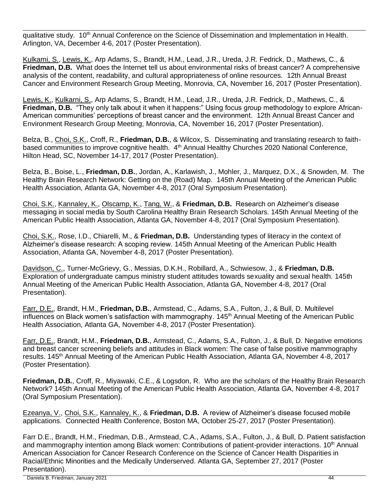qualitative study. 10<sup>th</sup> Annual Conference on the Science of Dissemination and Implementation in Health. Arlington, VA, December 4-6, 2017 (Poster Presentation).

Kulkarni, S., Lewis, K., Arp Adams, S., Brandt, H.M., Lead, J.R., Ureda, J.R. Fedrick, D., Mathews, C., & **Friedman, D.B.** What does the Internet tell us about environmental risks of breast cancer? A comprehensive analysis of the content, readability, and cultural appropriateness of online resources. 12th Annual Breast Cancer and Environment Research Group Meeting, Monrovia, CA, November 16, 2017 (Poster Presentation).

Lewis, K., Kulkarni, S., Arp Adams, S., Brandt, H.M., Lead, J.R., Ureda, J.R. Fedrick, D., Mathews, C., & **Friedman, D.B.** "They only talk about it when it happens:" Using focus group methodology to explore African-American communities' perceptions of breast cancer and the environment. 12th Annual Breast Cancer and Environment Research Group Meeting, Monrovia, CA, November 16, 2017 (Poster Presentation).

Belza, B., Choi, S.K., Croff, R., **Friedman, D.B.**, & Wilcox, S. Disseminating and translating research to faithbased communities to improve cognitive health. 4<sup>th</sup> Annual Healthy Churches 2020 National Conference, Hilton Head, SC, November 14-17, 2017 (Poster Presentation).

Belza, B., Boise, L., **Friedman, D.B.**, Jordan, A., Karlawish, J., Mohler, J., Marquez, D.X., & Snowden, M. The Healthy Brain Research Network: Getting on the (Road) Map. 145th Annual Meeting of the American Public Health Association, Atlanta GA, November 4-8, 2017 (Oral Symposium Presentation).

Choi, S.K., Kannaley, K., Olscamp, K., Tang, W., & **Friedman, D.B.** Research on Alzheimer's disease messaging in social media by South Carolina Healthy Brain Research Scholars. 145th Annual Meeting of the American Public Health Association, Atlanta GA, November 4-8, 2017 (Oral Symposium Presentation).

Choi, S.K., Rose, I.D., Chiarelli, M., & **Friedman, D.B.** Understanding types of literacy in the context of Alzheimer's disease research: A scoping review. 145th Annual Meeting of the American Public Health Association, Atlanta GA, November 4-8, 2017 (Poster Presentation).

Davidson, C., Turner-McGrievy, G., Messias, D.K.H., Robillard, A., Schwiesow, J., & **Friedman, D.B.** Exploration of undergraduate campus ministry student attitudes towards sexuality and sexual health. 145th Annual Meeting of the American Public Health Association, Atlanta GA, November 4-8, 2017 (Oral Presentation).

Farr, D.E., Brandt, H.M., **Friedman, D.B.**, Armstead, C., Adams, S.A., Fulton, J., & Bull, D. Multilevel influences on Black women's satisfaction with mammography.  $145<sup>th</sup>$  Annual Meeting of the American Public Health Association, Atlanta GA, November 4-8, 2017 (Poster Presentation).

Farr, D.E., Brandt, H.M., **Friedman, D.B.**, Armstead, C., Adams, S.A., Fulton, J., & Bull, D. Negative emotions and breast cancer screening beliefs and attitudes in Black women: The case of false positive mammography results. 145<sup>th</sup> Annual Meeting of the American Public Health Association, Atlanta GA, November 4-8, 2017 (Poster Presentation).

**Friedman, D.B.**, Croff, R., Miyawaki, C.E., & Logsdon, R. Who are the scholars of the Healthy Brain Research Network? 145th Annual Meeting of the American Public Health Association, Atlanta GA, November 4-8, 2017 (Oral Symposium Presentation).

Ezeanya, V., Choi, S.K., Kannaley, K., & **Friedman, D.B.** A review of Alzheimer's disease focused mobile applications. Connected Health Conference, Boston MA, October 25-27, 2017 (Poster Presentation).

Farr D.E., Brandt, H.M., Friedman, D.B., Armstead, C.A., Adams, S.A., Fulton, J., & Bull, D. Patient satisfaction and mammography intention among Black women: Contributions of patient-provider interactions.  $10<sup>th</sup>$  Annual American Association for Cancer Research Conference on the Science of Cancer Health Disparities in Racial/Ethnic Minorities and the Medically Underserved. Atlanta GA, September 27, 2017 (Poster Presentation).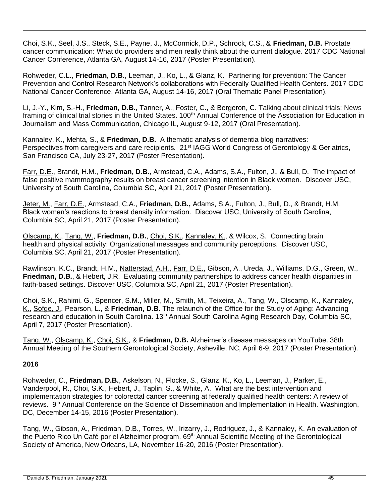Choi, S.K., Seel, J.S., Steck, S.E., Payne, J., McCormick, D.P., Schrock, C.S., & **Friedman, D.B.** Prostate cancer communication: What do providers and men really think about the current dialogue. 2017 CDC National Cancer Conference, Atlanta GA, August 14-16, 2017 (Poster Presentation).

Rohweder, C.L., **Friedman, D.B.**, Leeman, J., Ko, L., & Glanz, K. Partnering for prevention: The Cancer Prevention and Control Research Network's collaborations with Federally Qualified Health Centers. 2017 CDC National Cancer Conference, Atlanta GA, August 14-16, 2017 (Oral Thematic Panel Presentation).

Li, J.-Y., Kim, S.-H., **Friedman, D.B.**, Tanner, A., Foster, C., & Bergeron, C. Talking about clinical trials: News framing of clinical trial stories in the United States. 100<sup>th</sup> Annual Conference of the Association for Education in Journalism and Mass Communication, Chicago IL, August 9-12, 2017 (Oral Presentation).

Kannaley, K., Mehta, S., & **Friedman, D.B.** A thematic analysis of dementia blog narratives: Perspectives from caregivers and care recipients. 21<sup>st</sup> IAGG World Congress of Gerontology & Geriatrics, San Francisco CA, July 23-27, 2017 (Poster Presentation).

Farr, D.E., Brandt, H.M., **Friedman, D.B.**, Armstead, C.A., Adams, S.A., Fulton, J., & Bull, D. The impact of false positive mammography results on breast cancer screening intention in Black women. Discover USC, University of South Carolina, Columbia SC, April 21, 2017 (Poster Presentation).

Jeter, M., Farr, D.E., Armstead, C.A., **Friedman, D.B.,** Adams, S.A., Fulton, J., Bull, D., & Brandt, H.M. Black women's reactions to breast density information. Discover USC, University of South Carolina, Columbia SC, April 21, 2017 (Poster Presentation).

Olscamp, K., Tang, W., **Friedman, D.B.**, Choi, S.K., Kannaley, K., & Wilcox, S. Connecting brain health and physical activity: Organizational messages and community perceptions. Discover USC, Columbia SC, April 21, 2017 (Poster Presentation).

Rawlinson, K.C., Brandt, H.M., Natterstad, A.H., Farr, D.E., Gibson, A., Ureda, J., Williams, D.G., Green, W., **Friedman, D.B.**, & Hebert, J.R. Evaluating community partnerships to address cancer health disparities in faith-based settings. Discover USC, Columbia SC, April 21, 2017 (Poster Presentation).

Choi, S.K., Rahimi, G., Spencer, S.M., Miller, M., Smith, M., Teixeira, A., Tang, W., Olscamp, K., Kannaley, K., Sofge, J., Pearson, L., & **Friedman, D.B.** The relaunch of the Office for the Study of Aging: Advancing research and education in South Carolina. 13<sup>th</sup> Annual South Carolina Aging Research Day, Columbia SC, April 7, 2017 (Poster Presentation).

Tang, W., Olscamp, K., Choi, S.K., & **Friedman, D.B.** Alzheimer's disease messages on YouTube. 38th Annual Meeting of the Southern Gerontological Society, Asheville, NC, April 6-9, 2017 (Poster Presentation).

### **2016**

Rohweder, C., **Friedman, D.B.**, Askelson, N., Flocke, S., Glanz, K., Ko, L., Leeman, J., Parker, E., Vanderpool, R., Choi, S.K., Hebert, J., Taplin, S., & White, A. What are the best intervention and implementation strategies for colorectal cancer screening at federally qualified health centers: A review of reviews. 9<sup>th</sup> Annual Conference on the Science of Dissemination and Implementation in Health. Washington, DC, December 14-15, 2016 (Poster Presentation).

Tang, W., Gibson, A., Friedman, D.B., Torres, W., Irizarry, J., Rodriguez, J., & Kannaley, K. An evaluation of the Puerto Rico Un Café por el Alzheimer program. 69<sup>th</sup> Annual Scientific Meeting of the Gerontological Society of America, New Orleans, LA, November 16-20, 2016 (Poster Presentation).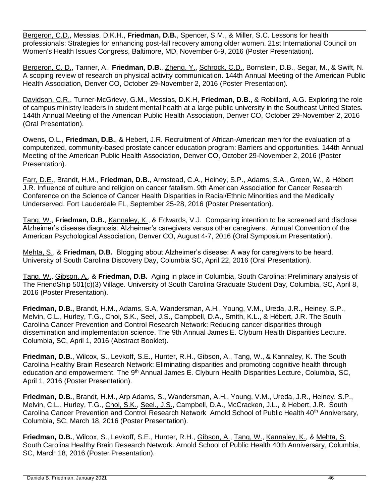Bergeron, C.D., Messias, D.K.H., **Friedman, D.B.**, Spencer, S.M., & Miller, S.C. Lessons for health professionals: Strategies for enhancing post-fall recovery among older women. 21st International Council on Women's Health Issues Congress, Baltimore, MD, November 6-9, 2016 (Poster Presentation).

Bergeron, C. D., Tanner, A., **Friedman, D.B.**, Zheng, Y., Schrock, C.D., Bornstein, D.B., Segar, M., & Swift, N. A scoping review of research on physical activity communication. 144th Annual Meeting of the American Public Health Association, Denver CO, October 29-November 2, 2016 (Poster Presentation).

Davidson, C.R., Turner-McGrievy, G.M., Messias, D.K.H, **Friedman, D.B.**, & Robillard, A.G. Exploring the role of campus ministry leaders in student mental health at a large public university in the Southeast United States. 144th Annual Meeting of the American Public Health Association, Denver CO, October 29-November 2, 2016 (Oral Presentation).

Owens, O.L., **Friedman, D.B.**, & Hebert, J.R. Recruitment of African-American men for the evaluation of a computerized, community-based prostate cancer education program: Barriers and opportunities. 144th Annual Meeting of the American Public Health Association, Denver CO, October 29-November 2, 2016 (Poster Presentation).

Farr, D.E., Brandt, H.M., **Friedman, D.B.**, Armstead, C.A., Heiney, S.P., Adams, S.A., Green, W., & Hébert J.R. Influence of culture and religion on cancer fatalism. 9th American Association for Cancer Research Conference on the Science of Cancer Health Disparities in Racial/Ethnic Minorities and the Medically Underserved. Fort Lauderdale FL, September 25-28, 2016 (Poster Presentation).

Tang, W., **Friedman, D.B.**, Kannaley, K., & Edwards, V.J. Comparing intention to be screened and disclose Alzheimer's disease diagnosis: Alzheimer's caregivers versus other caregivers. Annual Convention of the American Psychological Association, Denver CO, August 4-7, 2016 (Oral Symposium Presentation).

Mehta, S., & **Friedman, D.B.** Blogging about Alzheimer's disease: A way for caregivers to be heard. University of South Carolina Discovery Day, Columbia SC, April 22, 2016 (Oral Presentation).

Tang, W., Gibson, A., & **Friedman, D.B.** Aging in place in Columbia, South Carolina: Preliminary analysis of The FriendShip 501(c)(3) Village. University of South Carolina Graduate Student Day, Columbia, SC, April 8, 2016 (Poster Presentation).

**Friedman, D.B.,** Brandt, H.M., Adams, S.A, Wandersman, A.H., Young, V.M., Ureda, J.R., Heiney, S.P., Melvin, C.L., Hurley, T.G., Choi, S.K., Seel, J.S., Campbell, D.A., Smith, K.L., & Hébert, J.R. The South Carolina Cancer Prevention and Control Research Network: Reducing cancer disparities through dissemination and implementation science. The 9th Annual James E. Clyburn Health Disparities Lecture. Columbia, SC, April 1, 2016 (Abstract Booklet).

**Friedman, D.B.**, Wilcox, S., Levkoff, S.E., Hunter, R.H., Gibson, A., Tang, W., & Kannaley, K. The South Carolina Healthy Brain Research Network: Eliminating disparities and promoting cognitive health through education and empowerment. The 9<sup>th</sup> Annual James E. Clyburn Health Disparities Lecture, Columbia, SC, April 1, 2016 (Poster Presentation).

**Friedman, D.B.**, Brandt, H.M., Arp Adams, S., Wandersman, A.H., Young, V.M., Ureda, J.R., Heiney, S.P., Melvin, C.L., Hurley, T.G., Choi, S.K., Seel., J.S., Campbell, D.A., McCracken, J.L., & Hebert, J.R. South Carolina Cancer Prevention and Control Research Network Arnold School of Public Health 40<sup>th</sup> Anniversary, Columbia, SC, March 18, 2016 (Poster Presentation).

**Friedman, D.B.**, Wilcox, S., Levkoff, S.E., Hunter, R.H., Gibson, A., Tang, W., Kannaley, K., & Mehta, S. South Carolina Healthy Brain Research Network. Arnold School of Public Health 40th Anniversary, Columbia, SC, March 18, 2016 (Poster Presentation).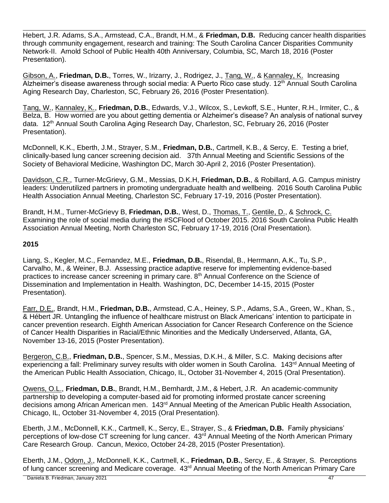Hebert, J.R. Adams, S.A., Armstead, C.A., Brandt, H.M., & **Friedman, D.B.** Reducing cancer health disparities through community engagement, research and training: The South Carolina Cancer Disparities Community Network-II.Arnold School of Public Health 40th Anniversary, Columbia, SC, March 18, 2016 (Poster Presentation).

Gibson, A., **Friedman, D.B.**, Torres, W., Irizarry, J., Rodrigez, J., Tang, W., & Kannaley, K. Increasing Alzheimer's disease awareness through social media: A Puerto Rico case study. 12<sup>th</sup> Annual South Carolina Aging Research Day, Charleston, SC, February 26, 2016 (Poster Presentation).

Tang, W., Kannaley, K., **Friedman, D.B.**, Edwards, V.J., Wilcox, S., Levkoff, S.E., Hunter, R.H., Irmiter, C., & Belza, B. How worried are you about getting dementia or Alzheimer's disease? An analysis of national survey data. 12<sup>th</sup> Annual South Carolina Aging Research Day, Charleston, SC, February 26, 2016 (Poster Presentation).

McDonnell, K.K., Eberth, J.M., Strayer, S.M., **Friedman, D.B.**, Cartmell, K.B., & Sercy, E. Testing a brief, clinically-based lung cancer screening decision aid. 37th Annual Meeting and Scientific Sessions of the Society of Behavioral Medicine, Washington DC, March 30-April 2, 2016 (Poster Presentation).

Davidson, C.R., Turner-McGrievy, G.M., Messias, D.K.H, **Friedman, D.B.**, & Robillard, A.G. Campus ministry leaders: Underutilized partners in promoting undergraduate health and wellbeing. 2016 South Carolina Public Health Association Annual Meeting, Charleston SC, February 17-19, 2016 (Poster Presentation).

Brandt, H.M., Turner-McGrievy B, **Friedman, D.B.**, West, D., Thomas, T., Gentile, D., & Schrock, C. Examining the role of social media during the #SCFlood of October 2015. 2016 South Carolina Public Health Association Annual Meeting, North Charleston SC, February 17-19, 2016 (Oral Presentation).

### **2015**

Liang, S., Kegler, M.C., Fernandez, M.E., **Friedman, D.B.**, Risendal, B., Herrmann, A.K., Tu, S.P., Carvalho, M., & Weiner, B.J. Assessing practice adaptive reserve for implementing evidence-based practices to increase cancer screening in primary care. 8<sup>th</sup> Annual Conference on the Science of Dissemination and Implementation in Health. Washington, DC, December 14-15, 2015 (Poster Presentation).

Farr, D.E., Brandt, H.M., **Friedman, D.B.**, Armstead, C.A., Heiney, S.P., Adams, S.A., Green, W., Khan, S., & Hébert JR. Untangling the influence of healthcare mistrust on Black Americans' intention to participate in cancer prevention research. Eighth American Association for Cancer Research Conference on the Science of Cancer Health Disparities in Racial/Ethnic Minorities and the Medically Underserved, Atlanta, GA, November 13-16, 2015 (Poster Presentation).

Bergeron, C.B., **Friedman, D.B.**, Spencer, S.M., Messias, D.K.H., & Miller, S.C. Making decisions after experiencing a fall: Preliminary survey results with older women in South Carolina. 143<sup>rd</sup> Annual Meeting of the American Public Health Association, Chicago, IL, October 31-November 4, 2015 (Oral Presentation).

Owens, O.L., **Friedman, D.B.**, Brandt, H.M., Bernhardt, J.M., & Hebert, J.R. An academic-community partnership to developing a computer-based aid for promoting informed prostate cancer screening decisions among African American men. 143<sup>rd</sup> Annual Meeting of the American Public Health Association, Chicago, IL, October 31-November 4, 2015 (Oral Presentation).

Eberth, J.M., McDonnell, K.K., Cartmell, K., Sercy, E., Strayer, S., & **Friedman, D.B.** Family physicians' perceptions of low-dose CT screening for lung cancer. 43<sup>rd</sup> Annual Meeting of the North American Primary Care Research Group. Cancun, Mexico, October 24-28, 2015 (Poster Presentation).

Eberth, J.M., Odom, J., McDonnell, K.K., Cartmell, K., **Friedman, D.B.**, Sercy, E., & Strayer, S. Perceptions of lung cancer screening and Medicare coverage. 43<sup>rd</sup> Annual Meeting of the North American Primary Care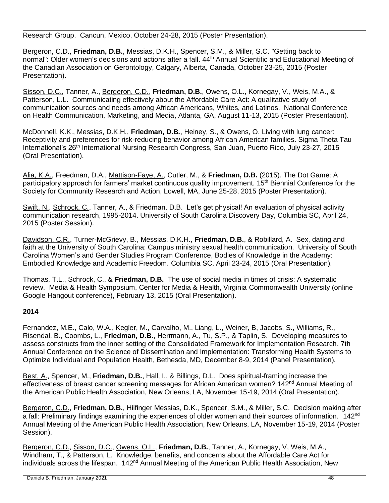Research Group. Cancun, Mexico, October 24-28, 2015 (Poster Presentation).

Bergeron, C.D., **Friedman, D.B.**, Messias, D.K.H., Spencer, S.M., & Miller, S.C. "Getting back to normal": Older women's decisions and actions after a fall. 44<sup>th</sup> Annual Scientific and Educational Meeting of the Canadian Association on Gerontology, Calgary, Alberta, Canada, October 23-25, 2015 (Poster Presentation).

Sisson, D.C., Tanner, A., Bergeron, C.D., **Friedman, D.B.**, Owens, O.L., Kornegay, V., Weis, M.A., & Patterson, L.L. Communicating effectively about the Affordable Care Act: A qualitative study of communication sources and needs among African Americans, Whites, and Latinos. National Conference on Health Communication, Marketing, and Media, Atlanta, GA, August 11-13, 2015 (Poster Presentation).

McDonnell, K.K., Messias, D.K.H., **Friedman, D.B.**, Heiney, S., & Owens, O. Living with lung cancer: Receptivity and preferences for risk-reducing behavior among African American families. Sigma Theta Tau International's 26<sup>th</sup> International Nursing Research Congress, San Juan, Puerto Rico, July 23-27, 2015 (Oral Presentation).

Alia, K.A., Freedman, D.A., Mattison-Faye, A., Cutler, M., & **Friedman, D.B.** (2015). The Dot Game: A participatory approach for farmers' market continuous quality improvement. 15<sup>th</sup> Biennial Conference for the Society for Community Research and Action, Lowell, MA, June 25-28, 2015 (Poster Presentation).

Swift, N., Schrock, C., Tanner, A., & Friedman. D.B. Let's get physical! An evaluation of physical activity communication research, 1995-2014. University of South Carolina Discovery Day, Columbia SC, April 24, 2015 (Poster Session).

Davidson, C.R., Turner-McGrievy, B., Messias, D.K.H., **Friedman, D.B.**, & Robillard, A. Sex, dating and faith at the University of South Carolina: Campus ministry sexual health communication. University of South Carolina Women's and Gender Studies Program Conference, Bodies of Knowledge in the Academy: Embodied Knowledge and Academic Freedom. Columbia SC, April 23-24, 2015 (Oral Presentation).

Thomas, T.L., Schrock, C., & **Friedman, D.B.** The use of social media in times of crisis: A systematic review. Media & Health Symposium, Center for Media & Health, Virginia Commonwealth University (online Google Hangout conference), February 13, 2015 (Oral Presentation).

### **2014**

Fernandez, M.E., Calo, W.A., Kegler, M., Carvalho, M., Liang, L., Weiner, B, Jacobs, S., Williams, R., Risendal, B., Coombs, L., **Friedman, D.B.**, Herrmann, A., Tu, S.P., & Taplin, S. Developing measures to assess constructs from the inner setting of the Consolidated Framework for Implementation Research. 7th Annual Conference on the Science of Dissemination and Implementation: Transforming Health Systems to Optimize Individual and Population Health, Bethesda, MD, December 8-9, 2014 (Panel Presentation).

Best, A., Spencer, M., **Friedman, D.B.**, Hall, I., & Billings, D.L. Does spiritual-framing increase the effectiveness of breast cancer screening messages for African American women? 142<sup>nd</sup> Annual Meeting of the American Public Health Association, New Orleans, LA, November 15-19, 2014 (Oral Presentation).

Bergeron, C.D., **Friedman, D.B.**, Hilfinger Messias, D.K., Spencer, S.M., & Miller, S.C. Decision making after a fall: Preliminary findings examining the experiences of older women and their sources of information. 142<sup>nd</sup> Annual Meeting of the American Public Health Association, New Orleans, LA, November 15-19, 2014 (Poster Session).

Bergeron, C.D., Sisson, D.C., Owens, O.L., **Friedman, D.B.**, Tanner, A., Kornegay, V, Weis, M.A., Windham, T., & Patterson, L. Knowledge, benefits, and concerns about the Affordable Care Act for individuals across the lifespan. 142<sup>nd</sup> Annual Meeting of the American Public Health Association, New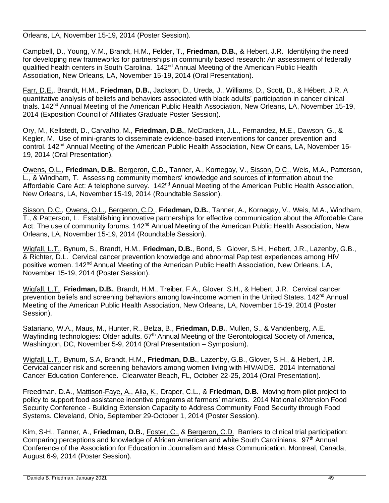Orleans, LA, November 15-19, 2014 (Poster Session).

Campbell, D., Young, V.M., Brandt, H.M., Felder, T., **Friedman, D.B.**, & Hebert, J.R. Identifying the need for developing new frameworks for partnerships in community based research: An assessment of federally qualified health centers in South Carolina. 142<sup>nd</sup> Annual Meeting of the American Public Health Association, New Orleans, LA, November 15-19, 2014 (Oral Presentation).

Farr, D.E., Brandt, H.M., **Friedman, D.B.**, Jackson, D., Ureda, J., Williams, D., Scott, D., & Hébert, J.R. A quantitative analysis of beliefs and behaviors associated with black adults' participation in cancer clinical trials. 142nd Annual Meeting of the American Public Health Association, New Orleans, LA, November 15-19, 2014 (Exposition Council of Affiliates Graduate Poster Session).

Ory, M., Kellstedt, D., Carvalho, M., **Friedman, D.B.**, McCracken, J.L., Fernandez, M.E., Dawson, G., & Kegler, M. Use of mini-grants to disseminate evidence-based interventions for cancer prevention and control. 142<sup>nd</sup> Annual Meeting of the American Public Health Association, New Orleans, LA, November 15-19, 2014 (Oral Presentation).

Owens, O.L., **Friedman, D.B.**, Bergeron, C.D., Tanner, A., Kornegay, V., Sisson, D.C., Weis, M.A., Patterson, L., & Windham, T. Assessing community members' knowledge and sources of information about the Affordable Care Act: A telephone survey. 142<sup>nd</sup> Annual Meeting of the American Public Health Association, New Orleans, LA, November 15-19, 2014 (Roundtable Session).

Sisson, D.C., Owens, O.L., Bergeron, C.D., **Friedman, D.B.**, Tanner, A., Kornegay, V., Weis, M.A., Windham, T., & Patterson, L. Establishing innovative partnerships for effective communication about the Affordable Care Act: The use of community forums. 142<sup>nd</sup> Annual Meeting of the American Public Health Association, New Orleans, LA, November 15-19, 2014 (Roundtable Session).

Wigfall, L.T., Bynum, S., Brandt, H.M., **Friedman, D.B.**, Bond, S., Glover, S.H., Hebert, J.R., Lazenby, G.B., & Richter, D.L. Cervical cancer prevention knowledge and abnormal Pap test experiences among HIV positive women. 142<sup>nd</sup> Annual Meeting of the American Public Health Association, New Orleans, LA, November 15-19, 2014 (Poster Session).

Wigfall, L.T., **Friedman, D.B.**, Brandt, H.M., Treiber, F.A., Glover, S.H., & Hebert, J.R. Cervical cancer prevention beliefs and screening behaviors among low-income women in the United States. 142nd Annual Meeting of the American Public Health Association, New Orleans, LA, November 15-19, 2014 (Poster Session).

Satariano, W.A., Maus, M., Hunter, R., Belza, B., **Friedman, D.B.**, Mullen, S., & Vandenberg, A.E. Wayfinding technologies: Older adults. 67<sup>th</sup> Annual Meeting of the Gerontological Society of America, Washington, DC, November 5-9, 2014 (Oral Presentation – Symposium).

Wigfall, L.T., Bynum, S.A, Brandt, H.M., **Friedman, D.B.**, Lazenby, G.B., Glover, S.H., & Hebert, J.R. Cervical cancer risk and screening behaviors among women living with HIV/AIDS. 2014 International Cancer Education Conference. Clearwater Beach, FL, October 22-25, 2014 (Oral Presentation).

Freedman, D.A., Mattison-Faye, A., Alia, K., Draper, C.L., & **Friedman, D.B.** Moving from pilot project to policy to support food assistance incentive programs at farmers' markets. 2014 National eXtension Food Security Conference - Building Extension Capacity to Address Community Food Security through Food Systems. Cleveland, Ohio, September 29-October 1, 2014 (Poster Session).

Kim, S-H., Tanner, A., **Friedman, D.B.**, Foster, C., & Bergeron, C.D. Barriers to clinical trial participation: Comparing perceptions and knowledge of African American and white South Carolinians. 97<sup>th</sup> Annual Conference of the Association for Education in Journalism and Mass Communication. Montreal, Canada, August 6-9, 2014 (Poster Session).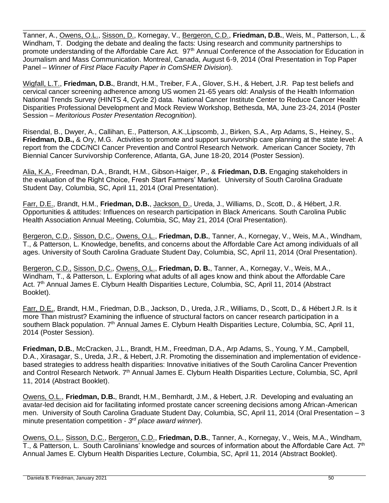Tanner, A., Owens, O.L., Sisson, D., Kornegay, V., Bergeron, C.D., **Friedman, D.B.**, Weis, M., Patterson, L., & Windham, T. Dodging the debate and dealing the facts: Using research and community partnerships to promote understanding of the Affordable Care Act. 97<sup>th</sup> Annual Conference of the Association for Education in Journalism and Mass Communication. Montreal, Canada, August 6-9, 2014 (Oral Presentation in Top Paper Panel – *Winner of First Place Faculty Paper in ComSHER Division*).

Wigfall, L.T., **Friedman, D.B.**, Brandt, H.M., Treiber, F.A., Glover, S.H., & Hebert, J.R. Pap test beliefs and cervical cancer screening adherence among US women 21-65 years old: Analysis of the Health Information National Trends Survey (HINTS 4, Cycle 2) data. National Cancer Institute Center to Reduce Cancer Health Disparities Professional Development and Mock Review Workshop, Bethesda, MA, June 23-24, 2014 (Poster Session – *Meritorious Poster Presentation Recognition*).

Risendal, B., Dwyer, A., Callihan, E., Patterson, A.K.,Lipscomb, J., Birken, S.A., Arp Adams, S., Heiney, S., **Friedman, D.B.,** & Ory, M.G. Activities to promote and support survivorship care planning at the state level: A report from the CDC/NCI Cancer Prevention and Control Research Network. American Cancer Society, 7th Biennial Cancer Survivorship Conference, Atlanta, GA, June 18-20, 2014 (Poster Session).

Alia, K.A., Freedman, D.A., Brandt, H.M., Gibson-Haiger, P., & **Friedman, D.B.** Engaging stakeholders in the evaluation of the Right Choice, Fresh Start Farmers' Market. University of South Carolina Graduate Student Day, Columbia, SC, April 11, 2014 (Oral Presentation).

Farr, D.E., Brandt, H.M., **Friedman, D.B.**, Jackson, D., Ureda, J., Williams, D., Scott, D., & Hébert, J.R. Opportunities & attitudes: Influences on research participation in Black Americans. South Carolina Public Health Association Annual Meeting, Columbia, SC, May 21, 2014 (Oral Presentation).

Bergeron, C.D., Sisson, D.C., Owens, O.L., **Friedman, D.B.**, Tanner, A., Kornegay, V., Weis, M.A., Windham, T., & Patterson, L. Knowledge, benefits, and concerns about the Affordable Care Act among individuals of all ages. University of South Carolina Graduate Student Day, Columbia, SC, April 11, 2014 (Oral Presentation).

Bergeron, C.D., Sisson, D.C., Owens, O.L., **Friedman, D. B.**, Tanner, A., Kornegay, V., Weis, M.A., Windham, T., & Patterson, L. Exploring what adults of all ages know and think about the Affordable Care Act. 7<sup>th</sup> Annual James E. Clyburn Health Disparities Lecture, Columbia, SC, April 11, 2014 (Abstract Booklet).

Farr, D.E., Brandt, H.M., Friedman, D.B., Jackson, D., Ureda, J.R., Williams, D., Scott, D., & Hébert J.R. Is it more Than mistrust? Examining the influence of structural factors on cancer research participation in a southern Black population. 7<sup>th</sup> Annual James E. Clyburn Health Disparities Lecture, Columbia, SC, April 11, 2014 (Poster Session).

**Friedman, D.B.**, McCracken, J.L., Brandt, H.M., Freedman, D.A., Arp Adams, S., Young, Y.M., Campbell, D.A., Xirasagar, S., Ureda, J.R., & Hebert, J.R. Promoting the dissemination and implementation of evidencebased strategies to address health disparities: Innovative initiatives of the South Carolina Cancer Prevention and Control Research Network. 7<sup>th</sup> Annual James E. Clyburn Health Disparities Lecture, Columbia, SC, April 11, 2014 (Abstract Booklet).

Owens, O.L., **Friedman, D.B.**, Brandt, H.M., Bernhardt, J.M., & Hebert, J.R. Developing and evaluating an avatar-led decision aid for facilitating informed prostate cancer screening decisions among African-American men. University of South Carolina Graduate Student Day, Columbia, SC, April 11, 2014 (Oral Presentation – 3 minute presentation competition - *3 rd place award winner*).

Owens, O.L., Sisson, D.C., Bergeron, C.D., **Friedman, D.B.**, Tanner, A., Kornegay, V., Weis, M.A., Windham, T., & Patterson, L. South Carolinians' knowledge and sources of information about the Affordable Care Act.  $7<sup>th</sup>$ Annual James E. Clyburn Health Disparities Lecture, Columbia, SC, April 11, 2014 (Abstract Booklet).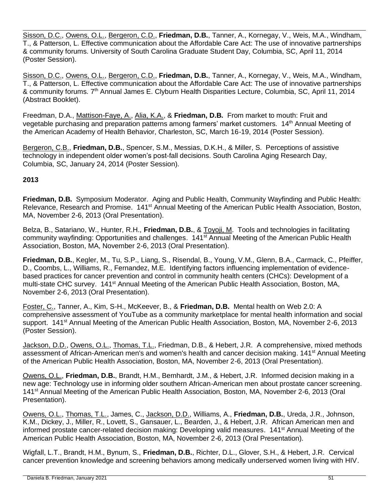Sisson, D.C., Owens, O.L., Bergeron, C.D., **Friedman, D.B.**, Tanner, A., Kornegay, V., Weis, M.A., Windham, T., & Patterson, L. Effective communication about the Affordable Care Act: The use of innovative partnerships & community forums. University of South Carolina Graduate Student Day, Columbia, SC, April 11, 2014 (Poster Session).

Sisson, D.C., Owens, O.L., Bergeron, C.D., **Friedman, D.B.**, Tanner, A., Kornegay, V., Weis, M.A., Windham, T., & Patterson, L. Effective communication about the Affordable Care Act: The use of innovative partnerships & community forums. 7<sup>th</sup> Annual James E. Clyburn Health Disparities Lecture, Columbia, SC, April 11, 2014 (Abstract Booklet).

Freedman, D.A., Mattison-Faye, A., Alia, K.A., & **Friedman, D.B.** From market to mouth: Fruit and vegetable purchasing and preparation patterns among farmers' market customers. 14th Annual Meeting of the American Academy of Health Behavior, Charleston, SC, March 16-19, 2014 (Poster Session).

Bergeron, C.B., **Friedman, D.B.**, Spencer, S.M., Messias, D.K.H., & Miller, S. Perceptions of assistive technology in independent older women's post-fall decisions. South Carolina Aging Research Day, Columbia, SC, January 24, 2014 (Poster Session).

### **2013**

**Friedman, D.B.** Symposium Moderator. Aging and Public Health, Community Wayfinding and Public Health: Relevance, Research and Promise. 141<sup>st</sup> Annual Meeting of the American Public Health Association, Boston, MA, November 2-6, 2013 (Oral Presentation).

Belza, B., Satariano, W., Hunter, R.H., **Friedman, D.B.**, & Toyoji, M. Tools and technologies in facilitating community wayfinding: Opportunities and challenges.141st Annual Meeting of the American Public Health Association, Boston, MA, November 2-6, 2013 (Oral Presentation).

**Friedman, D.B.**, Kegler, M., Tu, S.P., Liang, S., Risendal, B., Young, V.M., Glenn, B.A., Carmack, C., Pfeiffer, D., Coombs, L., Williams, R., Fernandez, M.E. Identifying factors influencing implementation of evidencebased practices for cancer prevention and control in community health centers (CHCs): Development of a multi-state CHC survey. 141<sup>st</sup> Annual Meeting of the American Public Health Association, Boston, MA, November 2-6, 2013 (Oral Presentation).

Foster, C., Tanner, A., Kim, S-H., McKeever, B., & **Friedman, D.B.** Mental health on Web 2.0: A comprehensive assessment of YouTube as a community marketplace for mental health information and social support. 141<sup>st</sup> Annual Meeting of the American Public Health Association, Boston, MA, November 2-6, 2013 (Poster Session).

Jackson, D.D., Owens, O.L., Thomas, T.L., Friedman, D.B., & Hebert, J.R. A comprehensive, mixed methods assessment of African-American men's and women's health and cancer decision making. 141<sup>st</sup> Annual Meeting of the American Public Health Association, Boston, MA, November 2-6, 2013 (Oral Presentation).

Owens, O.L., **Friedman, D.B.**, Brandt, H.M., Bernhardt, J.M., & Hebert, J.R. Informed decision making in a new age: Technology use in informing older southern African-American men about prostate cancer screening. 141<sup>st</sup> Annual Meeting of the American Public Health Association, Boston, MA, November 2-6, 2013 (Oral Presentation).

Owens, O.L., Thomas, T.L., James, C., Jackson, D.D., Williams, A., **Friedman, D.B.**, Ureda, J.R., Johnson, K.M., Dickey, J., Miller, R., Lovett, S., Gansauer, L., Bearden, J., & Hebert, J.R. African American men and informed prostate cancer-related decision making: Developing valid measures. 141<sup>st</sup> Annual Meeting of the American Public Health Association, Boston, MA, November 2-6, 2013 (Oral Presentation).

Wigfall, L.T., Brandt, H.M., Bynum, S., **Friedman, D.B.**, Richter, D.L., Glover, S.H., & Hebert, J.R. Cervical cancer prevention knowledge and screening behaviors among medically underserved women living with HIV.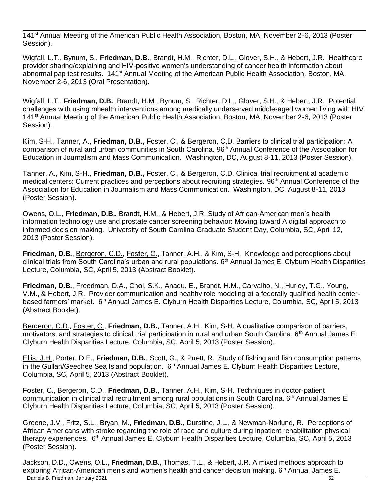141<sup>st</sup> Annual Meeting of the American Public Health Association, Boston, MA, November 2-6, 2013 (Poster Session).

Wigfall, L.T., Bynum, S., **Friedman, D.B.**, Brandt, H.M., Richter, D.L., Glover, S.H., & Hebert, J.R. Healthcare provider sharing/explaining and HIV-positive women's understanding of cancer health information about abnormal pap test results. 141st Annual Meeting of the American Public Health Association, Boston, MA, November 2-6, 2013 (Oral Presentation).

Wigfall, L.T., **Friedman, D.B.**, Brandt, H.M., Bynum, S., Richter, D.L., Glover, S.H., & Hebert, J.R. Potential challenges with using mhealth interventions among medically underserved middle-aged women living with HIV. 141st Annual Meeting of the American Public Health Association, Boston, MA, November 2-6, 2013 (Poster Session).

Kim, S-H., Tanner, A., **Friedman, D.B.**, Foster, C., & Bergeron, C,D. Barriers to clinical trial participation: A comparison of rural and urban communities in South Carolina. 96<sup>th</sup> Annual Conference of the Association for Education in Journalism and Mass Communication. Washington, DC, August 8-11, 2013 (Poster Session).

Tanner, A., Kim, S-H., **Friedman, D.B.**, Foster, C., & Bergeron, C.D. Clinical trial recruitment at academic medical centers: Current practices and perceptions about recruiting strategies. 96<sup>th</sup> Annual Conference of the Association for Education in Journalism and Mass Communication. Washington, DC, August 8-11, 2013 (Poster Session).

Owens, O.L., **Friedman, D.B.,** Brandt, H.M., & Hebert, J.R. Study of African-American men's health information technology use and prostate cancer screening behavior: Moving toward A digital approach to informed decision making. University of South Carolina Graduate Student Day, Columbia, SC, April 12, 2013 (Poster Session).

**Friedman, D.B.**, Bergeron, C.D., Foster, C., Tanner, A.H., & Kim, S-H. Knowledge and perceptions about clinical trials from South Carolina's urban and rural populations. 6<sup>th</sup> Annual James E. Clyburn Health Disparities Lecture, Columbia, SC, April 5, 2013 (Abstract Booklet).

**Friedman, D.B.**, Freedman, D.A., Choi, S.K., Anadu, E., Brandt, H.M., Carvalho, N., Hurley, T.G., Young, V.M., & Hebert, J.R. Provider communication and healthy role modeling at a federally qualified health centerbased farmers' market. 6<sup>th</sup> Annual James E. Clyburn Health Disparities Lecture, Columbia, SC, April 5, 2013 (Abstract Booklet).

Bergeron, C.D., Foster, C., **Friedman, D.B.**, Tanner, A.H., Kim, S-H. A qualitative comparison of barriers, motivators, and strategies to clinical trial participation in rural and urban South Carolina. 6<sup>th</sup> Annual James E. Clyburn Health Disparities Lecture, Columbia, SC, April 5, 2013 (Poster Session).

Ellis, J.H., Porter, D.E., **Friedman, D.B.**, Scott, G., & Puett, R. Study of fishing and fish consumption patterns in the Gullah/Geechee Sea Island population. 6<sup>th</sup> Annual James E. Clyburn Health Disparities Lecture, Columbia, SC, April 5, 2013 (Abstract Booklet).

Foster, C., Bergeron, C.D., **Friedman, D.B.**, Tanner, A.H., Kim, S-H. Techniques in doctor-patient communication in clinical trial recruitment among rural populations in South Carolina. 6<sup>th</sup> Annual James E. Clyburn Health Disparities Lecture, Columbia, SC, April 5, 2013 (Poster Session).

Greene, J.V., Fritz, S.L., Bryan, M., **Friedman, D.B.**, Durstine, J.L., & Newman-Norlund, R. Perceptions of African Americans with stroke regarding the role of race and culture during inpatient rehabilitation physical therapy experiences. 6<sup>th</sup> Annual James E. Clyburn Health Disparities Lecture, Columbia, SC, April 5, 2013 (Poster Session).

Daniela B. Friedman, January 2021 52 Jackson, D.D., Owens, O.L., **Friedman, D.B.**, Thomas, T.L., & Hebert, J.R. A mixed methods approach to exploring African-American men's and women's health and cancer decision making. 6<sup>th</sup> Annual James E.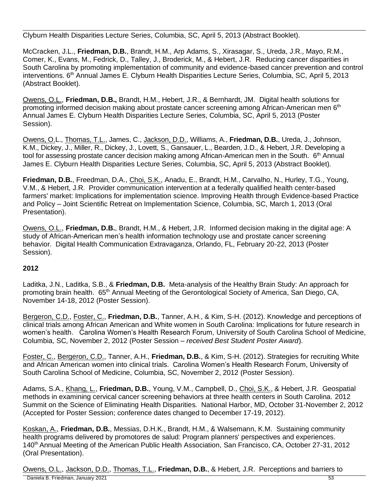Clyburn Health Disparities Lecture Series, Columbia, SC, April 5, 2013 (Abstract Booklet).

McCracken, J.L., **Friedman, D.B.**, Brandt, H.M., Arp Adams, S., Xirasagar, S., Ureda, J.R., Mayo, R.M., Comer, K., Evans, M., Fedrick, D., Talley, J., Broderick, M., & Hebert, J.R. Reducing cancer disparities in South Carolina by promoting implementation of community and evidence-based cancer prevention and control interventions. 6<sup>th</sup> Annual James E. Clyburn Health Disparities Lecture Series, Columbia, SC, April 5, 2013 (Abstract Booklet).

Owens, O.L., **Friedman, D.B.,** Brandt, H.M., Hebert, J.R., & Bernhardt, JM. Digital health solutions for promoting informed decision making about prostate cancer screening among African-American men 6<sup>th</sup> Annual James E. Clyburn Health Disparities Lecture Series, Columbia, SC, April 5, 2013 (Poster Session).

Owens, O.L., Thomas, T.L., James, C., Jackson, D.D., Williams, A., **Friedman, D.B.**, Ureda, J., Johnson, K.M., Dickey, J., Miller, R., Dickey, J., Lovett, S., Gansauer, L., Bearden, J.D., & Hebert, J.R. Developing a tool for assessing prostate cancer decision making among African-American men in the South. 6<sup>th</sup> Annual James E. Clyburn Health Disparities Lecture Series, Columbia, SC, April 5, 2013 (Abstract Booklet).

**Friedman, D.B.**, Freedman, D.A., Choi, S.K., Anadu, E., Brandt, H.M., Carvalho, N., Hurley, T.G., Young, V.M., & Hebert, J.R. Provider communication intervention at a federally qualified health center-based farmers' market: Implications for implementation science. Improving Health through Evidence-based Practice and Policy – Joint Scientific Retreat on Implementation Science, Columbia, SC, March 1, 2013 (Oral Presentation).

Owens, O.L., **Friedman, D.B.**, Brandt, H.M., & Hebert, J.R. Informed decision making in the digital age: A study of African-American men's health information technology use and prostate cancer screening behavior. Digital Health Communication Extravaganza, Orlando, FL, February 20-22, 2013 (Poster Session).

# **2012**

Laditka, J.N., Laditka, S.B., & **Friedman, D.B.** Meta-analysis of the Healthy Brain Study: An approach for promoting brain health. 65<sup>th</sup> Annual Meeting of the Gerontological Society of America, San Diego, CA, November 14-18, 2012 (Poster Session).

Bergeron, C.D., Foster, C., **Friedman, D.B.**, Tanner, A.H., & Kim, S-H. (2012). Knowledge and perceptions of clinical trials among African American and White women in South Carolina: Implications for future research in women's health. Carolina Women's Health Research Forum, University of South Carolina School of Medicine, Columbia, SC, November 2, 2012 (Poster Session – *received Best Student Poster Award*).

Foster, C., Bergeron, C.D., Tanner, A.H., **Friedman, D.B.**, & Kim, S-H. (2012). Strategies for recruiting White and African American women into clinical trials. Carolina Women's Health Research Forum, University of South Carolina School of Medicine, Columbia, SC, November 2, 2012 (Poster Session).

Adams, S.A., Khang, L., **Friedman, D.B.**, Young, V.M., Campbell, D., Choi, S.K., & Hebert, J.R. Geospatial methods in examining cervical cancer screening behaviors at three health centers in South Carolina. 2012 Summit on the Science of Eliminating Health Disparities*.* National Harbor, MD, October 31-November 2, 2012 (Accepted for Poster Session; conference dates changed to December 17-19, 2012).

Koskan, A., **Friedman, D.B.**, Messias, D.H.K., Brandt, H.M., & Walsemann, K.M. Sustaining community health programs delivered by promotores de salud: Program planners' perspectives and experiences. 140<sup>th</sup> Annual Meeting of the American Public Health Association, San Francisco, CA, October 27-31, 2012 (Oral Presentation).

 Daniela B. Friedman, January 2021 53 Owens, O.L., Jackson, D.D., Thomas, T.L., **Friedman, D.B.**, & Hebert, J.R. Perceptions and barriers to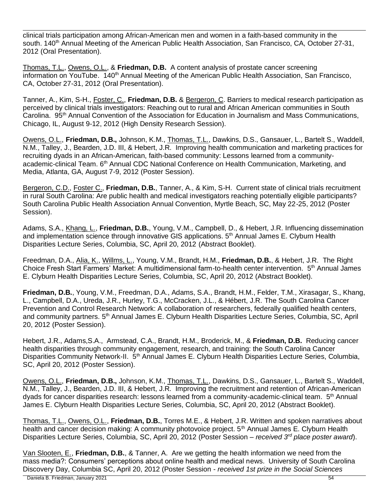clinical trials participation among African-American men and women in a faith-based community in the south, 140<sup>th</sup> Annual Meeting of the American Public Health Association, San Francisco, CA, October 27-31, 2012 (Oral Presentation).

Thomas, T.L., Owens, O.L., & **Friedman, D.B.** A content analysis of prostate cancer screening information on YouTube. 140<sup>th</sup> Annual Meeting of the American Public Health Association, San Francisco, CA, October 27-31, 2012 (Oral Presentation).

Tanner, A., Kim, S-H., Foster, C., **Friedman, D.B.** & Bergeron, C. Barriers to medical research participation as perceived by clinical trials investigators: Reaching out to rural and African American communities in South Carolina. 95<sup>th</sup> Annual Convention of the Association for Education in Journalism and Mass Communications, Chicago, IL, August 9-12, 2012 (High Density Research Session).

Owens, O.L., **Friedman, D.B.,** Johnson, K.M., Thomas, T.L., Dawkins, D.S., Gansauer, L., Bartelt S., Waddell, N.M., Talley, J., Bearden, J.D. III, & Hebert, J.R. Improving health communication and marketing practices for recruiting dyads in an African-American, faith-based community: Lessons learned from a communityacademic-clinical Team. 6<sup>th</sup> Annual CDC National Conference on Health Communication, Marketing, and Media, Atlanta, GA, August 7-9, 2012 (Poster Session).

Bergeron, C.D., Foster C., **Friedman, D.B.**, Tanner, A., & Kim, S-H. Current state of clinical trials recruitment in rural South Carolina: Are public health and medical investigators reaching potentially eligible participants? South Carolina Public Health Association Annual Convention, Myrtle Beach, SC, May 22-25, 2012 (Poster Session).

Adams, S.A., Khang, L., **Friedman, D.B.**, Young, V.M., Campbell, D., & Hebert, J.R. Influencing dissemination and implementation science through innovative GIS applications. 5<sup>th</sup> Annual James E. Clyburn Health Disparities Lecture Series, Columbia, SC, April 20, 2012 (Abstract Booklet).

Freedman, D.A., Alia, K., Willms, L., Young, V.M., Brandt, H.M., **Friedman, D.B.**, & Hebert, J.R. The Right Choice Fresh Start Farmers' Market: A multidimensional farm-to-health center intervention. 5<sup>th</sup> Annual James E. Clyburn Health Disparities Lecture Series, Columbia, SC, April 20, 2012 (Abstract Booklet).

**Friedman, D.B.**, Young, V.M., Freedman, D.A., Adams, S.A., Brandt, H.M., Felder, T.M., Xirasagar, S., Khang, L., Campbell, D.A., Ureda, J.R., Hurley, T.G., McCracken, J.L., & Hébert, J.R. The South Carolina Cancer Prevention and Control Research Network: A collaboration of researchers, federally qualified health centers, and community partners. 5<sup>th</sup> Annual James E. Clyburn Health Disparities Lecture Series, Columbia, SC, April 20, 2012 (Poster Session).

Hebert, J.R., Adams,S.A., Armstead, C.A., Brandt, H.M., Broderick, M., & **Friedman, D.B.** Reducing cancer health disparities through community engagement, research, and training: the South Carolina Cancer Disparities Community Network-II. 5<sup>th</sup> Annual James E. Clyburn Health Disparities Lecture Series, Columbia, SC, April 20, 2012 (Poster Session).

Owens, O.L., **Friedman, D.B.,** Johnson, K.M., Thomas, T.L., Dawkins, D.S., Gansauer, L., Bartelt S., Waddell, N.M., Talley, J., Bearden, J.D. III, & Hebert, J.R. Improving the recruitment and retention of African-American dyads for cancer disparities research: lessons learned from a community-academic-clinical team. 5<sup>th</sup> Annual James E. Clyburn Health Disparities Lecture Series, Columbia, SC, April 20, 2012 (Abstract Booklet).

Thomas, T.L., Owens, O.L., **Friedman, D.B.**, Torres M.E., & Hebert, J.R. Written and spoken narratives about health and cancer decision making: A community photovoice project. 5<sup>th</sup> Annual James E. Clyburn Health Disparities Lecture Series, Columbia, SC, April 20, 2012 (Poster Session – *received 3rd place poster award*).

Van Slooten, E., **Friedman, D.B.**, & Tanner, A. Are we getting the health information we need from the mass media?: Consumers' perceptions about online health and medical news. University of South Carolina Discovery Day, Columbia SC, April 20, 2012 (Poster Session - *received 1st prize in the Social Sciences*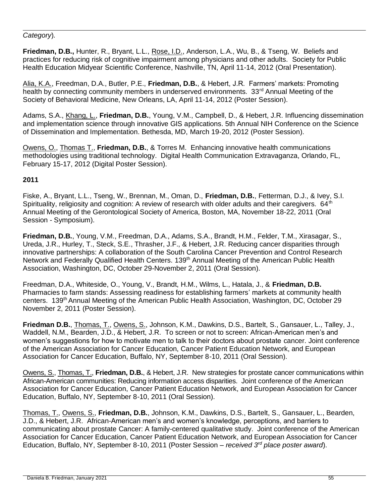### *Category*)*.*

**Friedman, D.B.,** Hunter, R., Bryant, L.L., Rose, I.D., Anderson, L.A., Wu, B., & Tseng, W. Beliefs and practices for reducing risk of cognitive impairment among physicians and other adults. Society for Public Health Education Midyear Scientific Conference, Nashville, TN, April 11-14, 2012 (Oral Presentation).

Alia, K.A., Freedman, D.A., Butler, P.E., **Friedman, D.B.**, & Hebert, J.R. Farmers' markets: Promoting health by connecting community members in underserved environments. 33<sup>rd</sup> Annual Meeting of the Society of Behavioral Medicine, New Orleans, LA, April 11-14, 2012 (Poster Session).

Adams, S.A., Khang, L., **Friedman, D.B.**, Young, V.M., Campbell, D., & Hebert, J.R. Influencing dissemination and implementation science through innovative GIS applications. 5th Annual NIH Conference on the Science of Dissemination and Implementation. Bethesda, MD, March 19-20, 2012 (Poster Session).

Owens, O., Thomas T., **Friedman, D.B.**, & Torres M. Enhancing innovative health communications methodologies using traditional technology. Digital Health Communication Extravaganza, Orlando, FL, February 15-17, 2012 (Digital Poster Session).

### **2011**

Fiske, A., Bryant, L.L., Tseng, W., Brennan, M., Oman, D., **Friedman, D.B.**, Fetterman, D.J., & Ivey, S.I. Spirituality, religiosity and cognition: A review of research with older adults and their caregivers. 64<sup>th</sup> Annual Meeting of the Gerontological Society of America, Boston, MA, November 18-22, 2011 (Oral Session - Symposium).

**Friedman, D.B.**, Young, V.M., Freedman, D.A., Adams, S.A., Brandt, H.M., Felder, T.M., Xirasagar, S., Ureda, J.R., Hurley, T., Steck, S.E., Thrasher, J.F., & Hebert, J.R. Reducing cancer disparities through innovative partnerships: A collaboration of the South Carolina Cancer Prevention and Control Research Network and Federally Qualified Health Centers. 139<sup>th</sup> Annual Meeting of the American Public Health Association, Washington, DC, October 29-November 2, 2011 (Oral Session).

Freedman, D.A., Whiteside, O., Young, V., Brandt, H.M., Wilms, L., Hatala, J., & **Friedman, D.B.** Pharmacies to farm stands: Assessing readiness for establishing farmers' markets at community health centers. 139<sup>th</sup> Annual Meeting of the American Public Health Association, Washington, DC, October 29 November 2, 2011 (Poster Session).

**Friedman D.B.**, Thomas, T., Owens, S., Johnson, K.M., Dawkins, D.S., Bartelt, S., Gansauer, L., Talley, J., Waddell, N.M., Bearden, J.D., & Hebert, J.R. To screen or not to screen: African-American men's and women's suggestions for how to motivate men to talk to their doctors about prostate cancer. Joint conference of the American Association for Cancer Education, Cancer Patient Education Network, and European Association for Cancer Education, Buffalo, NY, September 8-10, 2011 (Oral Session).

Owens, S., Thomas, T., **Friedman, D.B.**, & Hebert, J.R. New strategies for prostate cancer communications within African-American communities: Reducing information access disparities. Joint conference of the American Association for Cancer Education, Cancer Patient Education Network, and European Association for Cancer Education, Buffalo, NY, September 8-10, 2011 (Oral Session).

Thomas, T., Owens, S., **Friedman, D.B.**, Johnson, K.M., Dawkins, D.S., Bartelt, S., Gansauer, L., Bearden, J.D., & Hebert, J.R. African-American men's and women's knowledge, perceptions, and barriers to communicating about prostate Cancer: A family-centered qualitative study. Joint conference of the American Association for Cancer Education, Cancer Patient Education Network, and European Association for Cancer Education, Buffalo, NY, September 8-10, 2011 (Poster Session – *received 3rd place poster award*).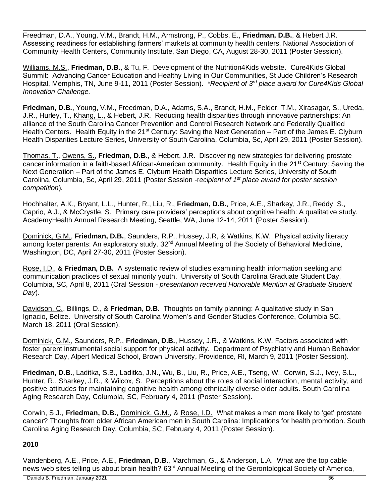Freedman, D.A., Young, V.M., Brandt, H.M., Armstrong, P., Cobbs, E., **Friedman, D.B.**, & Hebert J.R. Assessing readiness for establishing farmers' markets at community health centers. National Association of Community Health Centers, Community Institute, San Diego, CA, August 28-30, 2011 (Poster Session).

Williams, M.S., **Friedman, D.B.**, & Tu, F. Development of the Nutrition4Kids website. Cure4Kids Global Summit: Advancing Cancer Education and Healthy Living in Our Communities, St Jude Children's Research Hospital, Memphis, TN, June 9-11, 2011 (Poster Session). *\*Recipient of 3rd place award for Cure4Kids Global Innovation Challenge.*

**Friedman, D.B.**, Young, V.M., Freedman, D.A., Adams, S.A., Brandt, H.M., Felder, T.M., Xirasagar, S., Ureda, J.R., Hurley, T., Khang, L., & Hebert, J.R. Reducing health disparities through innovative partnerships: An alliance of the South Carolina Cancer Prevention and Control Research Network and Federally Qualified Health Centers. Health Equity in the 21<sup>st</sup> Century: Saving the Next Generation – Part of the James E. Clyburn Health Disparities Lecture Series, University of South Carolina, Columbia, Sc, April 29, 2011 (Poster Session).

Thomas, T., Owens, S., **Friedman, D.B.**, & Hebert, J.R. Discovering new strategies for delivering prostate cancer information in a faith-based African-American community. Health Equity in the 21<sup>st</sup> Century: Saving the Next Generation – Part of the James E. Clyburn Health Disparities Lecture Series, University of South Carolina, Columbia, Sc, April 29, 2011 (Poster Session -r*ecipient of 1st place award for poster session competition*)*.*

Hochhalter, A.K., Bryant, L.L., Hunter, R., Liu, R., **Friedman, D.B.**, Price, A.E., Sharkey, J.R., Reddy, S., Caprio, A.J., & McCrystle, S. Primary care providers' perceptions about cognitive health: A qualitative study. AcademyHealth Annual Research Meeting, Seattle, WA, June 12-14, 2011 (Poster Session).

Dominick, G.M., **Friedman, D.B.**, Saunders, R.P., Hussey, J.R, & Watkins, K.W. Physical activity literacy among foster parents: An exploratory study. 32<sup>nd</sup> Annual Meeting of the Society of Behavioral Medicine, Washington, DC, April 27-30, 2011 (Poster Session).

Rose, I.D., & **Friedman, D.B.** A systematic review of studies examining health information seeking and communication practices of sexual minority youth. University of South Carolina Graduate Student Day, Columbia, SC, April 8, 2011 (Oral Session - *presentation received Honorable Mention at Graduate Student Day*)*.*

Davidson, C., Billings, D., & **Friedman, D.B.** Thoughts on family planning: A qualitative study in San Ignacio, Belize. University of South Carolina Women's and Gender Studies Conference, Columbia SC, March 18, 2011 (Oral Session).

Dominick, G.M., Saunders, R.P., **Friedman, D.B.**, Hussey, J.R., & Watkins, K.W. Factors associated with foster parent instrumental social support for physical activity. Department of Psychiatry and Human Behavior Research Day, Alpert Medical School, Brown University, Providence, RI, March 9, 2011 (Poster Session).

**Friedman, D.B.**, Laditka, S.B., Laditka, J.N., Wu, B., Liu, R., Price, A.E., Tseng, W., Corwin, S.J., Ivey, S.L., Hunter, R., Sharkey, J.R., & Wilcox, S. Perceptions about the roles of social interaction, mental activity, and positive attitudes for maintaining cognitive health among ethnically diverse older adults. South Carolina Aging Research Day, Columbia, SC, February 4, 2011 (Poster Session).

Corwin, S.J., **Friedman, D.B.**, Dominick, G.M., & Rose, I.D. What makes a man more likely to 'get' prostate cancer? Thoughts from older African American men in South Carolina: Implications for health promotion. South Carolina Aging Research Day, Columbia, SC, February 4, 2011 (Poster Session).

### **2010**

Vandenberg, A.E., Price, A.E., **Friedman, D.B.**, Marchman, G., & Anderson, L.A. What are the top cable news web sites telling us about brain health? 63<sup>rd</sup> Annual Meeting of the Gerontological Society of America,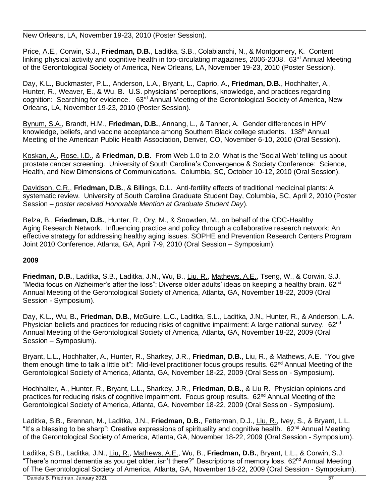New Orleans, LA, November 19-23, 2010 (Poster Session).

Price, A.E., Corwin, S.J., **Friedman, D.B.**, Laditka, S.B., Colabianchi, N., & Montgomery, K. Content linking physical activity and cognitive health in top-circulating magazines, 2006-2008. 63<sup>rd</sup> Annual Meeting of the Gerontological Society of America, New Orleans, LA, November 19-23, 2010 (Poster Session).

Day, K.L., Buckmaster, P.L., Anderson, L.A., Bryant, L., Caprio, A., **Friedman, D.B.**, Hochhalter, A., Hunter, R., Weaver, E., & Wu, B. U.S. physicians' perceptions, knowledge, and practices regarding cognition: Searching for evidence. 63rd Annual Meeting of the Gerontological Society of America, New Orleans, LA, November 19-23, 2010 (Poster Session).

Bynum, S.A., Brandt, H.M., **Friedman, D.B.**, Annang, L., & Tanner, A. Gender differences in HPV knowledge, beliefs, and vaccine acceptance among Southern Black college students. 138<sup>th</sup> Annual Meeting of the American Public Health Association, Denver, CO, November 6-10, 2010 (Oral Session).

Koskan, A., Rose, I.D., & **Friedman, D.B**. From Web 1.0 to 2.0: What is the 'Social Web' telling us about prostate cancer screening. University of South Carolina's Convergence & Society Conference: Science, Health, and New Dimensions of Communications. Columbia, SC, October 10-12, 2010 (Oral Session).

Davidson, C.R., **Friedman, D.B.**, & Billings, D.L. Anti-fertility effects of traditional medicinal plants: A systematic review. University of South Carolina Graduate Student Day, Columbia, SC, April 2, 2010 (Poster Session – *poster received Honorable Mention at Graduate Student Day*)*.*

Belza, B., **Friedman, D.B.**, Hunter, R., Ory, M., & Snowden, M., on behalf of the CDC-Healthy Aging Research Network. Influencing practice and policy through a collaborative research network: An effective strategy for addressing healthy aging issues. SOPHE and Prevention Research Centers Program Joint 2010 Conference, Atlanta, GA, April 7-9, 2010 (Oral Session – Symposium).

# **2009**

**Friedman, D.B.**, Laditka, S.B., Laditka, J.N., Wu, B., Liu, R., Mathews, A.E., Tseng, W., & Corwin, S.J. "Media focus on Alzheimer's after the loss": Diverse older adults' ideas on keeping a healthy brain. 62<sup>nd</sup> Annual Meeting of the Gerontological Society of America, Atlanta, GA, November 18-22, 2009 (Oral Session - Symposium).

Day, K.L., Wu, B., **Friedman, D.B.**, McGuire, L.C., Laditka, S.L., Laditka, J.N., Hunter, R., & Anderson, L.A. Physician beliefs and practices for reducing risks of cognitive impairment: A large national survey. 62<sup>nd</sup> Annual Meeting of the Gerontological Society of America, Atlanta, GA, November 18-22, 2009 (Oral Session – Symposium).

Bryant, L.L., Hochhalter, A., Hunter, R., Sharkey, J.R., **Friedman, D.B.**, Liu, R., & Mathews, A.E. "You give them enough time to talk a little bit": Mid-level practitioner focus groups results. 62<sup>nd</sup> Annual Meeting of the Gerontological Society of America, Atlanta, GA, November 18-22, 2009 (Oral Session - Symposium).

Hochhalter, A., Hunter, R., Bryant, L.L., Sharkey, J.R., **Friedman, D.B.**, & Liu R. Physician opinions and practices for reducing risks of cognitive impairment. Focus group results. 62<sup>nd</sup> Annual Meeting of the Gerontological Society of America, Atlanta, GA, November 18-22, 2009 (Oral Session - Symposium).

Laditka, S.B., Brennan, M., Laditka, J.N., **Friedman, D.B.**, Fetterman, D.J., Liu, R., Ivey, S., & Bryant, L.L. "It's a blessing to be sharp": Creative expressions of spirituality and cognitive health. 62<sup>nd</sup> Annual Meeting of the Gerontological Society of America, Atlanta, GA, November 18-22, 2009 (Oral Session - Symposium).

Laditka, S.B., Laditka, J.N., Liu, R., Mathews, A.E., Wu, B., **Friedman, D.B.**, Bryant, L.L., & Corwin, S.J. "There's normal dementia as you get older, isn't there?" Descriptions of memory loss. 62<sup>nd</sup> Annual Meeting of The Gerontological Society of America, Atlanta, GA, November 18-22, 2009 (Oral Session - Symposium).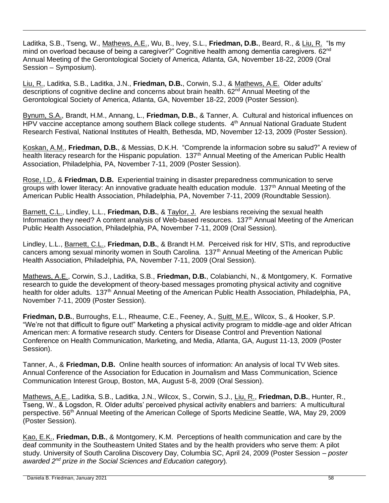Laditka, S.B., Tseng, W., Mathews, A.E., Wu, B., Ivey, S.L., **Friedman, D.B.**, Beard, R., & Liu, R. "Is my mind on overload because of being a caregiver?" Cognitive health among dementia caregivers. 62<sup>nd</sup> Annual Meeting of the Gerontological Society of America, Atlanta, GA, November 18-22, 2009 (Oral Session – Symposium).

Liu, R., Laditka, S.B., Laditka, J.N., **Friedman, D.B.**, Corwin, S.J., & Mathews, A.E. Older adults' descriptions of cognitive decline and concerns about brain health. 62<sup>nd</sup> Annual Meeting of the Gerontological Society of America, Atlanta, GA, November 18-22, 2009 (Poster Session).

Bynum, S.A., Brandt, H.M., Annang, L., **Friedman, D.B.**, & Tanner, A. Cultural and historical influences on HPV vaccine acceptance among southern Black college students. 4<sup>th</sup> Annual National Graduate Student Research Festival, National Institutes of Health, Bethesda, MD, November 12-13, 2009 (Poster Session).

Koskan, A.M., **Friedman, D.B.**, & Messias, D.K.H. "Comprende la informacion sobre su salud?" A review of health literacy research for the Hispanic population. 137<sup>th</sup> Annual Meeting of the American Public Health Association, Philadelphia, PA, November 7-11, 2009 (Poster Session).

Rose, I.D., & **Friedman, D.B.** Experiential training in disaster preparedness communication to serve groups with lower literacy: An innovative graduate health education module. 137<sup>th</sup> Annual Meeting of the American Public Health Association, Philadelphia, PA, November 7-11, 2009 (Roundtable Session).

Barnett, C.L., Lindley, L.L., **Friedman, D.B.**, & Taylor, J. Are lesbians receiving the sexual health Information they need? A content analysis of Web-based resources. 137<sup>th</sup> Annual Meeting of the American Public Health Association, Philadelphia, PA, November 7-11, 2009 (Oral Session).

Lindley, L.L., Barnett, C.L., **Friedman, D.B.**, & Brandt H.M. Perceived risk for HIV, STIs, and reproductive cancers among sexual minority women in South Carolina. 137<sup>th</sup> Annual Meeting of the American Public Health Association, Philadelphia, PA, November 7-11, 2009 (Oral Session).

Mathews, A.E., Corwin, S.J., Laditka, S.B., **Friedman, D.B.**, Colabianchi, N., & Montgomery, K. Formative research to guide the development of theory-based messages promoting physical activity and cognitive health for older adults. 137<sup>th</sup> Annual Meeting of the American Public Health Association, Philadelphia, PA, November 7-11, 2009 (Poster Session).

**Friedman, D.B.**, Burroughs, E.L., Rheaume, C.E., Feeney, A., Suitt, M.E., Wilcox, S., & Hooker, S.P. "We're not that difficult to figure out!" Marketing a physical activity program to middle-age and older African American men: A formative research study. Centers for Disease Control and Prevention National Conference on Health Communication, Marketing, and Media, Atlanta, GA, August 11-13, 2009 (Poster Session).

Tanner, A., & **Friedman, D.B.** Online health sources of information: An analysis of local TV Web sites. Annual Conference of the Association for Education in Journalism and Mass Communication, Science Communication Interest Group, Boston, MA, August 5-8, 2009 (Oral Session).

Mathews, A.E., Laditka, S.B., Laditka, J.N., Wilcox, S., Corwin, S.J., Liu, R., **Friedman, D.B.**, Hunter, R., Tseng, W., & Logsdon, R. Older adults' perceived physical activity enablers and barriers: A multicultural perspective. 56<sup>th</sup> Annual Meeting of the American College of Sports Medicine Seattle, WA, Mav 29, 2009 (Poster Session).

Kao, E.K., **Friedman, D.B.**, & Montgomery, K.M. Perceptions of health communication and care by the deaf community in the Southeastern United States and by the health providers who serve them: A pilot study. University of South Carolina Discovery Day, Columbia SC, April 24, 2009 (Poster Session – *poster awarded 2 nd prize in the Social Sciences and Education category*)*.*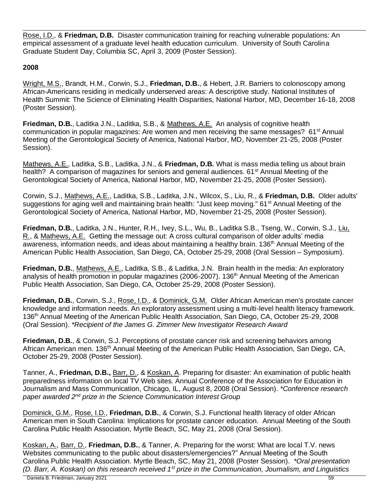Rose, I.D., & **Friedman, D.B.** Disaster communication training for reaching vulnerable populations: An empirical assessment of a graduate level health education curriculum. University of South Carolina Graduate Student Day, Columbia SC, April 3, 2009 (Poster Session).

### **2008**

Wright, M.S., Brandt, H.M., Corwin, S.J., **Friedman, D.B.**, & Hebert, J.R. Barriers to colonoscopy among African-Americans residing in medically underserved areas: A descriptive study. National Institutes of Health Summit: The Science of Eliminating Health Disparities, National Harbor, MD, December 16-18, 2008 (Poster Session).

**Friedman, D.B.**, Laditka J.N., Laditka, S.B., & Mathews, A.E. An analysis of cognitive health communication in popular magazines: Are women and men receiving the same messages? 61<sup>st</sup> Annual Meeting of the Gerontological Society of America, National Harbor, MD, November 21-25, 2008 (Poster Session).

Mathews, A.E., Laditka, S.B., Laditka, J.N., & **Friedman, D.B.** What is mass media telling us about brain health? A comparison of magazines for seniors and general audiences. 61<sup>st</sup> Annual Meeting of the Gerontological Society of America, National Harbor, MD, November 21-25, 2008 (Poster Session).

Corwin, S.J., Mathews, A.E., Laditka, S.B., Laditka, J.N., Wilcox, S., Liu, R., & **Friedman, D.B.** Older adults' suggestions for aging well and maintaining brain health: "Just keep moving." 61<sup>st</sup> Annual Meeting of the Gerontological Society of America, National Harbor, MD, November 21-25, 2008 (Poster Session).

**Friedman, D.B.**, Laditka, J.N., Hunter, R.H., Ivey, S.L., Wu, B., Laditka S.B., Tseng, W., Corwin, S.J., Liu, R., & Mathews, A.E. Getting the message out: A cross cultural comparison of older adults' media awareness, information needs, and ideas about maintaining a healthy brain. 136<sup>th</sup> Annual Meeting of the American Public Health Association, San Diego, CA, October 25-29, 2008 (Oral Session – Symposium).

**Friedman, D.B.**, Mathews, A.E., Laditka, S.B., & Laditka, J.N. Brain health in the media: An exploratory analysis of health promotion in popular magazines (2006-2007). 136<sup>th</sup> Annual Meeting of the American Public Health Association, San Diego, CA, October 25-29, 2008 (Poster Session).

**Friedman, D.B.**, Corwin, S.J., Rose, I.D., & Dominick, G.M. Older African American men's prostate cancer knowledge and information needs. An exploratory assessment using a multi-level health literacy framework. 136th Annual Meeting of the American Public Health Association, San Diego, CA, October 25-29, 2008 (Oral Session). *\*Recipient of the James G. Zimmer New Investigator Research Award*

**Friedman, D.B.**, & Corwin, S.J. Perceptions of prostate cancer risk and screening behaviors among African American men. 136<sup>th</sup> Annual Meeting of the American Public Health Association, San Diego, CA, October 25-29, 2008 (Poster Session).

Tanner, A., **Friedman, D.B.,** Barr, D., & Koskan, A. Preparing for disaster: An examination of public health preparedness information on local TV Web sites. Annual Conference of the Association for Education in Journalism and Mass Communication, Chicago, IL, August 8, 2008 (Oral Session). *\*Conference research paper awarded 2nd prize in the Science Communication Interest Group*

Dominick, G.M., Rose, I.D., **Friedman, D.B.**, & Corwin, S.J. Functional health literacy of older African American men in South Carolina: Implications for prostate cancer education. Annual Meeting of the South Carolina Public Health Association, Myrtle Beach, SC, May 21, 2008 (Oral Session).

Koskan, A., Barr, D., **Friedman, D.B.**, & Tanner, A. Preparing for the worst: What are local T.V. news Websites communicating to the public about disasters/emergencies?" Annual Meeting of the South Carolina Public Health Association. Myrtle Beach, SC, May 21, 2008 (Poster Session). *\*Oral presentation (D. Barr, A. Koskan) on this research received 1st prize in the Communication, Journalism, and Linguistics*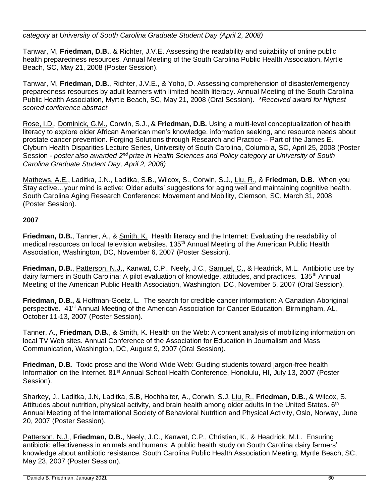## *category at University of South Carolina Graduate Student Day (April 2, 2008)*

Tanwar, M, **Friedman, D.B.**, & Richter, J.V.E. Assessing the readability and suitability of online public health preparedness resources. Annual Meeting of the South Carolina Public Health Association, Myrtle Beach, SC, May 21, 2008 (Poster Session).

Tanwar, M, **Friedman, D.B.**, Richter, J.V.E., & Yoho, D. Assessing comprehension of disaster/emergency preparedness resources by adult learners with limited health literacy. Annual Meeting of the South Carolina Public Health Association, Myrtle Beach, SC, May 21, 2008 (Oral Session). *\*Received award for highest scored conference abstract*

Rose, I.D., Dominick, G.M., Corwin, S.J., & **Friedman, D.B.** Using a multi-level conceptualization of health literacy to explore older African American men's knowledge, information seeking, and resource needs about prostate cancer prevention. Forging Solutions through Research and Practice – Part of the James E. Clyburn Health Disparities Lecture Series, University of South Carolina, Columbia, SC, April 25, 2008 (Poster Session - *poster also awarded 2<sup>nd</sup> prize in Health Sciences and Policy category at University of South Carolina Graduate Student Day, April 2, 2008)*

Mathews, A.E., Laditka, J.N., Laditka, S.B., Wilcox, S., Corwin, S.J., Liu, R., & **Friedman, D.B.** When you Stay active…your mind is active: Older adults' suggestions for aging well and maintaining cognitive health. South Carolina Aging Research Conference: Movement and Mobility, Clemson, SC, March 31, 2008 (Poster Session).

### **2007**

**Friedman, D.B.**, Tanner, A., & Smith, K.Health literacy and the Internet: Evaluating the readability of medical resources on local television websites. 135<sup>th</sup> Annual Meeting of the American Public Health Association, Washington, DC, November 6, 2007 (Poster Session).

**Friedman, D.B.**, Patterson, N.J., Kanwat, C.P., Neely, J.C., Samuel, C., & Headrick, M.L. Antibiotic use by dairy farmers in South Carolina: A pilot evaluation of knowledge, attitudes, and practices. 135<sup>th</sup> Annual Meeting of the American Public Health Association, Washington, DC, November 5, 2007 (Oral Session).

**Friedman, D.B.,** & Hoffman-Goetz, L. The search for credible cancer information: A Canadian Aboriginal perspective. 41<sup>st</sup> Annual Meeting of the American Association for Cancer Education, Birmingham, AL, October 11-13, 2007 (Poster Session).

Tanner, A., **Friedman, D.B.**, & Smith, K. Health on the Web: A content analysis of mobilizing information on local TV Web sites. Annual Conference of the Association for Education in Journalism and Mass Communication, Washington, DC, August 9, 2007 (Oral Session).

**Friedman, D.B.** Toxic prose and the World Wide Web: Guiding students toward jargon-free health Information on the Internet. 81<sup>st</sup> Annual School Health Conference, Honolulu, HI, July 13, 2007 (Poster Session).

Sharkey, J., Laditka, J.N, Laditka, S.B, Hochhalter, A., Corwin, S.J, Liu, R., **Friedman, D.B.**, & Wilcox, S. Attitudes about nutrition, physical activity, and brain health among older adults In the United States. 6<sup>th</sup> Annual Meeting of the International Society of Behavioral Nutrition and Physical Activity, Oslo, Norway, June 20, 2007 (Poster Session).

Patterson, N.J., **Friedman, D.B.**, Neely, J.C., Kanwat, C.P., Christian, K., & Headrick, M.L. Ensuring antibiotic effectiveness in animals and humans: A public health study on South Carolina dairy farmers' knowledge about antibiotic resistance. South Carolina Public Health Association Meeting, Myrtle Beach, SC, May 23, 2007 (Poster Session).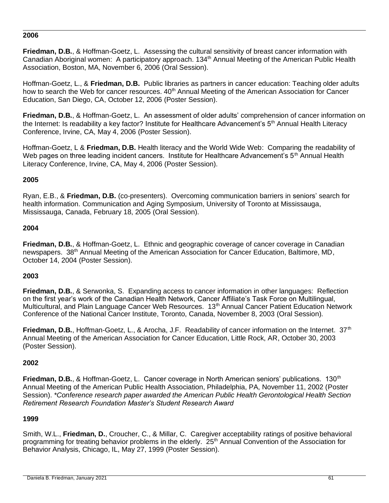#### **2006**

**Friedman, D.B.**, & Hoffman-Goetz, L. Assessing the cultural sensitivity of breast cancer information with Canadian Aboriginal women: A participatory approach. 134<sup>th</sup> Annual Meeting of the American Public Health Association, Boston, MA, November 6, 2006 (Oral Session).

Hoffman-Goetz, L., & **Friedman, D.B.** Public libraries as partners in cancer education: Teaching older adults how to search the Web for cancer resources. 40<sup>th</sup> Annual Meeting of the American Association for Cancer Education, San Diego, CA, October 12, 2006 (Poster Session).

**Friedman, D.B.**, & Hoffman-Goetz, L. An assessment of older adults' comprehension of cancer information on the Internet: Is readability a key factor? Institute for Healthcare Advancement's 5<sup>th</sup> Annual Health Literacy Conference, Irvine, CA, May 4, 2006 (Poster Session).

Hoffman-Goetz, L & **Friedman, D.B.** Health literacy and the World Wide Web: Comparing the readability of Web pages on three leading incident cancers. Institute for Healthcare Advancement's 5<sup>th</sup> Annual Health Literacy Conference, Irvine, CA, May 4, 2006 (Poster Session).

#### **2005**

Ryan, E.B., & **Friedman, D.B.** (co-presenters). Overcoming communication barriers in seniors' search for health information. Communication and Aging Symposium, University of Toronto at Mississauga, Mississauga, Canada, February 18, 2005 (Oral Session).

#### **2004**

**Friedman, D.B.**, & Hoffman-Goetz, L. Ethnic and geographic coverage of cancer coverage in Canadian newspapers. 38<sup>th</sup> Annual Meeting of the American Association for Cancer Education, Baltimore, MD, October 14, 2004 (Poster Session).

### **2003**

**Friedman, D.B.**, & Serwonka, S. Expanding access to cancer information in other languages: Reflection on the first year's work of the Canadian Health Network, Cancer Affiliate's Task Force on Multilingual, Multicultural, and Plain Language Cancer Web Resources. 13<sup>th</sup> Annual Cancer Patient Education Network Conference of the National Cancer Institute, Toronto, Canada, November 8, 2003 (Oral Session).

**Friedman, D.B.**, Hoffman-Goetz, L., & Arocha, J.F. Readability of cancer information on the Internet. 37<sup>th</sup> Annual Meeting of the American Association for Cancer Education, Little Rock, AR, October 30, 2003 (Poster Session).

#### **2002**

**Friedman, D.B.**, & Hoffman-Goetz, L. Cancer coverage in North American seniors' publications. 130<sup>th</sup> Annual Meeting of the American Public Health Association, Philadelphia, PA, November 11, 2002 (Poster Session). *\*Conference research paper awarded the American Public Health Gerontological Health Section Retirement Research Foundation Master's Student Research Award* 

### **1999**

Smith, W.L., **Friedman, D.**, Croucher, C., & Millar, C. Caregiver acceptability ratings of positive behavioral programming for treating behavior problems in the elderly. 25<sup>th</sup> Annual Convention of the Association for Behavior Analysis, Chicago, IL, May 27, 1999 (Poster Session).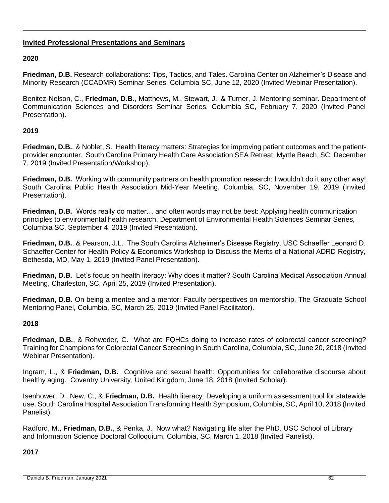### **Invited Professional Presentations and Seminars**

### **2020**

**Friedman, D.B.** Research collaborations: Tips, Tactics, and Tales. Carolina Center on Alzheimer's Disease and Minority Research (CCADMR) Seminar Series, Columbia SC, June 12, 2020 (Invited Webinar Presentation).

Benitez-Nelson, C., **Friedman, D.B.**, Matthews, M., Stewart, J., & Turner, J. Mentoring seminar. Department of Communication Sciences and Disorders Seminar Series, Columbia SC, February 7, 2020 (Invited Panel Presentation).

### **2019**

**Friedman, D.B.**, & Noblet, S. Health literacy matters: Strategies for improving patient outcomes and the patientprovider encounter. South Carolina Primary Health Care Association SEA Retreat, Myrtle Beach, SC, December 7, 2019 (Invited Presentation/Workshop).

**Friedman, D.B.** Working with community partners on health promotion research: I wouldn't do it any other way! South Carolina Public Health Association Mid-Year Meeting, Columbia, SC, November 19, 2019 (Invited Presentation).

**Friedman, D.B.** Words really do matter… and often words may not be best: Applying health communication principles to environmental health research. Department of Environmental Health Sciences Seminar Series, Columbia SC, September 4, 2019 (Invited Presentation).

**Friedman, D.B.**, & Pearson, J.L.The South Carolina Alzheimer's Disease Registry. USC Schaeffer Leonard D. Schaeffer Center for Health Policy & Economics Workshop to Discuss the Merits of a National ADRD Registry, Bethesda, MD, May 1, 2019 (Invited Panel Presentation).

**Friedman, D.B.** Let's focus on health literacy: Why does it matter? South Carolina Medical Association Annual Meeting, Charleston, SC, April 25, 2019 (Invited Presentation).

**Friedman, D.B.** On being a mentee and a mentor: Faculty perspectives on mentorship. The Graduate School Mentoring Panel, Columbia, SC, March 25, 2019 (Invited Panel Facilitator).

### **2018**

**Friedman, D.B.**, & Rohweder, C. What are FQHCs doing to increase rates of colorectal cancer screening? Training for Champions for Colorectal Cancer Screening in South Carolina, Columbia, SC, June 20, 2018 (Invited Webinar Presentation).

Ingram, L., & **Friedman, D.B.** Cognitive and sexual health: Opportunities for collaborative discourse about healthy aging. Coventry University, United Kingdom, June 18, 2018 (Invited Scholar).

Isenhower, D., New, C., & **Friedman, D.B.** Health literacy: Developing a uniform assessment tool for statewide use. South Carolina Hospital Association Transforming Health Symposium, Columbia, SC, April 10, 2018 (Invited Panelist).

Radford, M., **Friedman, D.B.**, & Penka, J. Now what? Navigating life after the PhD. USC School of Library and Information Science Doctoral Colloquium, Columbia, SC, March 1, 2018 (Invited Panelist).

**2017**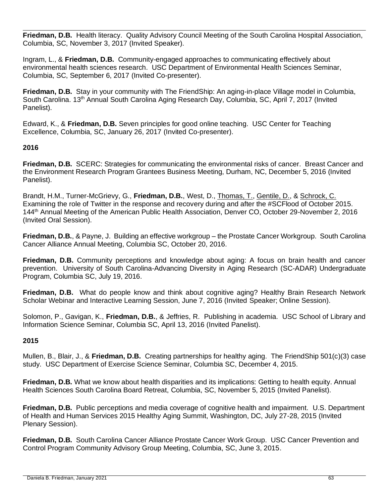**Friedman, D.B.** Health literacy. Quality Advisory Council Meeting of the South Carolina Hospital Association, Columbia, SC, November 3, 2017 (Invited Speaker).

Ingram, L., & **Friedman, D.B.** Community-engaged approaches to communicating effectively about environmental health sciences research. USC Department of Environmental Health Sciences Seminar, Columbia, SC, September 6, 2017 (Invited Co-presenter).

**Friedman, D.B.** Stay in your community with The FriendShip: An aging-in-place Village model in Columbia, South Carolina. 13th Annual South Carolina Aging Research Day, Columbia, SC, April 7, 2017 (Invited Panelist).

Edward, K., & **Friedman, D.B.** Seven principles for good online teaching. USC Center for Teaching Excellence, Columbia, SC, January 26, 2017 (Invited Co-presenter).

### **2016**

**Friedman, D.B.** SCERC: Strategies for communicating the environmental risks of cancer. Breast Cancer and the Environment Research Program Grantees Business Meeting, Durham, NC, December 5, 2016 (Invited Panelist).

Brandt, H.M., Turner-McGrievy, G., **Friedman, D.B.**, West, D., Thomas, T., Gentile, D., & Schrock, C. Examining the role of Twitter in the response and recovery during and after the #SCFlood of October 2015. 144<sup>th</sup> Annual Meeting of the American Public Health Association, Denver CO, October 29-November 2, 2016 (Invited Oral Session).

**Friedman, D.B.**, & Payne, J. Building an effective workgroup – the Prostate Cancer Workgroup. South Carolina Cancer Alliance Annual Meeting, Columbia SC, October 20, 2016.

**Friedman, D.B.** Community perceptions and knowledge about aging: A focus on brain health and cancer prevention. University of South Carolina-Advancing Diversity in Aging Research (SC-ADAR) Undergraduate Program, Columbia SC, July 19, 2016.

**Friedman, D.B.** What do people know and think about cognitive aging? Healthy Brain Research Network Scholar Webinar and Interactive Learning Session, June 7, 2016 (Invited Speaker; Online Session).

Solomon, P., Gavigan, K., **Friedman, D.B.**, & Jeffries, R. Publishing in academia. USC School of Library and Information Science Seminar, Columbia SC, April 13, 2016 (Invited Panelist).

### **2015**

Mullen, B., Blair, J., & **Friedman, D.B.** Creating partnerships for healthy aging. The FriendShip 501(c)(3) case study. USC Department of Exercise Science Seminar, Columbia SC, December 4, 2015.

**Friedman, D.B.** What we know about health disparities and its implications: Getting to health equity. Annual Health Sciences South Carolina Board Retreat, Columbia, SC, November 5, 2015 (Invited Panelist).

**Friedman, D.B.** Public perceptions and media coverage of cognitive health and impairment. U.S. Department of Health and Human Services 2015 Healthy Aging Summit, Washington, DC, July 27-28, 2015 (Invited Plenary Session).

**Friedman, D.B.** South Carolina Cancer Alliance Prostate Cancer Work Group. USC Cancer Prevention and Control Program Community Advisory Group Meeting, Columbia, SC, June 3, 2015.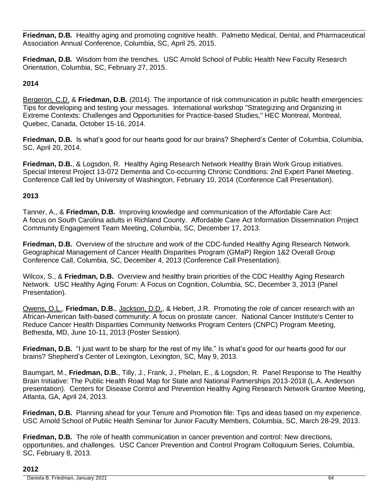**Friedman, D.B.** Healthy aging and promoting cognitive health. Palmetto Medical, Dental, and Pharmaceutical Association Annual Conference, Columbia, SC, April 25, 2015.

**Friedman, D.B.** Wisdom from the trenches. USC Arnold School of Public Health New Faculty Research Orientation, Columbia, SC, February 27, 2015.

# **2014**

Bergeron, C.D. & **Friedman, D.B.** (2014). The importance of risk communication in public health emergencies: Tips for developing and testing your messages. International workshop "Strategizing and Organizing in Extreme Contexts: Challenges and Opportunities for Practice-based Studies," HEC Montreal, Montreal, Quebec, Canada, October 15-16, 2014.

**Friedman, D.B.** Is what's good for our hearts good for our brains? Shepherd's Center of Columbia, Columbia, SC, April 20, 2014.

**Friedman, D.B.**, & Logsdon, R. Healthy Aging Research Network Healthy Brain Work Group initiatives. Special Interest Project 13-072 Dementia and Co-occurring Chronic Conditions: 2nd Expert Panel Meeting. Conference Call led by University of Washington, February 10, 2014 (Conference Call Presentation).

# **2013**

Tanner, A., & **Friedman, D.B.** Improving knowledge and communication of the Affordable Care Act: A focus on South Carolina adults in Richland County. Affordable Care Act Information Dissemination Project Community Engagement Team Meeting, Columbia, SC, December 17, 2013.

**Friedman, D.B.** Overview of the structure and work of the CDC-funded Healthy Aging Research Network. Geographical Management of Cancer Health Disparities Program (GMaP) Region 1&2 Overall Group Conference Call, Columbia, SC, December 4, 2013 (Conference Call Presentation).

Wilcox, S., & **Friedman, D.B.** Overview and healthy brain priorities of the CDC Healthy Aging Research Network. USC Healthy Aging Forum: A Focus on Cognition, Columbia, SC, December 3, 2013 (Panel Presentation).

Owens, O.L., **Friedman, D.B.**, Jackson, D.D., & Hebert, J.R. Promoting the role of cancer research with an African-American faith-based community: A focus on prostate cancer. National Cancer Institute's Center to Reduce Cancer Health Disparities Community Networks Program Centers (CNPC) Program Meeting, Bethesda, MD, June 10-11, 2013 (Poster Session).

**Friedman, D.B.** "I just want to be sharp for the rest of my life." Is what's good for our hearts good for our brains? Shepherd's Center of Lexington, Lexington, SC, May 9, 2013.

Baumgart, M., **Friedman, D.B.**, Tilly, J., Frank, J., Phelan, E., & Logsdon, R. Panel Response to The Healthy Brain Initiative: The Public Health Road Map for State and National Partnerships 2013-2018 (L.A. Anderson presentation). Centers for Disease Control and Prevention Healthy Aging Research Network Grantee Meeting, Atlanta, GA, April 24, 2013.

**Friedman, D.B.** Planning ahead for your Tenure and Promotion file: Tips and ideas based on my experience. USC Arnold School of Public Health Seminar for Junior Faculty Members, Columbia, SC, March 28-29, 2013.

**Friedman, D.B.** The role of health communication in cancer prevention and control: New directions, opportunities, and challenges. USC Cancer Prevention and Control Program Colloquium Series, Columbia, SC, February 8, 2013.

### **2012**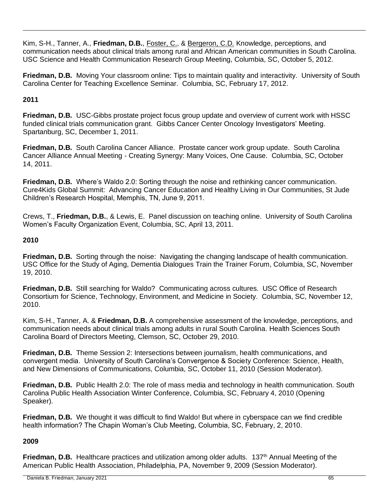Kim, S-H., Tanner, A., **Friedman, D.B.**, Foster, C., & Bergeron, C.D. Knowledge, perceptions, and communication needs about clinical trials among rural and African American communities in South Carolina. USC Science and Health Communication Research Group Meeting, Columbia, SC, October 5, 2012.

**Friedman, D.B.** Moving Your classroom online: Tips to maintain quality and interactivity. University of South Carolina Center for Teaching Excellence Seminar. Columbia, SC, February 17, 2012.

# **2011**

**Friedman, D.B.** USC-Gibbs prostate project focus group update and overview of current work with HSSC funded clinical trials communication grant. Gibbs Cancer Center Oncology Investigators' Meeting. Spartanburg, SC, December 1, 2011.

**Friedman, D.B.** South Carolina Cancer Alliance. Prostate cancer work group update. South Carolina Cancer Alliance Annual Meeting - Creating Synergy: Many Voices, One Cause. Columbia, SC, October 14, 2011.

**Friedman, D.B.** Where's Waldo 2.0: Sorting through the noise and rethinking cancer communication. Cure4Kids Global Summit: Advancing Cancer Education and Healthy Living in Our Communities, St Jude Children's Research Hospital, Memphis, TN, June 9, 2011.

Crews, T., **Friedman, D.B.**, & Lewis, E. Panel discussion on teaching online. University of South Carolina Women's Faculty Organization Event, Columbia, SC, April 13, 2011.

# **2010**

**Friedman, D.B.** Sorting through the noise: Navigating the changing landscape of health communication. USC Office for the Study of Aging, Dementia Dialogues Train the Trainer Forum, Columbia, SC, November 19, 2010.

**Friedman, D.B.** Still searching for Waldo? Communicating across cultures. USC Office of Research Consortium for Science, Technology, Environment, and Medicine in Society. Columbia, SC, November 12, 2010.

Kim, S-H., Tanner, A. & **Friedman, D.B.** A comprehensive assessment of the knowledge, perceptions, and communication needs about clinical trials among adults in rural South Carolina. Health Sciences South Carolina Board of Directors Meeting, Clemson, SC, October 29, 2010.

**Friedman, D.B.** Theme Session 2: Intersections between journalism, health communications, and convergent media. University of South Carolina's Convergence & Society Conference: Science, Health, and New Dimensions of Communications, Columbia, SC, October 11, 2010 (Session Moderator).

**Friedman, D.B.** Public Health 2.0: The role of mass media and technology in health communication. South Carolina Public Health Association Winter Conference, Columbia, SC, February 4, 2010 (Opening Speaker).

**Friedman, D.B.** We thought it was difficult to find Waldo! But where in cyberspace can we find credible health information? The Chapin Woman's Club Meeting, Columbia, SC, February, 2, 2010.

# **2009**

**Friedman, D.B.** Healthcare practices and utilization among older adults. 137<sup>th</sup> Annual Meeting of the American Public Health Association, Philadelphia, PA, November 9, 2009 (Session Moderator).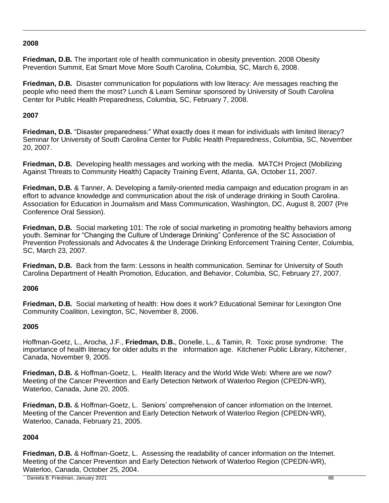# **2008**

**Friedman, D.B.** The important role of health communication in obesity prevention. 2008 Obesity Prevention Summit, Eat Smart Move More South Carolina, Columbia, SC, March 6, 2008.

**Friedman, D.B.** Disaster communication for populations with low literacy: Are messages reaching the people who need them the most? Lunch & Learn Seminar sponsored by University of South Carolina Center for Public Health Preparedness, Columbia, SC, February 7, 2008.

# **2007**

**Friedman, D.B.** "Disaster preparedness:" What exactly does it mean for individuals with limited literacy? Seminar for University of South Carolina Center for Public Health Preparedness, Columbia, SC, November 20, 2007.

**Friedman, D.B.** Developing health messages and working with the media. MATCH Project (Mobilizing Against Threats to Community Health) Capacity Training Event, Atlanta, GA, October 11, 2007.

**Friedman, D.B.** & Tanner, A. Developing a family-oriented media campaign and education program in an effort to advance knowledge and communication about the risk of underage drinking in South Carolina. Association for Education in Journalism and Mass Communication, Washington, DC, August 8, 2007 (Pre Conference Oral Session).

**Friedman, D.B.** Social marketing 101: The role of social marketing in promoting healthy behaviors among youth. Seminar for "Changing the Culture of Underage Drinking" Conference of the SC Association of Prevention Professionals and Advocates & the Underage Drinking Enforcement Training Center, Columbia, SC, March 23, 2007.

**Friedman, D.B.** Back from the farm: Lessons in health communication. Seminar for University of South Carolina Department of Health Promotion, Education, and Behavior, Columbia, SC, February 27, 2007.

# **2006**

**Friedman, D.B.** Social marketing of health: How does it work? Educational Seminar for Lexington One Community Coalition, Lexington, SC, November 8, 2006.

# **2005**

Hoffman-Goetz, L., Arocha, J.F., **Friedman, D.B.**, Donelle, L., & Tamin, R. Toxic prose syndrome: The importance of health literacy for older adults in the information age. Kitchener Public Library, Kitchener, Canada, November 9, 2005.

**Friedman, D.B.** & Hoffman-Goetz, L. Health literacy and the World Wide Web: Where are we now? Meeting of the Cancer Prevention and Early Detection Network of Waterloo Region (CPEDN-WR), Waterloo, Canada, June 20, 2005.

**Friedman, D.B.** & Hoffman-Goetz, L. Seniors' comprehension of cancer information on the Internet. Meeting of the Cancer Prevention and Early Detection Network of Waterloo Region (CPEDN-WR), Waterloo, Canada, February 21, 2005.

# **2004**

**Friedman, D.B.** & Hoffman-Goetz, L. Assessing the readability of cancer information on the Internet. Meeting of the Cancer Prevention and Early Detection Network of Waterloo Region (CPEDN-WR), Waterloo, Canada, October 25, 2004.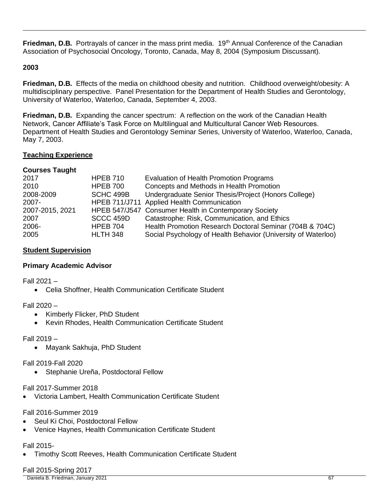**Friedman, D.B.** Portrayals of cancer in the mass print media. 19<sup>th</sup> Annual Conference of the Canadian Association of Psychosocial Oncology, Toronto, Canada, May 8, 2004 (Symposium Discussant).

### **2003**

**Friedman, D.B.** Effects of the media on childhood obesity and nutrition. Childhood overweight/obesity: A multidisciplinary perspective. Panel Presentation for the Department of Health Studies and Gerontology, University of Waterloo, Waterloo, Canada, September 4, 2003.

**Friedman, D.B.** Expanding the cancer spectrum: A reflection on the work of the Canadian Health Network, Cancer Affiliate's Task Force on Multilingual and Multicultural Cancer Web Resources. Department of Health Studies and Gerontology Seminar Series, University of Waterloo, Waterloo, Canada, May 7, 2003.

### **Teaching Experience**

### **Courses Taught**

| 2017            | <b>HPEB 710</b> | Evaluation of Health Promotion Programs                       |
|-----------------|-----------------|---------------------------------------------------------------|
| 2010            | <b>HPEB 700</b> | Concepts and Methods in Health Promotion                      |
| 2008-2009       | SCHC 499B       | Undergraduate Senior Thesis/Project (Honors College)          |
| 2007-           |                 | HPEB 711/J711 Applied Health Communication                    |
| 2007-2015, 2021 |                 | HPEB 547/J547 Consumer Health in Contemporary Society         |
| 2007            | SCCC 459D       | Catastrophe: Risk, Communication, and Ethics                  |
| 2006-           | <b>HPEB 704</b> | Health Promotion Research Doctoral Seminar (704B & 704C)      |
| 2005            | <b>HLTH 348</b> | Social Psychology of Health Behavior (University of Waterloo) |

### **Student Supervision**

# **Primary Academic Advisor**

Fall 2021 –

• Celia Shoffner, Health Communication Certificate Student

Fall 2020 –

- Kimberly Flicker, PhD Student
- Kevin Rhodes, Health Communication Certificate Student

Fall 2019 –

• Mayank Sakhuja, PhD Student

Fall 2019-Fall 2020

• Stephanie Ureña, Postdoctoral Fellow

Fall 2017-Summer 2018

• Victoria Lambert, Health Communication Certificate Student

### Fall 2016-Summer 2019

- Seul Ki Choi, Postdoctoral Fellow
- Venice Haynes, Health Communication Certificate Student

### Fall 2015-

• Timothy Scott Reeves, Health Communication Certificate Student

# Fall 2015-Spring 2017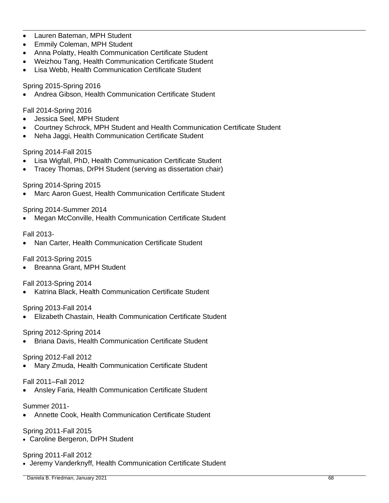- Lauren Bateman, MPH Student
- Emmily Coleman, MPH Student
- Anna Polatty, Health Communication Certificate Student
- Weizhou Tang, Health Communication Certificate Student
- Lisa Webb, Health Communication Certificate Student

### Spring 2015-Spring 2016

• Andrea Gibson, Health Communication Certificate Student

### Fall 2014-Spring 2016

- Jessica Seel, MPH Student
- Courtney Schrock, MPH Student and Health Communication Certificate Student
- Neha Jaggi, Health Communication Certificate Student

### Spring 2014-Fall 2015

- Lisa Wigfall, PhD, Health Communication Certificate Student
- Tracey Thomas, DrPH Student (serving as dissertation chair)

### Spring 2014-Spring 2015

• Marc Aaron Guest, Health Communication Certificate Student

### Spring 2014-Summer 2014

• Megan McConville, Health Communication Certificate Student

### Fall 2013-

• Nan Carter, Health Communication Certificate Student

# Fall 2013-Spring 2015

• Breanna Grant, MPH Student

Fall 2013-Spring 2014

• Katrina Black, Health Communication Certificate Student

### Spring 2013-Fall 2014

• Elizabeth Chastain, Health Communication Certificate Student

### Spring 2012-Spring 2014

• Briana Davis, Health Communication Certificate Student

### Spring 2012-Fall 2012

• Mary Zmuda, Health Communication Certificate Student

Fall 2011–Fall 2012

• Ansley Faria, Health Communication Certificate Student

Summer 2011-

• Annette Cook, Health Communication Certificate Student

### Spring 2011-Fall 2015

• Caroline Bergeron, DrPH Student

### Spring 2011-Fall 2012

• Jeremy Vanderknyff, Health Communication Certificate Student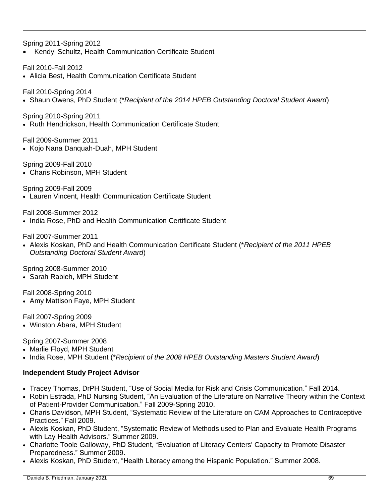Spring 2011-Spring 2012

• Kendyl Schultz, Health Communication Certificate Student

Fall 2010-Fall 2012

• Alicia Best, Health Communication Certificate Student

Fall 2010-Spring 2014

• Shaun Owens, PhD Student (\**Recipient of the 2014 HPEB Outstanding Doctoral Student Award*)

Spring 2010-Spring 2011

• Ruth Hendrickson, Health Communication Certificate Student

Fall 2009-Summer 2011

- Kojo Nana Danquah-Duah, MPH Student
- Spring 2009-Fall 2010 • Charis Robinson, MPH Student

Spring 2009-Fall 2009

• Lauren Vincent, Health Communication Certificate Student

Fall 2008-Summer 2012

• India Rose, PhD and Health Communication Certificate Student

Fall 2007-Summer 2011

• Alexis Koskan, PhD and Health Communication Certificate Student (\**Recipient of the 2011 HPEB Outstanding Doctoral Student Award*)

Spring 2008-Summer 2010

• Sarah Rabieh, MPH Student

Fall 2008-Spring 2010

• Amy Mattison Faye, MPH Student

Fall 2007-Spring 2009

• Winston Abara, MPH Student

Spring 2007-Summer 2008

- Marlie Floyd, MPH Student
- India Rose, MPH Student (\**Recipient of the 2008 HPEB Outstanding Masters Student Award*)

### **Independent Study Project Advisor**

- Tracey Thomas, DrPH Student, "Use of Social Media for Risk and Crisis Communication." Fall 2014.
- Robin Estrada, PhD Nursing Student, "An Evaluation of the Literature on Narrative Theory within the Context of Patient-Provider Communication." Fall 2009-Spring 2010.
- Charis Davidson, MPH Student, "Systematic Review of the Literature on CAM Approaches to Contraceptive Practices." Fall 2009.
- Alexis Koskan, PhD Student, "Systematic Review of Methods used to Plan and Evaluate Health Programs with Lay Health Advisors." Summer 2009.
- Charlotte Toole Galloway, PhD Student, "Evaluation of Literacy Centers' Capacity to Promote Disaster Preparedness." Summer 2009.
- Alexis Koskan, PhD Student, "Health Literacy among the Hispanic Population." Summer 2008.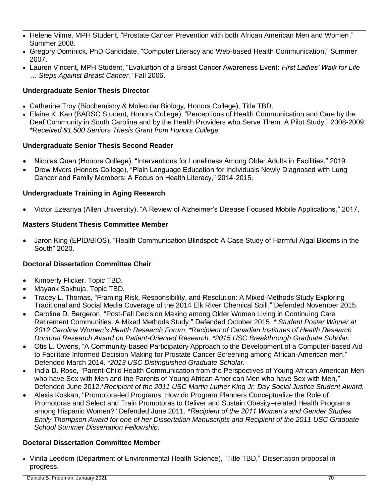- Helene Vilme, MPH Student, "Prostate Cancer Prevention with both African American Men and Women," Summer 2008.
- Gregory Dominick, PhD Candidate, "Computer Literacy and Web-based Health Communication," Summer 2007.
- Lauren Vincent, MPH Student, "Evaluation of a Breast Cancer Awareness Event: *First Ladies' Walk for Life … Steps Against Breast Cancer,*" Fall 2006.

# **Undergraduate Senior Thesis Director**

- Catherine Troy (Biochemistry & Molecular Biology, Honors College), Title TBD.
- Elaine K. Kao (BARSC Student, Honors College), "Perceptions of Health Communication and Care by the Deaf Community in South Carolina and by the Health Providers who Serve Them: A Pilot Study," 2008-2009. *\*Received \$1,500 Seniors Thesis Grant from Honors College*

# **Undergraduate Senior Thesis Second Reader**

- Nicolas Quan (Honors College), "Interventions for Loneliness Among Older Adults in Facilities," 2019.
- Drew Myers (Honors College), "Plain Language Education for Individuals Newly Diagnosed with Lung Cancer and Family Members: A Focus on Health Literacy," 2014-2015.

# **Undergraduate Training in Aging Research**

• Victor Ezeanya (Allen University), "A Review of Alzheimer's Disease Focused Mobile Applications," 2017.

# **Masters Student Thesis Committee Member**

• Jaron King (EPID/BIOS), "Health Communication Blindspot: A Case Study of Harmful Algal Blooms in the South" 2020.

# **Doctoral Dissertation Committee Chair**

- Kimberly Flicker, Topic TBD.
- Mayank Sakhuja, Topic TBD.
- Tracey L. Thomas, "Framing Risk, Responsibility, and Resolution: A Mixed-Methods Study Exploring Traditional and Social Media Coverage of the 2014 Elk River Chemical Spill," Defended November 2015.
- Caroline D. Bergeron, "Post-Fall Decision Making among Older Women Living in Continuing Care Retirement Communities: A Mixed Methods Study," Defended October 2015. *\* Student Poster Winner at 2012 Carolina Women's Health Research Forum. \*Recipient of Canadian Institutes of Health Research Doctoral Research Award on Patient-Oriented Research. \*2015 USC Breakthrough Graduate Scholar.*
- Otis L. Owens, "A Community-based Participatory Approach to the Development of a Computer-based Aid to Facilitate Informed Decision Making for Prostate Cancer Screening among African-American men," Defended March 2014. *\*2013 USC Distinguished Graduate Scholar.*
- India D. Rose, "Parent-Child Health Communication from the Perspectives of Young African American Men who have Sex with Men and the Parents of Young African American Men who have Sex with Men," Defended June 2012.\**Recipient of the 2011 USC Martin Luther King Jr. Day Social Justice Student Award.*
- Alexis Koskan, "Promotora-led Programs: How do Program Planners Conceptualize the Role of Promotoras and Select and Train Promotoras to Deliver and Sustain Obesity–related Health Programs among Hispanic Women?" Defended June 2011. \**Recipient of the 2011 Women's and Gender Studies Emily Thompson Award for one of her Dissertation Manuscripts and Recipient of the 2011 USC Graduate School Summer Dissertation Fellowship.*

# **Doctoral Dissertation Committee Member**

• Vinita Leedom (Department of Environmental Health Science), "Title TBD," Dissertation proposal in progress.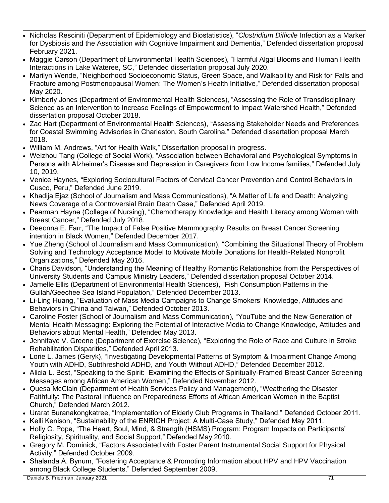- Nicholas Resciniti (Department of Epidemiology and Biostatistics), "*Clostridium Difficile* Infection as a Marker for Dysbiosis and the Association with Cognitive Impairment and Dementia," Defended dissertation proposal February 2021.
- Maggie Carson (Department of Environmental Health Sciences), "Harmful Algal Blooms and Human Health Interactions in Lake Wateree, SC," Defended dissertation proposal July 2020.
- Marilyn Wende, "Neighborhood Socioeconomic Status, Green Space, and Walkability and Risk for Falls and Fracture among Postmenopausal Women: The Women's Health Initiative," Defended dissertation proposal May 2020.
- Kimberly Jones (Department of Environmental Health Sciences), "Assessing the Role of Transdisciplinary Science as an Intervention to Increase Feelings of Empowerment to Impact Watershed Health," Defended dissertation proposal October 2018.
- Zac Hart (Department of Environmental Health Sciences), "Assessing Stakeholder Needs and Preferences for Coastal Swimming Advisories in Charleston, South Carolina," Defended dissertation proposal March 2018.
- William M. Andrews, "Art for Health Walk," Dissertation proposal in progress.
- Weizhou Tang (College of Social Work), "Association between Behavioral and Psychological Symptoms in Persons with Alzheimer's Disease and Depression in Caregivers from Low Income families," Defended July 10, 2019.
- Venice Haynes, "Exploring Sociocultural Factors of Cervical Cancer Prevention and Control Behaviors in Cusco, Peru," Defended June 2019.
- Khadija Ejaz (School of Journalism and Mass Communications), "A Matter of Life and Death: Analyzing News Coverage of a Controversial Brain Death Case," Defended April 2019.
- Pearman Hayne (College of Nursing), "Chemotherapy Knowledge and Health Literacy among Women with Breast Cancer," Defended July 2018.
- Deeonna E. Farr, "The Impact of False Positive Mammography Results on Breast Cancer Screening intention in Black Women," Defended December 2017.
- Yue Zheng (School of Journalism and Mass Communication), "Combining the Situational Theory of Problem Solving and Technology Acceptance Model to Motivate Mobile Donations for Health-Related Nonprofit Organizations," Defended May 2016.
- Charis Davidson, "Understanding the Meaning of Healthy Romantic Relationships from the Perspectives of University Students and Campus Ministry Leaders," Defended dissertation proposal October 2014.
- Jamelle Ellis (Department of Environmental Health Sciences), "Fish Consumption Patterns in the Gullah/Geechee Sea Island Population," Defended December 2013.
- Li-Ling Huang, "Evaluation of Mass Media Campaigns to Change Smokers' Knowledge, Attitudes and Behaviors in China and Taiwan," Defended October 2013.
- Caroline Foster (School of Journalism and Mass Communication), "YouTube and the New Generation of Mental Health Messaging: Exploring the Potential of Interactive Media to Change Knowledge, Attitudes and Behaviors about Mental Health," Defended May 2013.
- Jennifaye V. Greene (Department of Exercise Science), "Exploring the Role of Race and Culture in Stroke Rehabilitation Disparities," Defended April 2013.
- Lorie L. James (Geryk), "Investigating Developmental Patterns of Symptom & Impairment Change Among Youth with ADHD, Subthreshold ADHD, and Youth Without ADHD," Defended December 2012.
- Alicia L. Best, "Speaking to the Spirit: Examining the Effects of Spiritually-Framed Breast Cancer Screening Messages among African American Women," Defended November 2012.
- Quesa McClain (Department of Health Services Policy and Management), "Weathering the Disaster Faithfully: The Pastoral Influence on Preparedness Efforts of African American Women in the Baptist Church," Defended March 2012.
- Urarat Buranakongkatree, "Implementation of Elderly Club Programs in Thailand," Defended October 2011.
- Kelli Kenison, "Sustainability of the ENRICH Project: A Multi-Case Study," Defended May 2011.
- Holly C. Pope, "The Heart, Soul, Mind, & Strength (HSMS) Program: Program Impacts on Participants' Religiosity, Spirituality, and Social Support," Defended May 2010.
- Gregory M. Dominick, "Factors Associated with Foster Parent Instrumental Social Support for Physical Activity," Defended October 2009.
- Shalanda A. Bynum, "Fostering Acceptance & Promoting Information about HPV and HPV Vaccination among Black College Students," Defended September 2009.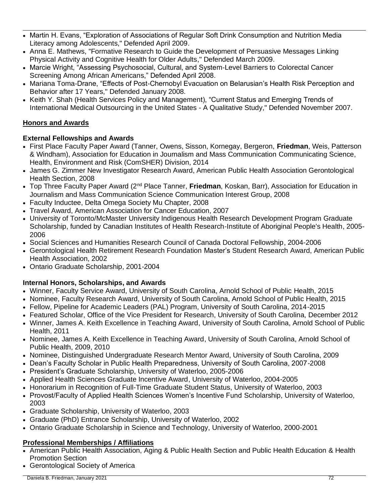- Martin H. Evans, "Exploration of Associations of Regular Soft Drink Consumption and Nutrition Media Literacy among Adolescents," Defended April 2009.
- Anna E. Mathews, "Formative Research to Guide the Development of Persuasive Messages Linking Physical Activity and Cognitive Health for Older Adults," Defended March 2009.
- Marcie Wright, "Assessing Psychosocial, Cultural, and System-Level Barriers to Colorectal Cancer Screening Among African Americans," Defended April 2008.
- Mariana Toma-Drane, "Effects of Post-Chernobyl Evacuation on Belarusian's Health Risk Perception and Behavior after 17 Years," Defended January 2008.
- Keith Y. Shah (Health Services Policy and Management), "Current Status and Emerging Trends of International Medical Outsourcing in the United States - A Qualitative Study," Defended November 2007.

# **Honors and Awards**

# **External Fellowships and Awards**

- First Place Faculty Paper Award (Tanner, Owens, Sisson, Kornegay, Bergeron, **Friedman**, Weis, Patterson & Windham), Association for Education in Journalism and Mass Communication Communicating Science, Health, Environment and Risk (ComSHER) Division, 2014
- James G. Zimmer New Investigator Research Award, American Public Health Association Gerontological Health Section, 2008
- Top Three Faculty Paper Award (2nd Place Tanner, **Friedman**, Koskan, Barr), Association for Education in Journalism and Mass Communication Science Communication Interest Group, 2008
- Faculty Inductee, Delta Omega Society Mu Chapter, 2008
- Travel Award, American Association for Cancer Education, 2007
- University of Toronto/McMaster University Indigenous Health Research Development Program Graduate Scholarship, funded by Canadian Institutes of Health Research-Institute of Aboriginal People's Health, 2005- 2006
- Social Sciences and Humanities Research Council of Canada Doctoral Fellowship, 2004-2006
- Gerontological Health Retirement Research Foundation Master's Student Research Award, American Public Health Association, 2002
- Ontario Graduate Scholarship, 2001-2004

# **Internal Honors, Scholarships, and Awards**

- Winner, Faculty Service Award, University of South Carolina, Arnold School of Public Health, 2015
- Nominee, Faculty Research Award, University of South Carolina, Arnold School of Public Health, 2015
- Fellow, Pipeline for Academic Leaders (PAL) Program, University of South Carolina, 2014-2015
- Featured Scholar, Office of the Vice President for Research, University of South Carolina, December 2012
- Winner, James A. Keith Excellence in Teaching Award, University of South Carolina, Arnold School of Public Health, 2011
- Nominee, James A. Keith Excellence in Teaching Award, University of South Carolina, Arnold School of Public Health, 2009, 2010
- Nominee, Distinguished Undergraduate Research Mentor Award, University of South Carolina, 2009
- Dean's Faculty Scholar in Public Health Preparedness, University of South Carolina, 2007-2008
- President's Graduate Scholarship, University of Waterloo, 2005-2006
- Applied Health Sciences Graduate Incentive Award, University of Waterloo, 2004-2005
- Honorarium in Recognition of Full-Time Graduate Student Status, University of Waterloo, 2003
- Provost/Faculty of Applied Health Sciences Women's Incentive Fund Scholarship, University of Waterloo, 2003
- Graduate Scholarship, University of Waterloo, 2003
- Graduate (PhD) Entrance Scholarship, University of Waterloo, 2002
- Ontario Graduate Scholarship in Science and Technology, University of Waterloo, 2000-2001

# **Professional Memberships / Affiliations**

- American Public Health Association, Aging & Public Health Section and Public Health Education & Health Promotion Section
- Gerontological Society of America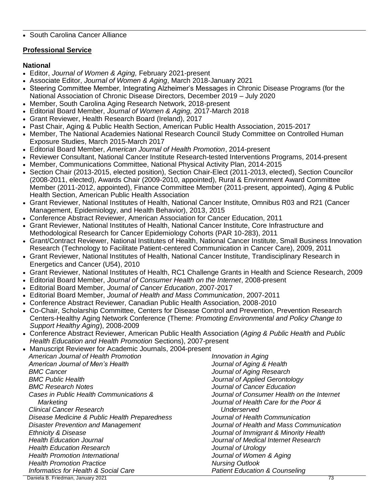#### • South Carolina Cancer Alliance

## **Professional Service**

## **National**

- Editor, *Journal of Women & Aging,* February 2021-present
- Associate Editor, *Journal of Women & Aging*, March 2018-January 2021
- Steering Committee Member, Integrating Alzheimer's Messages in Chronic Disease Programs (for the National Association of Chronic Disease Directors, December 2019 – July 2020
- Member, South Carolina Aging Research Network, 2018-present
- Editorial Board Member, *Journal of Women & Aging,* 2017-March 2018
- Grant Reviewer, Health Research Board (Ireland), 2017
- Past Chair, Aging & Public Health Section, American Public Health Association, 2015-2017
- Member, The National Academies National Research Council Study Committee on Controlled Human Exposure Studies, March 2015-March 2017
- Editorial Board Member, *American Journal of Health Promotion*, 2014-present
- Reviewer Consultant, National Cancer Institute Research-tested Interventions Programs, 2014-present
- Member, Communications Committee, National Physical Activity Plan, 2014-2015
- Section Chair (2013-2015, elected position), Section Chair-Elect (2011-2013, elected), Section Councilor (2008-2011, elected), Awards Chair (2009-2010, appointed), Rural & Environment Award Committee Member (2011-2012, appointed), Finance Committee Member (2011-present, appointed), Aging & Public Health Section, American Public Health Association
- Grant Reviewer, National Institutes of Health, National Cancer Institute, Omnibus R03 and R21 (Cancer Management, Epidemiology, and Health Behavior), 2013, 2015
- Conference Abstract Reviewer, American Association for Cancer Education, 2011
- Grant Reviewer, National Institutes of Health, National Cancer Institute, Core Infrastructure and Methodological Research for Cancer Epidemiology Cohorts (PAR 10-283), 2011
- Grant/Contract Reviewer, National Institutes of Health, National Cancer Institute, Small Business Innovation Research (Technology to Facilitate Patient-centered Communication in Cancer Care), 2009, 2011
- Grant Reviewer, National Institutes of Health, National Cancer Institute, Trandisciplinary Research in Energetics and Cancer (U54), 2010
- Grant Reviewer, National Institutes of Health, RC1 Challenge Grants in Health and Science Research, 2009
- Editorial Board Member, *Journal of Consumer Health on the Internet*, 2008-present
- Editorial Board Member, *Journal of Cancer Education*, 2007-2017
- Editorial Board Member, *Journal of Health and Mass Communication*, 2007-2011
- Conference Abstract Reviewer, Canadian Public Health Association, 2008-2010
- Co-Chair, Scholarship Committee, Centers for Disease Control and Prevention, Prevention Research Centers-Healthy Aging Network Conference (Theme: *Promoting Environmental and Policy Change to Support Healthy Aging*), 2008-2009
- Conference Abstract Reviewer, American Public Health Association (*Aging & Public Health* and *Public Health Education and Health Promotion* Sections), 2007-present
- Manuscript Reviewer for Academic Journals, 2004-present

| American Journal of Health Promotion          | Innovation in Aging                        |
|-----------------------------------------------|--------------------------------------------|
| American Journal of Men's Health              | Journal of Aging & Health                  |
| <b>BMC Cancer</b>                             | Journal of Aging Research                  |
| <b>BMC Public Health</b>                      | Journal of Applied Gerontology             |
| <b>BMC Research Notes</b>                     | Journal of Cancer Education                |
| Cases in Public Health Communications &       | Journal of Consumer Health on the Internet |
| Marketing                                     | Journal of Health Care for the Poor &      |
| <b>Clinical Cancer Research</b>               | Underserved                                |
| Disease Medicine & Public Health Preparedness | Journal of Health Communication            |
| <b>Disaster Prevention and Management</b>     | Journal of Health and Mass Communication   |
| <b>Ethnicity &amp; Disease</b>                | Journal of Immigrant & Minority Health     |
| <b>Health Education Journal</b>               | Journal of Medical Internet Research       |
| <b>Health Education Research</b>              | Journal of Urology                         |
| <b>Health Promotion International</b>         | Journal of Women & Aging                   |
| <b>Health Promotion Practice</b>              | <b>Nursing Outlook</b>                     |
| Informatics for Health & Social Care          | <b>Patient Education &amp; Counseling</b>  |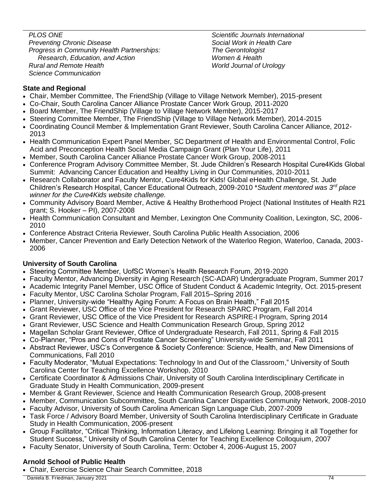*PLOS ONE Preventing Chronic Disease Progress in Community Health Partnerships: Research, Education, and Action Rural and Remote Health Science Communication*

*Scientific Journals International Social Work in Health Care The Gerontologist Women & Health World Journal of Urology*

# **State and Regional**

- Chair, Member Committee, The FriendShip (Village to Village Network Member), 2015-present
- Co-Chair, South Carolina Cancer Alliance Prostate Cancer Work Group, 2011-2020
- Board Member, The FriendShip (Village to Village Network Member), 2015-2017
- Steering Committee Member, The FriendShip (Village to Village Network Member), 2014-2015
- Coordinating Council Member & Implementation Grant Reviewer, South Carolina Cancer Alliance, 2012- 2013
- Health Communication Expert Panel Member, SC Department of Health and Environmental Control, Folic Acid and Preconception Health Social Media Campaign Grant (Plan Your Life), 2011
- Member, South Carolina Cancer Alliance Prostate Cancer Work Group, 2008-2011
- Conference Program Advisory Committee Member, St. Jude Children's Research Hospital Cure4Kids Global Summit: Advancing Cancer Education and Healthy Living in Our Communities, 2010-2011
- Research Collaborator and Faculty Mentor, Cure4Kids for Kids! Global eHealth Challenge, St. Jude Children's Research Hospital, Cancer Educational Outreach, 2009-2010 \**Student mentored was 3rd place winner for the Cure4Kids website challenge.*
- Community Advisory Board Member, Active & Healthy Brotherhood Project (National Institutes of Health R21 grant; S. Hooker – PI), 2007-2008
- Health Communication Consultant and Member, Lexington One Community Coalition, Lexington, SC, 2006- 2010
- Conference Abstract Criteria Reviewer, South Carolina Public Health Association, 2006
- Member, Cancer Prevention and Early Detection Network of the Waterloo Region, Waterloo, Canada, 2003- 2006

# **University of South Carolina**

- Steering Committee Member, UofSC Women's Health Research Forum, 2019-2020
- Faculty Mentor, Advancing Diversity in Aging Research (SC-ADAR) Undergraduate Program, Summer 2017
- Academic Integrity Panel Member, USC Office of Student Conduct & Academic Integrity, Oct. 2015-present
- Faculty Mentor, USC Carolina Scholar Program, Fall 2015–Spring 2016
- Planner, University-wide "Healthy Aging Forum: A Focus on Brain Health," Fall 2015
- Grant Reviewer, USC Office of the Vice President for Research SPARC Program, Fall 2014
- Grant Reviewer, USC Office of the Vice President for Research ASPIRE-I Program, Spring 2014
- Grant Reviewer, USC Science and Health Communication Research Group, Spring 2012
- Magellan Scholar Grant Reviewer, Office of Undergraduate Research, Fall 2011, Spring & Fall 2015
- Co-Planner, "Pros and Cons of Prostate Cancer Screening" University-wide Seminar, Fall 2011
- Abstract Reviewer, USC's Convergence & Society Conference: Science, Health, and New Dimensions of Communications, Fall 2010
- Faculty Moderator, "Mutual Expectations: Technology In and Out of the Classroom," University of South Carolina Center for Teaching Excellence Workshop, 2010
- Certificate Coordinator & Admissions Chair, University of South Carolina Interdisciplinary Certificate in Graduate Study in Health Communication, 2009-present
- Member & Grant Reviewer, Science and Health Communication Research Group, 2008-present
- Member, Communication Subcommittee, South Carolina Cancer Disparities Community Network, 2008-2010
- Faculty Advisor, University of South Carolina American Sign Language Club, 2007-2009
- Task Force / Advisory Board Member, University of South Carolina Interdisciplinary Certificate in Graduate Study in Health Communication, 2006-present
- Group Facilitator, "Critical Thinking, Information Literacy, and Lifelong Learning: Bringing it all Together for Student Success," University of South Carolina Center for Teaching Excellence Colloquium, 2007
- Faculty Senator, University of South Carolina, Term: October 4, 2006-August 15, 2007

# **Arnold School of Public Health**

• Chair, Exercise Science Chair Search Committee, 2018